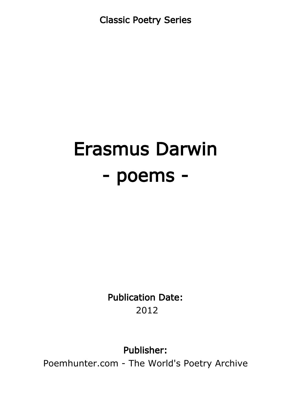Classic Poetry Series

# Erasmus Darwin - poems -

Publication Date: 2012

Publisher:

Poemhunter.com - The World's Poetry Archive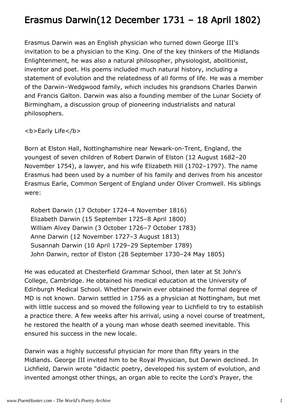## Erasmus Darwin(12 December 1731 – 18 April 1802)

Erasmus Darwin was an English physician who turned down George III's invitation to be a physician to the King. One of the key thinkers of the Midlands Enlightenment, he was also a natural philosopher, physiologist, abolitionist, inventor and poet. His poems included much natural history, including a statement of evolution and the relatedness of all forms of life. He was a member of the Darwin–Wedgwood family, which includes his grandsons Charles Darwin and Francis Galton. Darwin was also a founding member of the Lunar Society of Birmingham, a discussion group of pioneering industrialists and natural philosophers.

<b>Early Life</b>

Born at Elston Hall, Nottinghamshire near Newark-on-Trent, England, the youngest of seven children of Robert Darwin of Elston (12 August 1682–20 November 1754), a lawyer, and his wife Elizabeth Hill (1702–1797). The name Erasmus had been used by a number of his family and derives from his ancestor Erasmus Earle, Common Sergent of England under Oliver Cromwell. His siblings were:

 Robert Darwin (17 October 1724–4 November 1816) Elizabeth Darwin (15 September 1725–8 April 1800) William Alvey Darwin (3 October 1726–7 October 1783) Anne Darwin (12 November 1727–3 August 1813) Susannah Darwin (10 April 1729–29 September 1789) John Darwin, rector of Elston (28 September 1730–24 May 1805)

He was educated at Chesterfield Grammar School, then later at St John's College, Cambridge. He obtained his medical education at the University of Edinburgh Medical School. Whether Darwin ever obtained the formal degree of MD is not known. Darwin settled in 1756 as a physician at Nottingham, but met with little success and so moved the following year to Lichfield to try to establish a practice there. A few weeks after his arrival, using a novel course of treatment, he restored the health of a young man whose death seemed inevitable. This ensured his success in the new locale.

Darwin was a highly successful physician for more than fifty years in the Midlands. George III invited him to be Royal Physician, but Darwin declined. In Lichfield, Darwin wrote "didactic poetry, developed his system of evolution, and invented amongst other things, an organ able to recite the Lord's Prayer, the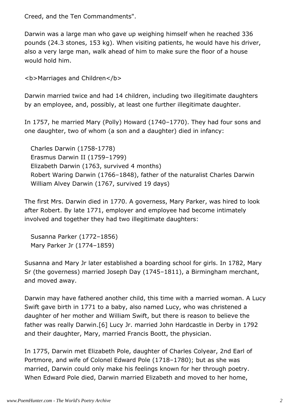Creed, and the Ten Commandments".

Darwin was a large man who gave up weighing himself when he reached 336 pounds (24.3 stones, 153 kg). When visiting patients, he would have his driver, also a very large man, walk ahead of him to make sure the floor of a house would hold him.

<b>Marriages and Children</b>

Darwin married twice and had 14 children, including two illegitimate daughters by an employee, and, possibly, at least one further illegitimate daughter.

In 1757, he married Mary (Polly) Howard (1740–1770). They had four sons and one daughter, two of whom (a son and a daughter) died in infancy:

 Charles Darwin (1758-1778) Erasmus Darwin II (1759–1799) Elizabeth Darwin (1763, survived 4 months) Robert Waring Darwin (1766–1848), father of the naturalist Charles Darwin William Alvey Darwin (1767, survived 19 days)

The first Mrs. Darwin died in 1770. A governess, Mary Parker, was hired to look after Robert. By late 1771, employer and employee had become intimately involved and together they had two illegitimate daughters:

 Susanna Parker (1772–1856) Mary Parker Jr (1774–1859)

Susanna and Mary Jr later established a boarding school for girls. In 1782, Mary Sr (the governess) married Joseph Day (1745–1811), a Birmingham merchant, and moved away.

Darwin may have fathered another child, this time with a married woman. A Lucy Swift gave birth in 1771 to a baby, also named Lucy, who was christened a daughter of her mother and William Swift, but there is reason to believe the father was really Darwin.[6] Lucy Jr. married John Hardcastle in Derby in 1792 and their daughter, Mary, married Francis Boott, the physician.

In 1775, Darwin met Elizabeth Pole, daughter of Charles Colyear, 2nd Earl of Portmore, and wife of Colonel Edward Pole (1718–1780); but as she was married, Darwin could only make his feelings known for her through poetry. When Edward Pole died, Darwin married Elizabeth and moved to her home,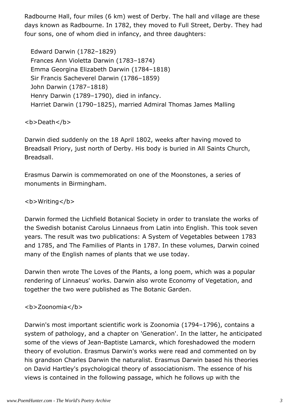Radbourne Hall, four miles (6 km) west of Derby. The hall and village are these days known as Radbourne. In 1782, they moved to Full Street, Derby. They had four sons, one of whom died in infancy, and three daughters:

 Edward Darwin (1782–1829) Frances Ann Violetta Darwin (1783–1874) Emma Georgina Elizabeth Darwin (1784–1818) Sir Francis Sacheverel Darwin (1786–1859) John Darwin (1787–1818) Henry Darwin (1789–1790), died in infancy. Harriet Darwin (1790–1825), married Admiral Thomas James Malling

<b>Death</b>

Darwin died suddenly on the 18 April 1802, weeks after having moved to Breadsall Priory, just north of Derby. His body is buried in All Saints Church, Breadsall.

Erasmus Darwin is commemorated on one of the Moonstones, a series of monuments in Birmingham.

<b>Writing</b>

Darwin formed the Lichfield Botanical Society in order to translate the works of the Swedish botanist Carolus Linnaeus from Latin into English. This took seven years. The result was two publications: A System of Vegetables between 1783 and 1785, and The Families of Plants in 1787. In these volumes, Darwin coined many of the English names of plants that we use today.

Darwin then wrote The Loves of the Plants, a long poem, which was a popular rendering of Linnaeus' works. Darwin also wrote Economy of Vegetation, and together the two were published as The Botanic Garden.

<b>Zoonomia</b>

Darwin's most important scientific work is Zoonomia (1794–1796), contains a system of pathology, and a chapter on 'Generation'. In the latter, he anticipated some of the views of Jean-Baptiste Lamarck, which foreshadowed the modern theory of evolution. Erasmus Darwin's works were read and commented on by his grandson Charles Darwin the naturalist. Erasmus Darwin based his theories on David Hartley's psychological theory of associationism. The essence of his views is contained in the following passage, which he follows up with the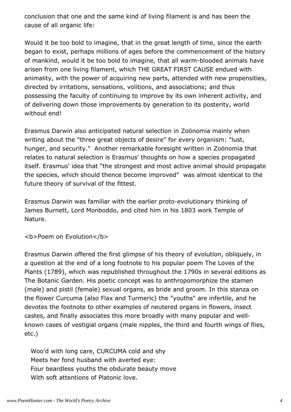conclusion that one and the same kind of living filament is and has been the cause of all organic life:

Would it be too bold to imagine, that in the great length of time, since the earth began to exist, perhaps millions of ages before the commencement of the history of mankind, would it be too bold to imagine, that all warm-blooded animals have arisen from one living filament, which THE GREAT FIRST CAUSE endued with animality, with the power of acquiring new parts, attended with new propensities, directed by irritations, sensations, volitions, and associations; and thus possessing the faculty of continuing to improve by its own inherent activity, and of delivering down those improvements by generation to its posterity, world without end!

Erasmus Darwin also anticipated natural selection in Zoönomia mainly when writing about the "three great objects of desire" for every organism: "lust, hunger, and security." Another remarkable foresight written in Zoönomia that relates to natural selection is Erasmus' thoughts on how a species propagated itself. Erasmus' idea that "the strongest and most active animal should propagate the species, which should thence become improved" was almost identical to the future theory of survival of the fittest.

Erasmus Darwin was familiar with the earlier proto-evolutionary thinking of James Burnett, Lord Monboddo, and cited him in his 1803 work Temple of Nature.

**<b>Poem on Evolution</b>** 

Erasmus Darwin offered the first glimpse of his theory of evolution, obliquely, in a question at the end of a long footnote to his popular poem The Loves of the Plants (1789), which was republished throughout the 1790s in several editions as The Botanic Garden. His poetic concept was to anthropomorphize the stamen (male) and pistil (female) sexual organs, as bride and groom. In this stanza on the flower Curcuma (also Flax and Turmeric) the "youths" are infertile, and he devotes the footnote to other examples of neutered organs in flowers, insect castes, and finally associates this more broadly with many popular and wellknown cases of vestigial organs (male nipples, the third and fourth wings of flies, etc.)

 Woo'd with long care, CURCUMA cold and shy Meets her fond husband with averted eye: Four beardless youths the obdurate beauty move With soft attentions of Platonic love.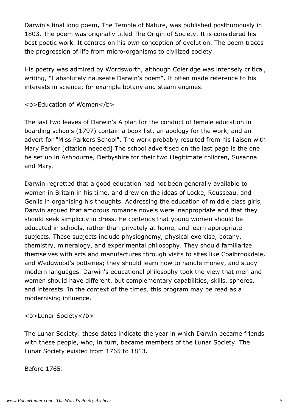Darwin's final long poem, The Temple of Nature, was published posthumously in 1803. The poem was originally titled The Origin of Society. It is considered his best poetic work. It centres on his own conception of evolution. The poem traces the progression of life from micro-organisms to civilized society.

His poetry was admired by Wordsworth, although Coleridge was intensely critical, writing, "I absolutely nauseate Darwin's poem". It often made reference to his interests in science; for example botany and steam engines.

<b>Education of Women</b>

The last two leaves of Darwin's A plan for the conduct of female education in boarding schools (1797) contain a book list, an apology for the work, and an advert for "Miss Parkers School". The work probably resulted from his liaison with Mary Parker.[citation needed] The school advertised on the last page is the one he set up in Ashbourne, Derbyshire for their two illegitimate children, Susanna and Mary.

Darwin regretted that a good education had not been generally available to women in Britain in his time, and drew on the ideas of Locke, Rousseau, and Genlis in organising his thoughts. Addressing the education of middle class girls, Darwin argued that amorous romance novels were inappropriate and that they should seek simplicity in dress. He contends that young women should be educated in schools, rather than privately at home, and learn appropriate subjects. These subjects include physiognomy, physical exercise, botany, chemistry, mineralogy, and experimental philosophy. They should familiarize themselves with arts and manufactures through visits to sites like Coalbrookdale, and Wedgwood's potteries; they should learn how to handle money, and study modern languages. Darwin's educational philosophy took the view that men and women should have different, but complementary capabilities, skills, spheres, and interests. In the context of the times, this program may be read as a modernising influence.

<b>Lunar Society</b>

The Lunar Society: these dates indicate the year in which Darwin became friends with these people, who, in turn, became members of the Lunar Society. The Lunar Society existed from 1765 to 1813.

Before 1765: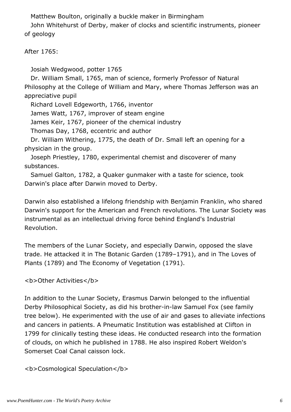Matthew Boulton, originally a buckle maker in Birmingham

 John Whitehurst of Derby, maker of clocks and scientific instruments, pioneer of geology

After 1765:

Josiah Wedgwood, potter 1765

 Dr. William Small, 1765, man of science, formerly Professor of Natural Philosophy at the College of William and Mary, where Thomas Jefferson was an appreciative pupil

Richard Lovell Edgeworth, 1766, inventor

James Watt, 1767, improver of steam engine

James Keir, 1767, pioneer of the chemical industry

Thomas Day, 1768, eccentric and author

 Dr. William Withering, 1775, the death of Dr. Small left an opening for a physician in the group.

 Joseph Priestley, 1780, experimental chemist and discoverer of many substances.

 Samuel Galton, 1782, a Quaker gunmaker with a taste for science, took Darwin's place after Darwin moved to Derby.

Darwin also established a lifelong friendship with Benjamin Franklin, who shared Darwin's support for the American and French revolutions. The Lunar Society was instrumental as an intellectual driving force behind England's Industrial Revolution.

The members of the Lunar Society, and especially Darwin, opposed the slave trade. He attacked it in The Botanic Garden (1789–1791), and in The Loves of Plants (1789) and The Economy of Vegetation (1791).

<b>Other Activities</b>

In addition to the Lunar Society, Erasmus Darwin belonged to the influential Derby Philosophical Society, as did his brother-in-law Samuel Fox (see family tree below). He experimented with the use of air and gases to alleviate infections and cancers in patients. A Pneumatic Institution was established at Clifton in 1799 for clinically testing these ideas. He conducted research into the formation of clouds, on which he published in 1788. He also inspired Robert Weldon's Somerset Coal Canal caisson lock.

<b>Cosmological Speculation</b>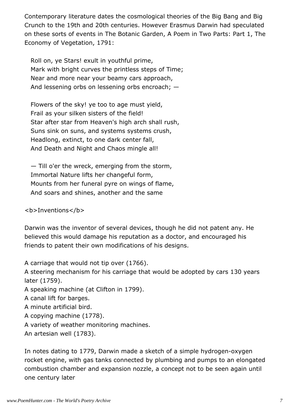Contemporary literature dates the cosmological theories of the Big Bang and Big Crunch to the 19th and 20th centuries. However Erasmus Darwin had speculated on these sorts of events in The Botanic Garden, A Poem in Two Parts: Part 1, The Economy of Vegetation, 1791:

 Roll on, ye Stars! exult in youthful prime, Mark with bright curves the printless steps of Time; Near and more near your beamy cars approach, And lessening orbs on lessening orbs encroach; —

 Flowers of the sky! ye too to age must yield, Frail as your silken sisters of the field! Star after star from Heaven's high arch shall rush, Suns sink on suns, and systems systems crush, Headlong, extinct, to one dark center fall, And Death and Night and Chaos mingle all!

 — Till o'er the wreck, emerging from the storm, Immortal Nature lifts her changeful form, Mounts from her funeral pyre on wings of flame, And soars and shines, another and the same

<b>Inventions</b>

Darwin was the inventor of several devices, though he did not patent any. He believed this would damage his reputation as a doctor, and encouraged his friends to patent their own modifications of his designs.

A carriage that would not tip over (1766).

A steering mechanism for his carriage that would be adopted by cars 130 years later (1759).

A speaking machine (at Clifton in 1799).

A canal lift for barges.

A minute artificial bird.

A copying machine (1778).

A variety of weather monitoring machines.

An artesian well (1783).

In notes dating to 1779, Darwin made a sketch of a simple hydrogen-oxygen rocket engine, with gas tanks connected by plumbing and pumps to an elongated combustion chamber and expansion nozzle, a concept not to be seen again until one century later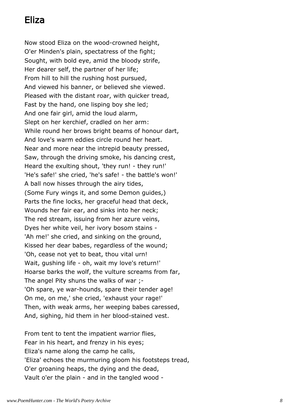## Eliza

Now stood Eliza on the wood-crowned height, O'er Minden's plain, spectatress of the fight; Sought, with bold eye, amid the bloody strife, Her dearer self, the partner of her life; From hill to hill the rushing host pursued, And viewed his banner, or believed she viewed. Pleased with the distant roar, with quicker tread, Fast by the hand, one lisping boy she led; And one fair girl, amid the loud alarm, Slept on her kerchief, cradled on her arm: While round her brows bright beams of honour dart, And love's warm eddies circle round her heart. Near and more near the intrepid beauty pressed, Saw, through the driving smoke, his dancing crest, Heard the exulting shout, 'they run! - they run!' 'He's safe!' she cried, 'he's safe! - the battle's won!' A ball now hisses through the airy tides, (Some Fury wings it, and some Demon guides,) Parts the fine locks, her graceful head that deck, Wounds her fair ear, and sinks into her neck; The red stream, issuing from her azure veins, Dyes her white veil, her ivory bosom stains - 'Ah me!' she cried, and sinking on the ground, Kissed her dear babes, regardless of the wound; 'Oh, cease not yet to beat, thou vital urn! Wait, gushing life - oh, wait my love's return!' Hoarse barks the wolf, the vulture screams from far, The angel Pity shuns the walks of war ;- 'Oh spare, ye war-hounds, spare their tender age! On me, on me,' she cried, 'exhaust your rage!' Then, with weak arms, her weeping babes caressed, And, sighing, hid them in her blood-stained vest.

From tent to tent the impatient warrior flies, Fear in his heart, and frenzy in his eyes; Eliza's name along the camp he calls, 'Eliza' echoes the murmuring gloom his footsteps tread, O'er groaning heaps, the dying and the dead, Vault o'er the plain - and in the tangled wood -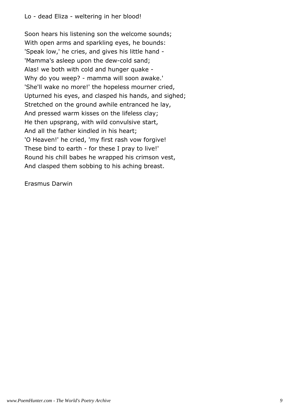Soon hears his listening son the welcome sounds; With open arms and sparkling eyes, he bounds: 'Speak low,' he cries, and gives his little hand - 'Mamma's asleep upon the dew-cold sand; Alas! we both with cold and hunger quake - Why do you weep? - mamma will soon awake.' 'She'll wake no more!' the hopeless mourner cried, Upturned his eyes, and clasped his hands, and sighed; Stretched on the ground awhile entranced he lay, And pressed warm kisses on the lifeless clay; He then upsprang, with wild convulsive start, And all the father kindled in his heart; 'O Heaven!' he cried, 'my first rash vow forgive! These bind to earth - for these I pray to live!' Round his chill babes he wrapped his crimson vest, And clasped them sobbing to his aching breast.

Erasmus Darwin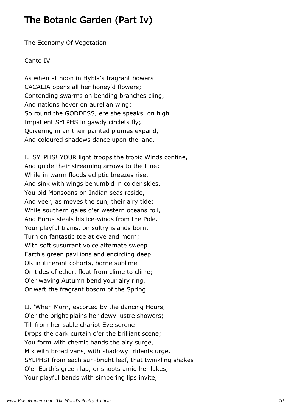## The Botanic Garden (Part Iv)

The Economy Of Vegetation

Canto IV

As when at noon in Hybla's fragrant bowers CACALIA opens all her honey'd flowers; Contending swarms on bending branches cling, And nations hover on aurelian wing; So round the GODDESS, ere she speaks, on high Impatient SYLPHS in gawdy circlets fly; Quivering in air their painted plumes expand, And coloured shadows dance upon the land.

I. 'SYLPHS! YOUR light troops the tropic Winds confine, And guide their streaming arrows to the Line; While in warm floods ecliptic breezes rise, And sink with wings benumb'd in colder skies. You bid Monsoons on Indian seas reside, And veer, as moves the sun, their airy tide; While southern gales o'er western oceans roll, And Eurus steals his ice-winds from the Pole. Your playful trains, on sultry islands born, Turn on fantastic toe at eve and morn; With soft susurrant voice alternate sweep Earth's green pavilions and encircling deep. OR in itinerant cohorts, borne sublime On tides of ether, float from clime to clime; O'er waving Autumn bend your airy ring, Or waft the fragrant bosom of the Spring.

II. 'When Morn, escorted by the dancing Hours, O'er the bright plains her dewy lustre showers; Till from her sable chariot Eve serene Drops the dark curtain o'er the brilliant scene; You form with chemic hands the airy surge, Mix with broad vans, with shadowy tridents urge. SYLPHS! from each sun-bright leaf, that twinkling shakes O'er Earth's green lap, or shoots amid her lakes, Your playful bands with simpering lips invite,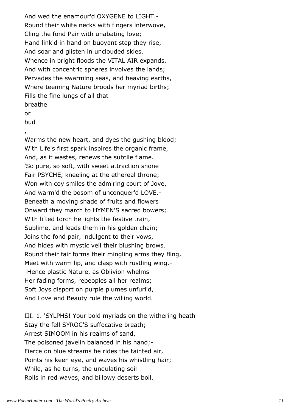And wed the enamour'd OXYGENE to LIGHT.- Round their white necks with fingers interwove, Cling the fond Pair with unabating love; Hand link'd in hand on buoyant step they rise, And soar and glisten in unclouded skies. Whence in bright floods the VITAL AIR expands, And with concentric spheres involves the lands; Pervades the swarming seas, and heaving earths, Where teeming Nature broods her myriad births; Fills the fine lungs of all that breathe

#### or

bud

, Warms the new heart, and dyes the gushing blood; With Life's first spark inspires the organic frame, And, as it wastes, renews the subtile flame. 'So pure, so soft, with sweet attraction shone Fair PSYCHE, kneeling at the ethereal throne; Won with coy smiles the admiring court of Jove, And warm'd the bosom of unconquer'd LOVE.- Beneath a moving shade of fruits and flowers Onward they march to HYMEN'S sacred bowers; With lifted torch he lights the festive train, Sublime, and leads them in his golden chain; Joins the fond pair, indulgent to their vows, And hides with mystic veil their blushing brows. Round their fair forms their mingling arms they fling, Meet with warm lip, and clasp with rustling wing.- -Hence plastic Nature, as Oblivion whelms Her fading forms, repeoples all her realms; Soft Joys disport on purple plumes unfurl'd, And Love and Beauty rule the willing world.

III. 1. 'SYLPHS! Your bold myriads on the withering heath Stay the fell SYROC'S suffocative breath; Arrest SIMOOM in his realms of sand, The poisoned javelin balanced in his hand;- Fierce on blue streams he rides the tainted air, Points his keen eye, and waves his whistling hair; While, as he turns, the undulating soil Rolls in red waves, and billowy deserts boil.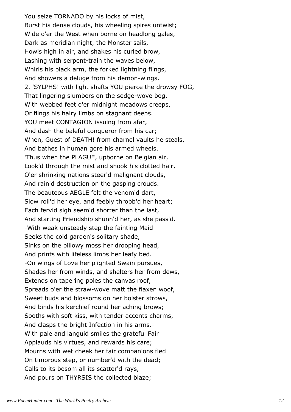You seize TORNADO by his locks of mist, Burst his dense clouds, his wheeling spires untwist; Wide o'er the West when borne on headlong gales, Dark as meridian night, the Monster sails, Howls high in air, and shakes his curled brow, Lashing with serpent-train the waves below, Whirls his black arm, the forked lightning flings, And showers a deluge from his demon-wings. 2. 'SYLPHS! with light shafts YOU pierce the drowsy FOG, That lingering slumbers on the sedge-wove bog, With webbed feet o'er midnight meadows creeps, Or flings his hairy limbs on stagnant deeps. YOU meet CONTAGION issuing from afar, And dash the baleful conqueror from his car; When, Guest of DEATH! from charnel vaults he steals, And bathes in human gore his armed wheels. 'Thus when the PLAGUE, upborne on Belgian air, Look'd through the mist and shook his clotted hair, O'er shrinking nations steer'd malignant clouds, And rain'd destruction on the gasping crouds. The beauteous AEGLE felt the venom'd dart, Slow roll'd her eye, and feebly throbb'd her heart; Each fervid sigh seem'd shorter than the last, And starting Friendship shunn'd her, as she pass'd. -With weak unsteady step the fainting Maid Seeks the cold garden's solitary shade, Sinks on the pillowy moss her drooping head, And prints with lifeless limbs her leafy bed. -On wings of Love her plighted Swain pursues, Shades her from winds, and shelters her from dews, Extends on tapering poles the canvas roof, Spreads o'er the straw-wove matt the flaxen woof, Sweet buds and blossoms on her bolster strows, And binds his kerchief round her aching brows; Sooths with soft kiss, with tender accents charms, And clasps the bright Infection in his arms.- With pale and languid smiles the grateful Fair Applauds his virtues, and rewards his care; Mourns with wet cheek her fair companions fled On timorous step, or number'd with the dead; Calls to its bosom all its scatter'd rays, And pours on THYRSIS the collected blaze;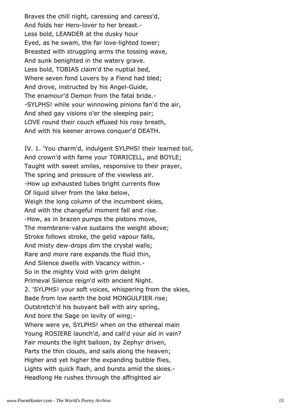Braves the chill night, caressing and caress'd, And folds her Hero-lover to her breast.- Less bold, LEANDER at the dusky hour Eyed, as he swam, the far love-lighted tower; Breasted with struggling arms the tossing wave, And sunk benighted in the watery grave. Less bold, TOBIAS claim'd the nuptial bed, Where seven fond Lovers by a Fiend had bled; And drove, instructed by his Angel-Guide, The enamour'd Demon from the fatal bride.- -SYLPHS! while your winnowing pinions fan'd the air, And shed gay visions o'er the sleeping pair; LOVE round their couch effused his rosy breath, And with his keener arrows conquer'd DEATH.

IV. 1. 'You charm'd, indulgent SYLPHS! their learned toil, And crown'd with fame your TORRICELL, and BOYLE; Taught with sweet smiles, responsive to their prayer, The spring and pressure of the viewless air. -How up exhausted tubes bright currents flow Of liquid silver from the lake below, Weigh the long column of the incumbent skies, And with the changeful moment fall and rise. -How, as in brazen pumps the pistons move, The membrane-valve sustains the weight above; Stroke follows stroke, the gelid vapour falls, And misty dew-drops dim the crystal walls; Rare and more rare expands the fluid thin, And Silence dwells with Vacancy within.- So in the mighty Void with grim delight Primeval Silence reign'd with ancient Night. 2. 'SYLPHS! your soft voices, whispering from the skies, Bade from low earth the bold MONGULFIER rise; Outstretch'd his buoyant ball with airy spring, And bore the Sage on levity of wing;- Where were ye, SYLPHS! when on the ethereal main Young ROSIERE launch'd, and call'd your aid in vain? Fair mounts the light balloon, by Zephyr driven, Parts the thin clouds, and sails along the heaven; Higher and yet higher the expanding bubble flies, Lights with quick flash, and bursts amid the skies.- Headlong He rushes through the affrighted air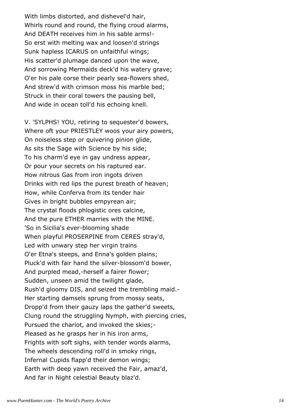With limbs distorted, and dishevel'd hair, Whirls round and round, the flying croud alarms, And DEATH receives him in his sable arms!- So erst with melting wax and loosen'd strings Sunk hapless ICARUS on unfaithful wings; His scatter'd plumage danced upon the wave, And sorrowing Mermaids deck'd his watery grave; O'er his pale corse their pearly sea-flowers shed, And strew'd with crimson moss his marble bed; Struck in their coral towers the pausing bell, And wide in ocean toll'd his echoing knell.

V. 'SYLPHS! YOU, retiring to sequester'd bowers, Where oft your PRIESTLEY woos your airy powers, On noiseless step or quivering pinion glide, As sits the Sage with Science by his side; To his charm'd eye in gay undress appear, Or pour your secrets on his raptured ear. How nitrous Gas from iron ingots driven Drinks with red lips the purest breath of heaven; How, while Conferva from its tender hair Gives in bright bubbles empyrean air; The crystal floods phlogistic ores calcine, And the pure ETHER marries with the MINE. 'So in Sicilia's ever-blooming shade When playful PROSERPINE from CERES stray'd, Led with unwary step her virgin trains O'er Etna's steeps, and Enna's golden plains; Pluck'd with fair hand the silver-blossom'd bower, And purpled mead,-herself a fairer flower; Sudden, unseen amid the twilight glade, Rush'd gloomy DIS, and seized the trembling maid.- Her starting damsels sprung from mossy seats, Dropp'd from their gauzy laps the gather'd sweets, Clung round the struggling Nymph, with piercing cries, Pursued the chariot, and invoked the skies;- Pleased as he grasps her in his iron arms, Frights with soft sighs, with tender words alarms, The wheels descending roll'd in smoky rings, Infernal Cupids flapp'd their demon wings; Earth with deep yawn received the Fair, amaz'd, And far in Night celestial Beauty blaz'd.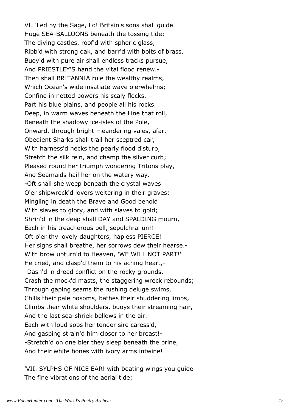VI. 'Led by the Sage, Lo! Britain's sons shall guide Huge SEA-BALLOONS beneath the tossing tide; The diving castles, roof'd with spheric glass, Ribb'd with strong oak, and barr'd with bolts of brass, Buoy'd with pure air shall endless tracks pursue, And PRIESTLEY'S hand the vital flood renew.- Then shall BRITANNIA rule the wealthy realms, Which Ocean's wide insatiate wave o'erwhelms; Confine in netted bowers his scaly flocks, Part his blue plains, and people all his rocks. Deep, in warm waves beneath the Line that roll, Beneath the shadowy ice-isles of the Pole, Onward, through bright meandering vales, afar, Obedient Sharks shall trail her sceptred car, With harness'd necks the pearly flood disturb, Stretch the silk rein, and champ the silver curb; Pleased round her triumph wondering Tritons play, And Seamaids hail her on the watery way. -Oft shall she weep beneath the crystal waves O'er shipwreck'd lovers weltering in their graves; Mingling in death the Brave and Good behold With slaves to glory, and with slaves to gold; Shrin'd in the deep shall DAY and SPALDING mourn, Each in his treacherous bell, sepulchral urn!- Oft o'er thy lovely daughters, hapless PIERCE! Her sighs shall breathe, her sorrows dew their hearse.- With brow upturn'd to Heaven, 'WE WILL NOT PART!' He cried, and clasp'd them to his aching heart,- -Dash'd in dread conflict on the rocky grounds, Crash the mock'd masts, the staggering wreck rebounds; Through gaping seams the rushing deluge swims, Chills their pale bosoms, bathes their shuddering limbs, Climbs their white shoulders, buoys their streaming hair, And the last sea-shriek bellows in the air.- Each with loud sobs her tender sire caress'd, And gasping strain'd him closer to her breast!- -Stretch'd on one bier they sleep beneath the brine, And their white bones with ivory arms intwine!

'VII. SYLPHS OF NICE EAR! with beating wings you guide The fine vibrations of the aerial tide;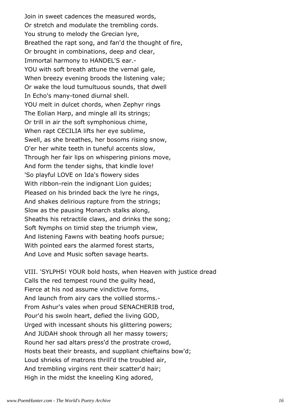Join in sweet cadences the measured words, Or stretch and modulate the trembling cords. You strung to melody the Grecian lyre, Breathed the rapt song, and fan'd the thought of fire, Or brought in combinations, deep and clear, Immortal harmony to HANDEL'S ear.- YOU with soft breath attune the vernal gale, When breezy evening broods the listening vale; Or wake the loud tumultuous sounds, that dwell In Echo's many-toned diurnal shell. YOU melt in dulcet chords, when Zephyr rings The Eolian Harp, and mingle all its strings; Or trill in air the soft symphonious chime, When rapt CECILIA lifts her eye sublime, Swell, as she breathes, her bosoms rising snow, O'er her white teeth in tuneful accents slow, Through her fair lips on whispering pinions move, And form the tender sighs, that kindle love! 'So playful LOVE on Ida's flowery sides With ribbon-rein the indignant Lion guides; Pleased on his brinded back the lyre he rings, And shakes delirious rapture from the strings; Slow as the pausing Monarch stalks along, Sheaths his retractile claws, and drinks the song; Soft Nymphs on timid step the triumph view, And listening Fawns with beating hoofs pursue; With pointed ears the alarmed forest starts, And Love and Music soften savage hearts.

VIII. 'SYLPHS! YOUR bold hosts, when Heaven with justice dread Calls the red tempest round the guilty head, Fierce at his nod assume vindictive forms, And launch from airy cars the vollied storms.- From Ashur's vales when proud SENACHERIB trod, Pour'd his swoln heart, defied the living GOD, Urged with incessant shouts his glittering powers; And JUDAH shook through all her massy towers; Round her sad altars press'd the prostrate crowd, Hosts beat their breasts, and suppliant chieftains bow'd; Loud shrieks of matrons thrill'd the troubled air, And trembling virgins rent their scatter'd hair; High in the midst the kneeling King adored,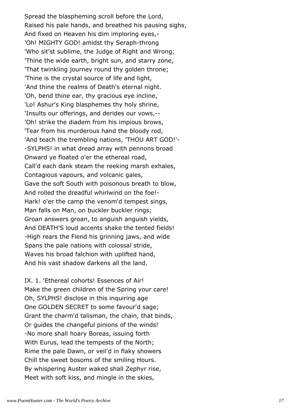Spread the blaspheming scroll before the Lord, Raised his pale hands, and breathed his pausing sighs, And fixed on Heaven his dim imploring eyes,- 'Oh! MIGHTY GOD! amidst thy Seraph-throng 'Who sit'st sublime, the Judge of Right and Wrong; 'Thine the wide earth, bright sun, and starry zone, 'That twinkling journey round thy golden throne; 'Thine is the crystal source of life and light, 'And thine the realms of Death's eternal night. 'Oh, bend thine ear, thy gracious eye incline, 'Lo! Ashur's King blasphemes thy holy shrine, 'Insults our offerings, and derides our vows,-- 'Oh! strike the diadem from his impious brows, 'Tear from his murderous hand the bloody rod, 'And teach the trembling nations, 'THOU ART GOD!'- -SYLPHS! in what dread array with pennons broad Onward ye floated o'er the ethereal road, Call'd each dank steam the reeking marsh exhales, Contagious vapours, and volcanic gales, Gave the soft South with poisonous breath to blow, And rolled the dreadful whirlwind on the foe!- Hark! o'er the camp the venom'd tempest sings, Man falls on Man, on buckler buckler rings; Groan answers groan, to anguish anguish yields, And DEATH'S loud accents shake the tented fields! -High rears the Fiend his grinning jaws, and wide Spans the pale nations with colossal stride, Waves his broad falchion with uplifted hand, And his vast shadow darkens all the land.

IX. 1. 'Ethereal cohorts! Essences of Air! Make the green children of the Spring your care! Oh, SYLPHS! disclose in this inquiring age One GOLDEN SECRET to some favour'd sage; Grant the charm'd talisman, the chain, that binds, Or guides the changeful pinions of the winds! -No more shall hoary Boreas, issuing forth With Eurus, lead the tempests of the North; Rime the pale Dawn, or veil'd in flaky showers Chill the sweet bosoms of the smiling Hours. By whispering Auster waked shall Zephyr rise, Meet with soft kiss, and mingle in the skies,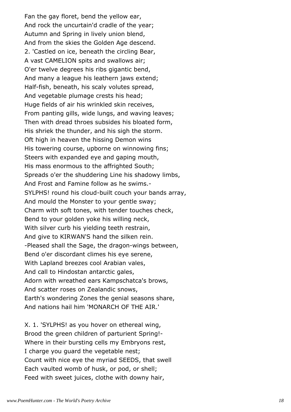Fan the gay floret, bend the yellow ear, And rock the uncurtain'd cradle of the year; Autumn and Spring in lively union blend, And from the skies the Golden Age descend. 2. 'Castled on ice, beneath the circling Bear, A vast CAMELION spits and swallows air; O'er twelve degrees his ribs gigantic bend, And many a league his leathern jaws extend; Half-fish, beneath, his scaly volutes spread, And vegetable plumage crests his head; Huge fields of air his wrinkled skin receives, From panting gills, wide lungs, and waving leaves; Then with dread throes subsides his bloated form, His shriek the thunder, and his sigh the storm. Oft high in heaven the hissing Demon wins His towering course, upborne on winnowing fins; Steers with expanded eye and gaping mouth, His mass enormous to the affrighted South; Spreads o'er the shuddering Line his shadowy limbs, And Frost and Famine follow as he swims.- SYLPHS! round his cloud-built couch your bands array, And mould the Monster to your gentle sway; Charm with soft tones, with tender touches check, Bend to your golden yoke his willing neck, With silver curb his yielding teeth restrain, And give to KIRWAN'S hand the silken rein. -Pleased shall the Sage, the dragon-wings between, Bend o'er discordant climes his eye serene, With Lapland breezes cool Arabian vales, And call to Hindostan antarctic gales, Adorn with wreathed ears Kampschatca's brows, And scatter roses on Zealandic snows, Earth's wondering Zones the genial seasons share, And nations hail him 'MONARCH OF THE AIR.'

X. 1. 'SYLPHS! as you hover on ethereal wing, Brood the green children of parturient Spring!- Where in their bursting cells my Embryons rest, I charge you guard the vegetable nest; Count with nice eye the myriad SEEDS, that swell Each vaulted womb of husk, or pod, or shell; Feed with sweet juices, clothe with downy hair,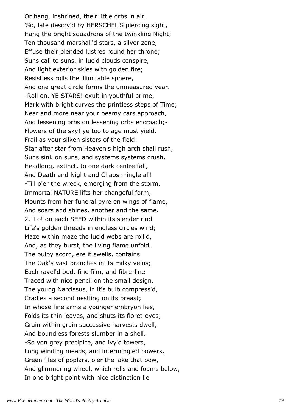Or hang, inshrined, their little orbs in air. 'So, late descry'd by HERSCHEL'S piercing sight, Hang the bright squadrons of the twinkling Night; Ten thousand marshall'd stars, a silver zone, Effuse their blended lustres round her throne; Suns call to suns, in lucid clouds conspire, And light exterior skies with golden fire; Resistless rolls the illimitable sphere, And one great circle forms the unmeasured year. -Roll on, YE STARS! exult in youthful prime, Mark with bright curves the printless steps of Time; Near and more near your beamy cars approach, And lessening orbs on lessening orbs encroach;- Flowers of the sky! ye too to age must yield, Frail as your silken sisters of the field! Star after star from Heaven's high arch shall rush, Suns sink on suns, and systems systems crush, Headlong, extinct, to one dark centre fall, And Death and Night and Chaos mingle all! -Till o'er the wreck, emerging from the storm, Immortal NATURE lifts her changeful form, Mounts from her funeral pyre on wings of flame, And soars and shines, another and the same. 2. 'Lo! on each SEED within its slender rind Life's golden threads in endless circles wind; Maze within maze the lucid webs are roll'd, And, as they burst, the living flame unfold. The pulpy acorn, ere it swells, contains The Oak's vast branches in its milky veins; Each ravel'd bud, fine film, and fibre-line Traced with nice pencil on the small design. The young Narcissus, in it's bulb compress'd, Cradles a second nestling on its breast; In whose fine arms a younger embryon lies, Folds its thin leaves, and shuts its floret-eyes; Grain within grain successive harvests dwell, And boundless forests slumber in a shell. -So yon grey precipice, and ivy'd towers, Long winding meads, and intermingled bowers, Green files of poplars, o'er the lake that bow, And glimmering wheel, which rolls and foams below, In one bright point with nice distinction lie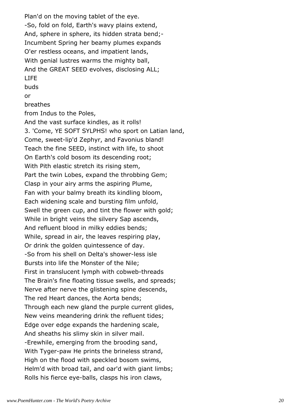Plan'd on the moving tablet of the eye. -So, fold on fold, Earth's wavy plains extend, And, sphere in sphere, its hidden strata bend;- Incumbent Spring her beamy plumes expands O'er restless oceans, and impatient lands, With genial lustres warms the mighty ball, And the GREAT SEED evolves, disclosing ALL; LIFE

buds

or

breathes

from Indus to the Poles,

And the vast surface kindles, as it rolls! 3. 'Come, YE SOFT SYLPHS! who sport on Latian land, Come, sweet-lip'd Zephyr, and Favonius bland! Teach the fine SEED, instinct with life, to shoot On Earth's cold bosom its descending root; With Pith elastic stretch its rising stem, Part the twin Lobes, expand the throbbing Gem; Clasp in your airy arms the aspiring Plume, Fan with your balmy breath its kindling bloom, Each widening scale and bursting film unfold, Swell the green cup, and tint the flower with gold; While in bright veins the silvery Sap ascends, And refluent blood in milky eddies bends; While, spread in air, the leaves respiring play, Or drink the golden quintessence of day. -So from his shell on Delta's shower-less isle Bursts into life the Monster of the Nile; First in translucent lymph with cobweb-threads The Brain's fine floating tissue swells, and spreads; Nerve after nerve the glistening spine descends, The red Heart dances, the Aorta bends; Through each new gland the purple current glides, New veins meandering drink the refluent tides; Edge over edge expands the hardening scale, And sheaths his slimy skin in silver mail. -Erewhile, emerging from the brooding sand, With Tyger-paw He prints the brineless strand, High on the flood with speckled bosom swims, Helm'd with broad tail, and oar'd with giant limbs; Rolls his fierce eye-balls, clasps his iron claws,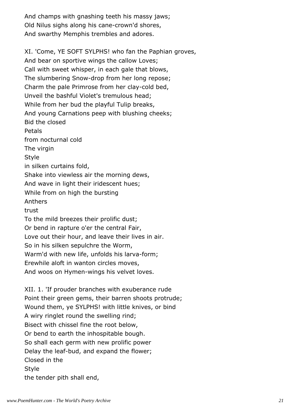And champs with gnashing teeth his massy jaws; Old Nilus sighs along his cane-crown'd shores, And swarthy Memphis trembles and adores.

XI. 'Come, YE SOFT SYLPHS! who fan the Paphian groves, And bear on sportive wings the callow Loves; Call with sweet whisper, in each gale that blows, The slumbering Snow-drop from her long repose; Charm the pale Primrose from her clay-cold bed, Unveil the bashful Violet's tremulous head; While from her bud the playful Tulip breaks, And young Carnations peep with blushing cheeks; Bid the closed Petals from nocturnal cold The virgin Style in silken curtains fold, Shake into viewless air the morning dews, And wave in light their iridescent hues; While from on high the bursting Anthers trust To the mild breezes their prolific dust; Or bend in rapture o'er the central Fair, Love out their hour, and leave their lives in air. So in his silken sepulchre the Worm, Warm'd with new life, unfolds his larva-form; Erewhile aloft in wanton circles moves, And woos on Hymen-wings his velvet loves.

XII. 1. 'If prouder branches with exuberance rude Point their green gems, their barren shoots protrude; Wound them, ye SYLPHS! with little knives, or bind A wiry ringlet round the swelling rind; Bisect with chissel fine the root below, Or bend to earth the inhospitable bough. So shall each germ with new prolific power Delay the leaf-bud, and expand the flower; Closed in the Style the tender pith shall end,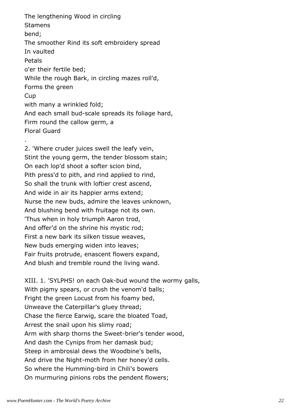The lengthening Wood in circling **Stamens** bend; The smoother Rind its soft embroidery spread In vaulted Petals o'er their fertile bed; While the rough Bark, in circling mazes roll'd, Forms the green **Cup** with many a wrinkled fold; And each small bud-scale spreads its foliage hard, Firm round the callow germ, a Floral Guard .

2. 'Where cruder juices swell the leafy vein, Stint the young germ, the tender blossom stain; On each lop'd shoot a softer scion bind, Pith press'd to pith, and rind applied to rind, So shall the trunk with loftier crest ascend, And wide in air its happier arms extend; Nurse the new buds, admire the leaves unknown, And blushing bend with fruitage not its own. 'Thus when in holy triumph Aaron trod, And offer'd on the shrine his mystic rod; First a new bark its silken tissue weaves, New buds emerging widen into leaves; Fair fruits protrude, enascent flowers expand, And blush and tremble round the living wand.

XIII. 1. 'SYLPHS! on each Oak-bud wound the wormy galls, With pigmy spears, or crush the venom'd balls; Fright the green Locust from his foamy bed, Unweave the Caterpillar's gluey thread; Chase the fierce Earwig, scare the bloated Toad, Arrest the snail upon his slimy road; Arm with sharp thorns the Sweet-brier's tender wood, And dash the Cynips from her damask bud; Steep in ambrosial dews the Woodbine's bells, And drive the Night-moth from her honey'd cells. So where the Humming-bird in Chili's bowers On murmuring pinions robs the pendent flowers;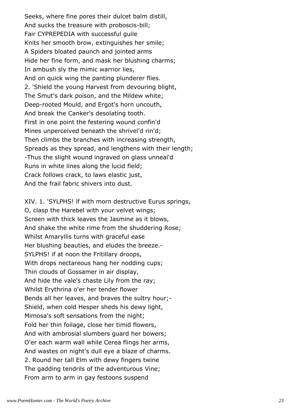Seeks, where fine pores their dulcet balm distill, And sucks the treasure with proboscis-bill; Fair CYPREPEDIA with successful guile Knits her smooth brow, extinguishes her smile; A Spiders bloated paunch and jointed arms Hide her fine form, and mask her blushing charms; In ambush sly the mimic warrior lies, And on quick wing the panting plunderer flies. 2. 'Shield the young Harvest from devouring blight, The Smut's dark poison, and the Mildew white; Deep-rooted Mould, and Ergot's horn uncouth, And break the Canker's desolating tooth. First in one point the festering wound confin'd Mines unperceived beneath the shrivel'd rin'd; Then climbs the branches with increasing strength, Spreads as they spread, and lengthens with their length; -Thus the slight wound ingraved on glass unneal'd Runs in white lines along the lucid field; Crack follows crack, to laws elastic just, And the frail fabric shivers into dust.

XIV. 1. 'SYLPHS! if with morn destructive Eurus springs, O, clasp the Harebel with your velvet wings; Screen with thick leaves the Jasmine as it blows, And shake the white rime from the shuddering Rose; Whilst Amaryllis turns with graceful ease Her blushing beauties, and eludes the breeze.- SYLPHS! if at noon the Fritillary droops, With drops nectareous hang her nodding cups; Thin clouds of Gossamer in air display, And hide the vale's chaste Lily from the ray; Whilst Erythrina o'er her tender flower Bends all her leaves, and braves the sultry hour;- Shield, when cold Hesper sheds his dewy light, Mimosa's soft sensations from the night; Fold her thin foilage, close her timid flowers, And with ambrosial slumbers guard her bowers; O'er each warm wall while Cerea flings her arms, And wastes on night's dull eye a blaze of charms. 2. Round her tall Elm with dewy fingers twine The gadding tendrils of the adventurous Vine; From arm to arm in gay festoons suspend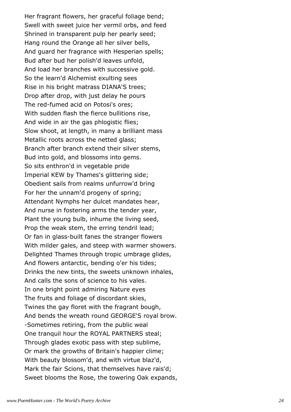Her fragrant flowers, her graceful foliage bend; Swell with sweet juice her vermil orbs, and feed Shrined in transparent pulp her pearly seed; Hang round the Orange all her silver bells, And guard her fragrance with Hesperian spells; Bud after bud her polish'd leaves unfold, And load her branches with successive gold. So the learn'd Alchemist exulting sees Rise in his bright matrass DIANA'S trees; Drop after drop, with just delay he pours The red-fumed acid on Potosi's ores; With sudden flash the fierce bullitions rise, And wide in air the gas phlogistic flies; Slow shoot, at length, in many a brilliant mass Metallic roots across the netted glass; Branch after branch extend their silver stems, Bud into gold, and blossoms into gems. So sits enthron'd in vegetable pride Imperial KEW by Thames's glittering side; Obedient sails from realms unfurrow'd bring For her the unnam'd progeny of spring; Attendant Nymphs her dulcet mandates hear, And nurse in fostering arms the tender year, Plant the young bulb, inhume the living seed, Prop the weak stem, the erring tendril lead; Or fan in glass-built fanes the stranger flowers With milder gales, and steep with warmer showers. Delighted Thames through tropic umbrage glides, And flowers antarctic, bending o'er his tides; Drinks the new tints, the sweets unknown inhales, And calls the sons of science to his vales. In one bright point admiring Nature eyes The fruits and foliage of discordant skies, Twines the gay floret with the fragrant bough, And bends the wreath round GEORGE'S royal brow. -Sometimes retiring, from the public weal One tranquil hour the ROYAL PARTNERS steal; Through glades exotic pass with step sublime, Or mark the growths of Britain's happier clime; With beauty blossom'd, and with virtue blaz'd, Mark the fair Scions, that themselves have rais'd; Sweet blooms the Rose, the towering Oak expands,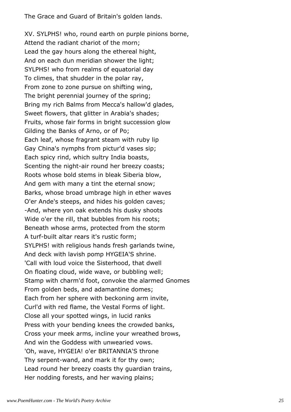The Grace and Guard of Britain's golden lands.

XV. SYLPHS! who, round earth on purple pinions borne, Attend the radiant chariot of the morn; Lead the gay hours along the ethereal hight, And on each dun meridian shower the light; SYLPHS! who from realms of equatorial day To climes, that shudder in the polar ray, From zone to zone pursue on shifting wing, The bright perennial journey of the spring; Bring my rich Balms from Mecca's hallow'd glades, Sweet flowers, that glitter in Arabia's shades; Fruits, whose fair forms in bright succession glow Gilding the Banks of Arno, or of Po; Each leaf, whose fragrant steam with ruby lip Gay China's nymphs from pictur'd vases sip; Each spicy rind, which sultry India boasts, Scenting the night-air round her breezy coasts; Roots whose bold stems in bleak Siberia blow, And gem with many a tint the eternal snow; Barks, whose broad umbrage high in ether waves O'er Ande's steeps, and hides his golden caves; -And, where yon oak extends his dusky shoots Wide o'er the rill, that bubbles from his roots; Beneath whose arms, protected from the storm A turf-built altar rears it's rustic form; SYLPHS! with religious hands fresh garlands twine, And deck with lavish pomp HYGEIA'S shrine. 'Call with loud voice the Sisterhood, that dwell On floating cloud, wide wave, or bubbling well; Stamp with charm'd foot, convoke the alarmed Gnomes From golden beds, and adamantine domes; Each from her sphere with beckoning arm invite, Curl'd with red flame, the Vestal Forms of light. Close all your spotted wings, in lucid ranks Press with your bending knees the crowded banks, Cross your meek arms, incline your wreathed brows, And win the Goddess with unwearied vows. 'Oh, wave, HYGEIA! o'er BRITANNIA'S throne Thy serpent-wand, and mark it for thy own; Lead round her breezy coasts thy guardian trains, Her nodding forests, and her waving plains;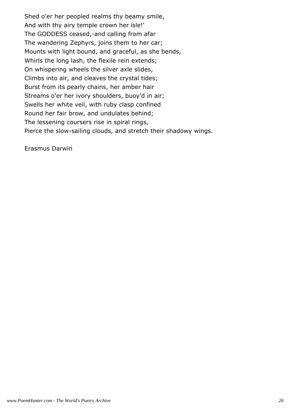Shed o'er her peopled realms thy beamy smile, And with thy airy temple crown her isle!' The GODDESS ceased,-and calling from afar The wandering Zephyrs, joins them to her car; Mounts with light bound, and graceful, as she bends, Whirls the long lash, the flexile rein extends; On whispering wheels the silver axle slides, Climbs into air, and cleaves the crystal tides; Burst from its pearly chains, her amber hair Streams o'er her ivory shoulders, buoy'd in air; Swells her white veil, with ruby clasp confined Round her fair brow, and undulates behind; The lessening coursers rise in spiral rings, Pierce the slow-sailing clouds, and stretch their shadowy wings.

Erasmus Darwin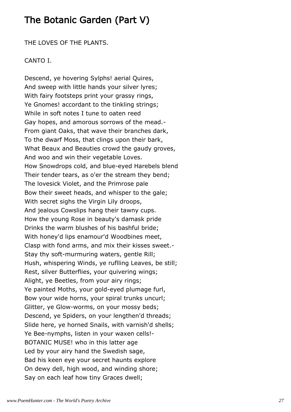## The Botanic Garden (Part V)

THE LOVES OF THE PLANTS.

#### CANTO I.

Descend, ye hovering Sylphs! aerial Quires, And sweep with little hands your silver lyres; With fairy footsteps print your grassy rings, Ye Gnomes! accordant to the tinkling strings; While in soft notes I tune to oaten reed Gay hopes, and amorous sorrows of the mead.- From giant Oaks, that wave their branches dark, To the dwarf Moss, that clings upon their bark, What Beaux and Beauties crowd the gaudy groves, And woo and win their vegetable Loves. How Snowdrops cold, and blue-eyed Harebels blend Their tender tears, as o'er the stream they bend; The lovesick Violet, and the Primrose pale Bow their sweet heads, and whisper to the gale; With secret sighs the Virgin Lily droops, And jealous Cowslips hang their tawny cups. How the young Rose in beauty's damask pride Drinks the warm blushes of his bashful bride; With honey'd lips enamour'd Woodbines meet, Clasp with fond arms, and mix their kisses sweet.- Stay thy soft-murmuring waters, gentle Rill; Hush, whispering Winds, ye ruflling Leaves, be still; Rest, silver Butterflies, your quivering wings; Alight, ye Beetles, from your airy rings; Ye painted Moths, your gold-eyed plumage furl, Bow your wide horns, your spiral trunks uncurl; Glitter, ye Glow-worms, on your mossy beds; Descend, ye Spiders, on your lengthen'd threads; Slide here, ye horned Snails, with varnish'd shells; Ye Bee-nymphs, listen in your waxen cells!- BOTANIC MUSE! who in this latter age Led by your airy hand the Swedish sage, Bad his keen eye your secret haunts explore On dewy dell, high wood, and winding shore; Say on each leaf how tiny Graces dwell;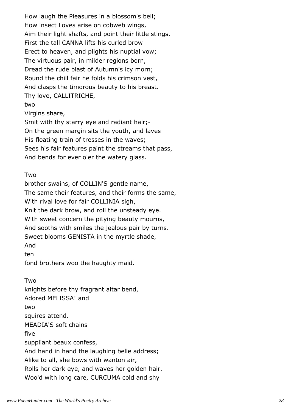How laugh the Pleasures in a blossom's bell; How insect Loves arise on cobweb wings, Aim their light shafts, and point their little stings. First the tall CANNA lifts his curled brow Erect to heaven, and plights his nuptial vow; The virtuous pair, in milder regions born, Dread the rude blast of Autumn's icy morn; Round the chill fair he folds his crimson vest, And clasps the timorous beauty to his breast. Thy love, CALLITRICHE,

#### two

Virgins share,

Smit with thy starry eye and radiant hair;- On the green margin sits the youth, and laves His floating train of tresses in the waves; Sees his fair features paint the streams that pass, And bends for ever o'er the watery glass.

#### Two

brother swains, of COLLIN'S gentle name, The same their features, and their forms the same, With rival love for fair COLLINIA sigh, Knit the dark brow, and roll the unsteady eye. With sweet concern the pitying beauty mourns, And sooths with smiles the jealous pair by turns. Sweet blooms GENISTA in the myrtle shade, And ten

fond brothers woo the haughty maid.

Two knights before thy fragrant altar bend, Adored MELISSA! and two squires attend. MEADIA'S soft chains five suppliant beaux confess, And hand in hand the laughing belle address; Alike to all, she bows with wanton air, Rolls her dark eye, and waves her golden hair. Woo'd with long care, CURCUMA cold and shy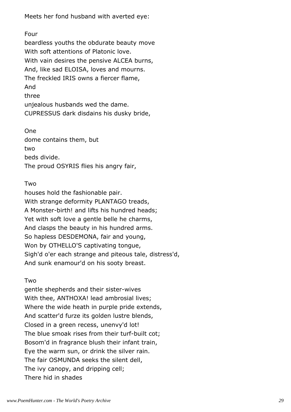Meets her fond husband with averted eye:

Four beardless youths the obdurate beauty move With soft attentions of Platonic love. With vain desires the pensive ALCEA burns, And, like sad ELOISA, loves and mourns. The freckled IRIS owns a fiercer flame, And three unjealous husbands wed the dame. CUPRESSUS dark disdains his dusky bride,

One dome contains them, but two beds divide. The proud OSYRIS flies his angry fair,

### Two

houses hold the fashionable pair. With strange deformity PLANTAGO treads, A Monster-birth! and lifts his hundred heads; Yet with soft love a gentle belle he charms, And clasps the beauty in his hundred arms. So hapless DESDEMONA, fair and young, Won by OTHELLO'S captivating tongue, Sigh'd o'er each strange and piteous tale, distress'd, And sunk enamour'd on his sooty breast.

#### Two

gentle shepherds and their sister-wives With thee, ANTHOXA! lead ambrosial lives; Where the wide heath in purple pride extends, And scatter'd furze its golden lustre blends, Closed in a green recess, unenvy'd lot! The blue smoak rises from their turf-built cot; Bosom'd in fragrance blush their infant train, Eye the warm sun, or drink the silver rain. The fair OSMUNDA seeks the silent dell, The ivy canopy, and dripping cell; There hid in shades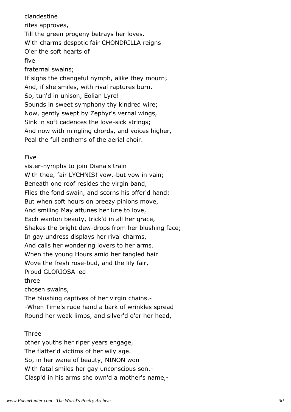clandestine rites approves, Till the green progeny betrays her loves. With charms despotic fair CHONDRILLA reigns O'er the soft hearts of five fraternal swains; If sighs the changeful nymph, alike they mourn; And, if she smiles, with rival raptures burn. So, tun'd in unison, Eolian Lyre! Sounds in sweet symphony thy kindred wire; Now, gently swept by Zephyr's vernal wings, Sink in soft cadences the love-sick strings; And now with mingling chords, and voices higher, Peal the full anthems of the aerial choir.

#### Five

sister-nymphs to join Diana's train With thee, fair LYCHNIS! vow,-but vow in vain; Beneath one roof resides the virgin band, Flies the fond swain, and scorns his offer'd hand; But when soft hours on breezy pinions move, And smiling May attunes her lute to love, Each wanton beauty, trick'd in all her grace, Shakes the bright dew-drops from her blushing face; In gay undress displays her rival charms, And calls her wondering lovers to her arms. When the young Hours amid her tangled hair Wove the fresh rose-bud, and the lily fair, Proud GLORIOSA led three chosen swains, The blushing captives of her virgin chains.-

-When Time's rude hand a bark of wrinkles spread Round her weak limbs, and silver'd o'er her head,

#### Three

other youths her riper years engage, The flatter'd victims of her wily age. So, in her wane of beauty, NINON won With fatal smiles her gay unconscious son.- Clasp'd in his arms she own'd a mother's name,-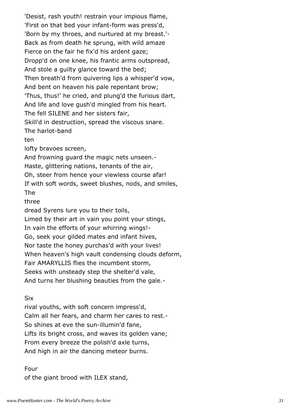'Desist, rash youth! restrain your impious flame, 'First on that bed your infant-form was press'd, 'Born by my throes, and nurtured at my breast.'- Back as from death he sprung, with wild amaze Fierce on the fair he fix'd his ardent gaze; Dropp'd on one knee, his frantic arms outspread, And stole a guilty glance toward the bed; Then breath'd from quivering lips a whisper'd vow, And bent on heaven his pale repentant brow; 'Thus, thus!' he cried, and plung'd the furious dart, And life and love gush'd mingled from his heart. The fell SILENE and her sisters fair, Skill'd in destruction, spread the viscous snare. The harlot-band ten lofty bravoes screen, And frowning guard the magic nets unseen.- Haste, glittering nations, tenants of the air, Oh, steer from hence your viewless course afar! If with soft words, sweet blushes, nods, and smiles, The three dread Syrens lure you to their toils, Limed by their art in vain you point your stings, In vain the efforts of your whirring wings!- Go, seek your gilded mates and infant hives, Nor taste the honey purchas'd with your lives! When heaven's high vault condensing clouds deform, Fair AMARYLLIS flies the incumbent storm, Seeks with unsteady step the shelter'd vale, And turns her blushing beauties from the gale.-

#### Six

rival youths, with soft concern impress'd, Calm all her fears, and charm her cares to rest.- So shines at eve the sun-illumin'd fane, Lifts its bright cross, and waves its golden vane; From every breeze the polish'd axle turns, And high in air the dancing meteor burns.

Four of the giant brood with ILEX stand,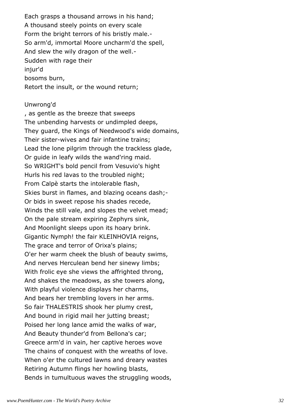Each grasps a thousand arrows in his hand; A thousand steely points on every scale Form the bright terrors of his bristly male.- So arm'd, immortal Moore uncharm'd the spell, And slew the wily dragon of the well.- Sudden with rage their injur'd bosoms burn, Retort the insult, or the wound return;

#### Unwrong'd

, as gentle as the breeze that sweeps The unbending harvests or undimpled deeps, They guard, the Kings of Needwood's wide domains, Their sister-wives and fair infantine trains; Lead the lone pilgrim through the trackless glade, Or guide in leafy wilds the wand'ring maid. So WRIGHT's bold pencil from Vesuvio's hight Hurls his red lavas to the troubled night; From Calpè starts the intolerable flash, Skies burst in flames, and blazing oceans dash;- Or bids in sweet repose his shades recede, Winds the still vale, and slopes the velvet mead; On the pale stream expiring Zephyrs sink, And Moonlight sleeps upon its hoary brink. Gigantic Nymph! the fair KLEINHOVIA reigns, The grace and terror of Orixa's plains; O'er her warm cheek the blush of beauty swims, And nerves Herculean bend her sinewy limbs; With frolic eye she views the affrighted throng, And shakes the meadows, as she towers along, With playful violence displays her charms, And bears her trembling lovers in her arms. So fair THALESTRIS shook her plumy crest, And bound in rigid mail her jutting breast; Poised her long lance amid the walks of war, And Beauty thunder'd from Bellona's car; Greece arm'd in vain, her captive heroes wove The chains of conquest with the wreaths of love. When o'er the cultured lawns and dreary wastes Retiring Autumn flings her howling blasts, Bends in tumultuous waves the struggling woods,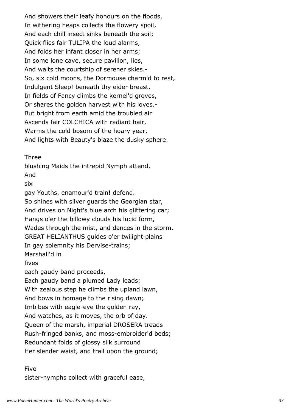And showers their leafy honours on the floods, In withering heaps collects the flowery spoil, And each chill insect sinks beneath the soil; Quick flies fair TULIPA the loud alarms, And folds her infant closer in her arms; In some lone cave, secure pavilion, lies, And waits the courtship of serener skies.- So, six cold moons, the Dormouse charm'd to rest, Indulgent Sleep! beneath thy eider breast, In fields of Fancy climbs the kernel'd groves, Or shares the golden harvest with his loves.- But bright from earth amid the troubled air Ascends fair COLCHICA with radiant hair, Warms the cold bosom of the hoary year, And lights with Beauty's blaze the dusky sphere.

Three

blushing Maids the intrepid Nymph attend, And six gay Youths, enamour'd train! defend. So shines with silver guards the Georgian star, And drives on Night's blue arch his glittering car; Hangs o'er the billowy clouds his lucid form, Wades through the mist, and dances in the storm. GREAT HELIANTHUS guides o'er twilight plains In gay solemnity his Dervise-trains; Marshall'd in fives each gaudy band proceeds, Each gaudy band a plumed Lady leads; With zealous step he climbs the upland lawn, And bows in homage to the rising dawn; Imbibes with eagle-eye the golden ray, And watches, as it moves, the orb of day.

Queen of the marsh, imperial DROSERA treads

Rush-fringed banks, and moss-embroider'd beds;

Redundant folds of glossy silk surround

Her slender waist, and trail upon the ground;

Five

sister-nymphs collect with graceful ease,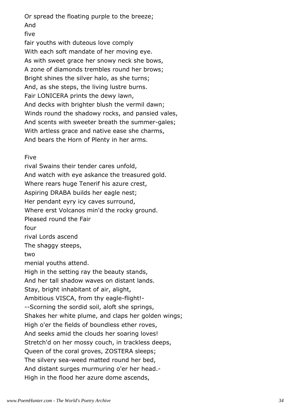Or spread the floating purple to the breeze; And

five

fair youths with duteous love comply With each soft mandate of her moving eye. As with sweet grace her snowy neck she bows, A zone of diamonds trembles round her brows; Bright shines the silver halo, as she turns; And, as she steps, the living lustre burns. Fair LONICERA prints the dewy lawn, And decks with brighter blush the vermil dawn; Winds round the shadowy rocks, and pansied vales, And scents with sweeter breath the summer-gales; With artless grace and native ease she charms, And bears the Horn of Plenty in her arms.

### Five

rival Swains their tender cares unfold, And watch with eye askance the treasured gold. Where rears huge Tenerif his azure crest, Aspiring DRABA builds her eagle nest; Her pendant eyry icy caves surround, Where erst Volcanos min'd the rocky ground. Pleased round the Fair four rival Lords ascend The shaggy steeps, two menial youths attend. High in the setting ray the beauty stands, And her tall shadow waves on distant lands. Stay, bright inhabitant of air, alight, Ambitious VISCA, from thy eagle-flight!- --Scorning the sordid soil, aloft she springs, Shakes her white plume, and claps her golden wings; High o'er the fields of boundless ether roves, And seeks amid the clouds her soaring loves! Stretch'd on her mossy couch, in trackless deeps, Queen of the coral groves, ZOSTERA sleeps; The silvery sea-weed matted round her bed, And distant surges murmuring o'er her head.- High in the flood her azure dome ascends,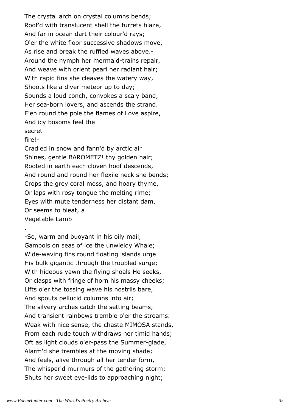The crystal arch on crystal columns bends; Roof'd with translucent shell the turrets blaze, And far in ocean dart their colour'd rays; O'er the white floor successive shadows move, As rise and break the ruffled waves above.- Around the nymph her mermaid-trains repair, And weave with orient pearl her radiant hair; With rapid fins she cleaves the watery way, Shoots like a diver meteor up to day; Sounds a loud conch, convokes a scaly band, Her sea-born lovers, and ascends the strand. E'en round the pole the flames of Love aspire, And icy bosoms feel the secret

fire!-

.

Cradled in snow and fann'd by arctic air Shines, gentle BAROMETZ! thy golden hair; Rooted in earth each cloven hoof descends, And round and round her flexile neck she bends; Crops the grey coral moss, and hoary thyme, Or laps with rosy tongue the melting rime; Eyes with mute tenderness her distant dam, Or seems to bleat, a Vegetable Lamb

-So, warm and buoyant in his oily mail, Gambols on seas of ice the unwieldy Whale; Wide-waving fins round floating islands urge His bulk gigantic through the troubled surge; With hideous yawn the flying shoals He seeks, Or clasps with fringe of horn his massy cheeks; Lifts o'er the tossing wave his nostrils bare, And spouts pellucid columns into air; The silvery arches catch the setting beams, And transient rainbows tremble o'er the streams. Weak with nice sense, the chaste MIMOSA stands, From each rude touch withdraws her timid hands; Oft as light clouds o'er-pass the Summer-glade, Alarm'd she trembles at the moving shade; And feels, alive through all her tender form, The whisper'd murmurs of the gathering storm; Shuts her sweet eye-lids to approaching night;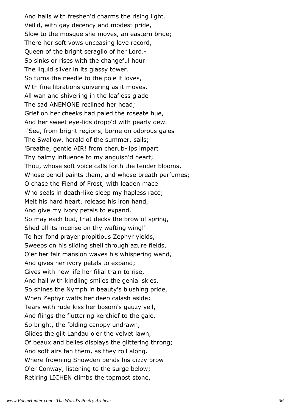And hails with freshen'd charms the rising light. Veil'd, with gay decency and modest pride, Slow to the mosque she moves, an eastern bride; There her soft vows unceasing love record, Queen of the bright seraglio of her Lord.- So sinks or rises with the changeful hour The liquid silver in its glassy tower. So turns the needle to the pole it loves, With fine librations quivering as it moves. All wan and shivering in the leafless glade The sad ANEMONE reclined her head; Grief on her cheeks had paled the roseate hue, And her sweet eye-lids dropp'd with pearly dew. -'See, from bright regions, borne on odorous gales The Swallow, herald of the summer, sails; 'Breathe, gentle AIR! from cherub-lips impart Thy balmy influence to my anguish'd heart; Thou, whose soft voice calls forth the tender blooms, Whose pencil paints them, and whose breath perfumes; O chase the Fiend of Frost, with leaden mace Who seals in death-like sleep my hapless race; Melt his hard heart, release his iron hand, And give my ivory petals to expand. So may each bud, that decks the brow of spring, Shed all its incense on thy wafting wing!'- To her fond prayer propitious Zephyr yields, Sweeps on his sliding shell through azure fields, O'er her fair mansion waves his whispering wand, And gives her ivory petals to expand; Gives with new life her filial train to rise, And hail with kindling smiles the genial skies. So shines the Nymph in beauty's blushing pride, When Zephyr wafts her deep calash aside; Tears with rude kiss her bosom's gauzy veil, And flings the fluttering kerchief to the gale. So bright, the folding canopy undrawn, Glides the gilt Landau o'er the velvet lawn, Of beaux and belles displays the glittering throng; And soft airs fan them, as they roll along. Where frowning Snowden bends his dizzy brow O'er Conway, listening to the surge below; Retiring LICHEN climbs the topmost stone,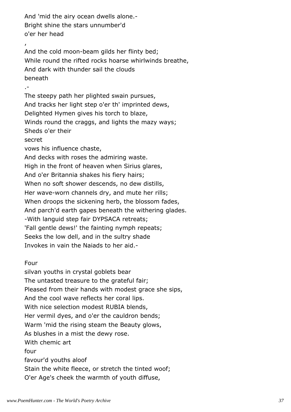And 'mid the airy ocean dwells alone.- Bright shine the stars unnumber'd o'er her head , And the cold moon-beam gilds her flinty bed; While round the rifted rocks hoarse whirlwinds breathe, And dark with thunder sail the clouds beneath .- The steepy path her plighted swain pursues, And tracks her light step o'er th' imprinted dews, Delighted Hymen gives his torch to blaze, Winds round the craggs, and lights the mazy ways; Sheds o'er their secret vows his influence chaste, And decks with roses the admiring waste. High in the front of heaven when Sirius glares, And o'er Britannia shakes his fiery hairs; When no soft shower descends, no dew distills, Her wave-worn channels dry, and mute her rills; When droops the sickening herb, the blossom fades, And parch'd earth gapes beneath the withering glades. -With languid step fair DYPSACA retreats; 'Fall gentle dews!' the fainting nymph repeats; Seeks the low dell, and in the sultry shade Invokes in vain the Naiads to her aid.-

### Four

silvan youths in crystal goblets bear The untasted treasure to the grateful fair; Pleased from their hands with modest grace she sips, And the cool wave reflects her coral lips. With nice selection modest RUBIA blends, Her vermil dyes, and o'er the cauldron bends; Warm 'mid the rising steam the Beauty glows, As blushes in a mist the dewy rose. With chemic art four favour'd youths aloof Stain the white fleece, or stretch the tinted woof; O'er Age's cheek the warmth of youth diffuse,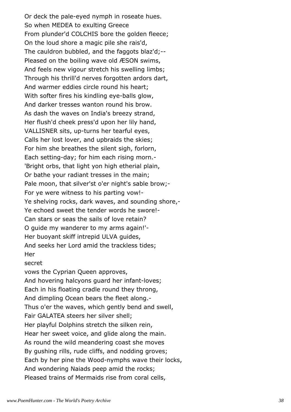Or deck the pale-eyed nymph in roseate hues. So when MEDEA to exulting Greece From plunder'd COLCHIS bore the golden fleece; On the loud shore a magic pile she rais'd, The cauldron bubbled, and the faggots blaz'd;-- Pleased on the boiling wave old ÆSON swims, And feels new vigour stretch his swelling limbs; Through his thrill'd nerves forgotten ardors dart, And warmer eddies circle round his heart; With softer fires his kindling eye-balls glow, And darker tresses wanton round his brow. As dash the waves on India's breezy strand, Her flush'd cheek press'd upon her lily hand, VALLISNER sits, up-turns her tearful eyes, Calls her lost lover, and upbraids the skies; For him she breathes the silent sigh, forlorn, Each setting-day; for him each rising morn.- 'Bright orbs, that light yon high etherial plain, Or bathe your radiant tresses in the main; Pale moon, that silver'st o'er night's sable brow;-For ye were witness to his parting vow!- Ye shelving rocks, dark waves, and sounding shore,- Ye echoed sweet the tender words he swore!- Can stars or seas the sails of love retain? O guide my wanderer to my arms again!'- Her buoyant skiff intrepid ULVA guides, And seeks her Lord amid the trackless tides; **Her** secret vows the Cyprian Queen approves, And hovering halcyons guard her infant-loves; Each in his floating cradle round they throng, And dimpling Ocean bears the fleet along.- Thus o'er the waves, which gently bend and swell, Fair GALATEA steers her silver shell; Her playful Dolphins stretch the silken rein, Hear her sweet voice, and glide along the main. As round the wild meandering coast she moves

By gushing rills, rude cliffs, and nodding groves;

Each by her pine the Wood-nymphs wave their locks,

And wondering Naiads peep amid the rocks;

Pleased trains of Mermaids rise from coral cells,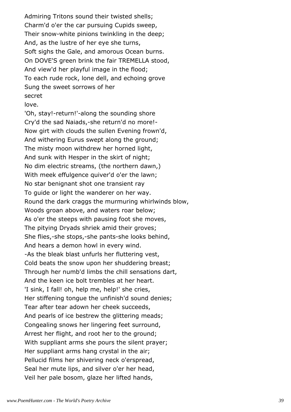Admiring Tritons sound their twisted shells; Charm'd o'er the car pursuing Cupids sweep, Their snow-white pinions twinkling in the deep; And, as the lustre of her eye she turns, Soft sighs the Gale, and amorous Ocean burns. On DOVE'S green brink the fair TREMELLA stood, And view'd her playful image in the flood; To each rude rock, lone dell, and echoing grove Sung the sweet sorrows of her secret

#### love.

'Oh, stay!-return!'-along the sounding shore Cry'd the sad Naiads,-she return'd no more!- Now girt with clouds the sullen Evening frown'd, And withering Eurus swept along the ground; The misty moon withdrew her horned light, And sunk with Hesper in the skirt of night; No dim electric streams, (the northern dawn,) With meek effulgence quiver'd o'er the lawn; No star benignant shot one transient ray To guide or light the wanderer on her way. Round the dark craggs the murmuring whirlwinds blow, Woods groan above, and waters roar below; As o'er the steeps with pausing foot she moves, The pitying Dryads shriek amid their groves; She flies,-she stops,-she pants-she looks behind, And hears a demon howl in every wind. -As the bleak blast unfurls her fluttering vest, Cold beats the snow upon her shuddering breast; Through her numb'd limbs the chill sensations dart, And the keen ice bolt trembles at her heart. 'I sink, I fall! oh, help me, help!' she cries, Her stiffening tongue the unfinish'd sound denies; Tear after tear adown her cheek succeeds, And pearls of ice bestrew the glittering meads; Congealing snows her lingering feet surround, Arrest her flight, and root her to the ground; With suppliant arms she pours the silent prayer; Her suppliant arms hang crystal in the air; Pellucid films her shivering neck o'erspread, Seal her mute lips, and silver o'er her head, Veil her pale bosom, glaze her lifted hands,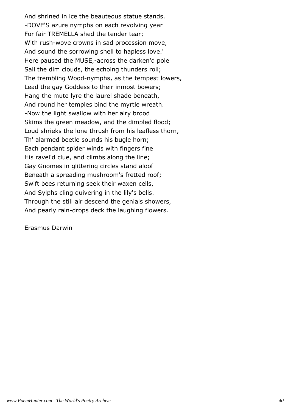And shrined in ice the beauteous statue stands. -DOVE'S azure nymphs on each revolving year For fair TREMELLA shed the tender tear; With rush-wove crowns in sad procession move, And sound the sorrowing shell to hapless love.' Here paused the MUSE,-across the darken'd pole Sail the dim clouds, the echoing thunders roll; The trembling Wood-nymphs, as the tempest lowers, Lead the gay Goddess to their inmost bowers; Hang the mute lyre the laurel shade beneath, And round her temples bind the myrtle wreath. -Now the light swallow with her airy brood Skims the green meadow, and the dimpled flood; Loud shrieks the lone thrush from his leafless thorn, Th' alarmed beetle sounds his bugle horn; Each pendant spider winds with fingers fine His ravel'd clue, and climbs along the line; Gay Gnomes in glittering circles stand aloof Beneath a spreading mushroom's fretted roof; Swift bees returning seek their waxen cells, And Sylphs cling quivering in the lily's bells. Through the still air descend the genials showers, And pearly rain-drops deck the laughing flowers.

Erasmus Darwin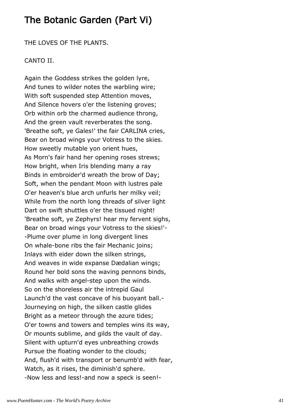# The Botanic Garden (Part Vi)

THE LOVES OF THE PLANTS.

## CANTO II.

Again the Goddess strikes the golden lyre, And tunes to wilder notes the warbling wire; With soft suspended step Attention moves, And Silence hovers o'er the listening groves; Orb within orb the charmed audience throng, And the green vault reverberates the song. 'Breathe soft, ye Gales!' the fair CARLINA cries, Bear on broad wings your Votress to the skies. How sweetly mutable yon orient hues, As Morn's fair hand her opening roses strews; How bright, when Iris blending many a ray Binds in embroider'd wreath the brow of Day; Soft, when the pendant Moon with lustres pale O'er heaven's blue arch unfurls her milky veil; While from the north long threads of silver light Dart on swift shuttles o'er the tissued night! 'Breathe soft, ye Zephyrs! hear my fervent sighs, Bear on broad wings your Votress to the skies!'- -Plume over plume in long divergent lines On whale-bone ribs the fair Mechanic joins; Inlays with eider down the silken strings, And weaves in wide expanse Dædalian wings; Round her bold sons the waving pennons binds, And walks with angel-step upon the winds. So on the shoreless air the intrepid Gaul Launch'd the vast concave of his buoyant ball.- Journeying on high, the silken castle glides Bright as a meteor through the azure tides; O'er towns and towers and temples wins its way, Or mounts sublime, and gilds the vault of day. Silent with upturn'd eyes unbreathing crowds Pursue the floating wonder to the clouds; And, flush'd with transport or benumb'd with fear, Watch, as it rises, the diminish'd sphere. -Now less and less!-and now a speck is seen!-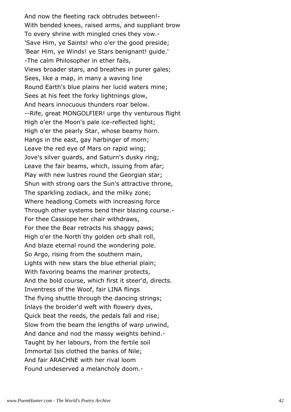And now the fleeting rack obtrudes between!- With bended knees, raised arms, and suppliant brow To every shrine with mingled cries they vow.- 'Save Him, ye Saints! who o'er the good preside; 'Bear Him, ye Winds! ye Stars benignant! guide.' -The calm Philosopher in ether fails, Views broader stars, and breathes in purer gales; Sees, like a map, in many a waving line Round Earth's blue plains her lucid waters mine; Sees at his feet the forky lightnings glow, And hears innocuous thunders roar below. --Rife, great MONGOLFIER! urge thy venturous flight High o'er the Moon's pale ice-reflected light; High o'er the pearly Star, whose beamy horn. Hangs in the east, gay harbinger of morn; Leave the red eye of Mars on rapid wing; Jove's silver guards, and Saturn's dusky ring; Leave the fair beams, which, issuing from afar; Play with new lustres round the Georgian star; Shun with strong oars the Sun's attractive throne, The sparkling zodiack, and the milky zone; Where headlong Comets with increasing force Through other systems bend their blazing course.- For thee Cassiope her chair withdraws, For thee the Bear retracts his shaggy paws; High o'er the North thy golden orb shall roll, And blaze eternal round the wondering pole. So Argo, rising from the southern main, Lights with new stars the blue etherial plain; With favoring beams the mariner protects, And the bold course, which first it steer'd, directs. Inventress of the Woof, fair LINA flings The flying shuttle through the dancing strings; Inlays the broider'd weft with flowery dyes, Quick beat the reeds, the pedals fall and rise; Slow from the beam the lengths of warp unwind, And dance and nod the massy weights behind.- Taught by her labours, from the fertile soil Immortal Isis clothed the banks of Nile; And fair ARACHNE with her rival loom Found undeserved a melancholy doom.-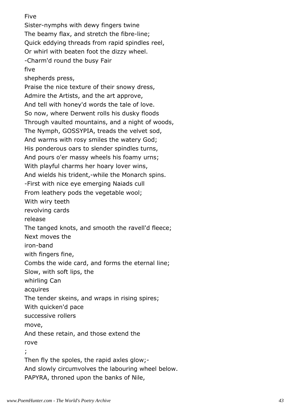Sister-nymphs with dewy fingers twine The beamy flax, and stretch the fibre-line; Quick eddying threads from rapid spindles reel, Or whirl with beaten foot the dizzy wheel. -Charm'd round the busy Fair five shepherds press, Praise the nice texture of their snowy dress, Admire the Artists, and the art approve, And tell with honey'd words the tale of love. So now, where Derwent rolls his dusky floods Through vaulted mountains, and a night of woods, The Nymph, GOSSYPIA, treads the velvet sod, And warms with rosy smiles the watery God; His ponderous oars to slender spindles turns, And pours o'er massy wheels his foamy urns; With playful charms her hoary lover wins, And wields his trident,-while the Monarch spins. -First with nice eye emerging Naiads cull From leathery pods the vegetable wool; With wiry teeth revolving cards release The tanged knots, and smooth the ravell'd fleece; Next moves the iron-band with fingers fine, Combs the wide card, and forms the eternal line; Slow, with soft lips, the whirling Can acquires The tender skeins, and wraps in rising spires; With quicken'd pace successive rollers move, And these retain, and those extend the rove ; Then fly the spoles, the rapid axles glow;-

And slowly circumvolves the labouring wheel below.

PAPYRA, throned upon the banks of Nile,

Five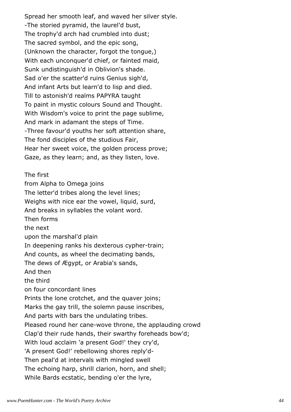Spread her smooth leaf, and waved her silver style. -The storied pyramid, the laurel'd bust, The trophy'd arch had crumbled into dust; The sacred symbol, and the epic song, (Unknown the character, forgot the tongue,) With each unconquer'd chief, or fainted maid, Sunk undistinguish'd in Oblivion's shade. Sad o'er the scatter'd ruins Genius sigh'd, And infant Arts but learn'd to lisp and died. Till to astonish'd realms PAPYRA taught To paint in mystic colours Sound and Thought. With Wisdom's voice to print the page sublime, And mark in adamant the steps of Time. -Three favour'd youths her soft attention share, The fond disciples of the studious Fair, Hear her sweet voice, the golden process prove; Gaze, as they learn; and, as they listen, love.

The first from Alpha to Omega joins The letter'd tribes along the level lines; Weighs with nice ear the vowel, liquid, surd, And breaks in syllables the volant word. Then forms the next upon the marshal'd plain In deepening ranks his dexterous cypher-train; And counts, as wheel the decimating bands, The dews of Ægypt, or Arabia's sands, And then the third on four concordant lines Prints the lone crotchet, and the quaver joins; Marks the gay trill, the solemn pause inscribes, And parts with bars the undulating tribes. Pleased round her cane-wove throne, the applauding crowd Clap'd their rude hands, their swarthy foreheads bow'd; With loud acclaim 'a present God!' they cry'd, 'A present God!' rebellowing shores reply'd-Then peal'd at intervals with mingled swell The echoing harp, shrill clarion, horn, and shell; While Bards ecstatic, bending o'er the lyre,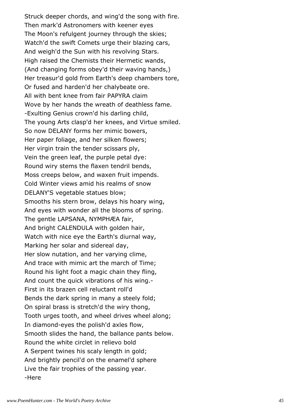Struck deeper chords, and wing'd the song with fire. Then mark'd Astronomers with keener eyes The Moon's refulgent journey through the skies; Watch'd the swift Comets urge their blazing cars, And weigh'd the Sun with his revolving Stars. High raised the Chemists their Hermetic wands, (And changing forms obey'd their waving hands,) Her treasur'd gold from Earth's deep chambers tore, Or fused and harden'd her chalybeate ore. All with bent knee from fair PAPYRA claim Wove by her hands the wreath of deathless fame. -Exulting Genius crown'd his darling child, The young Arts clasp'd her knees, and Virtue smiled. So now DELANY forms her mimic bowers, Her paper foliage, and her silken flowers; Her virgin train the tender scissars ply, Vein the green leaf, the purple petal dye: Round wiry stems the flaxen tendril bends, Moss creeps below, and waxen fruit impends. Cold Winter views amid his realms of snow DELANY'S vegetable statues blow; Smooths his stern brow, delays his hoary wing, And eyes with wonder all the blooms of spring. The gentle LAPSANA, NYMPHÆA fair, And bright CALENDULA with golden hair, Watch with nice eye the Earth's diurnal way, Marking her solar and sidereal day, Her slow nutation, and her varying clime, And trace with mimic art the march of Time; Round his light foot a magic chain they fling, And count the quick vibrations of his wing.- First in its brazen cell reluctant roll'd Bends the dark spring in many a steely fold; On spiral brass is stretch'd the wiry thong, Tooth urges tooth, and wheel drives wheel along; In diamond-eyes the polish'd axles flow, Smooth slides the hand, the ballance pants below. Round the white circlet in relievo bold A Serpent twines his scaly length in gold; And brightly pencil'd on the enamel'd sphere Live the fair trophies of the passing year. -Here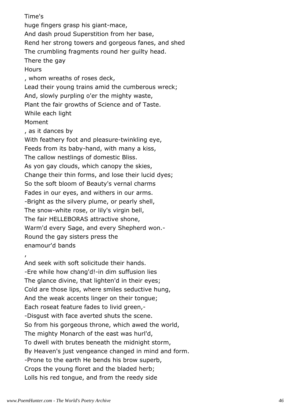Time's huge fingers grasp his giant-mace, And dash proud Superstition from her base, Rend her strong towers and gorgeous fanes, and shed The crumbling fragments round her guilty head. There the gay **Hours** , whom wreaths of roses deck, Lead their young trains amid the cumberous wreck; And, slowly purpling o'er the mighty waste, Plant the fair growths of Science and of Taste. While each light Moment , as it dances by With feathery foot and pleasure-twinkling eye, Feeds from its baby-hand, with many a kiss, The callow nestlings of domestic Bliss. As yon gay clouds, which canopy the skies, Change their thin forms, and lose their lucid dyes; So the soft bloom of Beauty's vernal charms Fades in our eyes, and withers in our arms. -Bright as the silvery plume, or pearly shell, The snow-white rose, or lily's virgin bell, The fair HELLEBORAS attractive shone, Warm'd every Sage, and every Shepherd won.- Round the gay sisters press the enamour'd bands , And seek with soft solicitude their hands. -Ere while how chang'd!-in dim suffusion lies The glance divine, that lighten'd in their eyes;

Cold are those lips, where smiles seductive hung, And the weak accents linger on their tongue; Each roseat feature fades to livid green,- -Disgust with face averted shuts the scene. So from his gorgeous throne, which awed the world, The mighty Monarch of the east was hurl'd, To dwell with brutes beneath the midnight storm, By Heaven's just vengeance changed in mind and form. -Prone to the earth He bends his brow superb, Crops the young floret and the bladed herb; Lolls his red tongue, and from the reedy side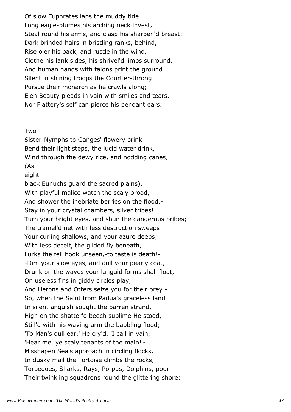Of slow Euphrates laps the muddy tide. Long eagle-plumes his arching neck invest, Steal round his arms, and clasp his sharpen'd breast; Dark brinded hairs in bristling ranks, behind, Rise o'er his back, and rustle in the wind, Clothe his lank sides, his shrivel'd limbs surround, And human hands with talons print the ground. Silent in shining troops the Courtier-throng Pursue their monarch as he crawls along; E'en Beauty pleads in vain with smiles and tears, Nor Flattery's self can pierce his pendant ears.

Two

Sister-Nymphs to Ganges' flowery brink Bend their light steps, the lucid water drink, Wind through the dewy rice, and nodding canes, (As eight black Eunuchs guard the sacred plains), With playful malice watch the scaly brood, And shower the inebriate berries on the flood.- Stay in your crystal chambers, silver tribes! Turn your bright eyes, and shun the dangerous bribes; The tramel'd net with less destruction sweeps Your curling shallows, and your azure deeps; With less deceit, the gilded fly beneath, Lurks the fell hook unseen,-to taste is death!- -Dim your slow eyes, and dull your pearly coat, Drunk on the waves your languid forms shall float, On useless fins in giddy circles play, And Herons and Otters seize you for their prey.- So, when the Saint from Padua's graceless land In silent anguish sought the barren strand, High on the shatter'd beech sublime He stood, Still'd with his waving arm the babbling flood; 'To Man's dull ear,' He cry'd, 'I call in vain, 'Hear me, ye scaly tenants of the main!'- Misshapen Seals approach in circling flocks, In dusky mail the Tortoise climbs the rocks, Torpedoes, Sharks, Rays, Porpus, Dolphins, pour Their twinkling squadrons round the glittering shore;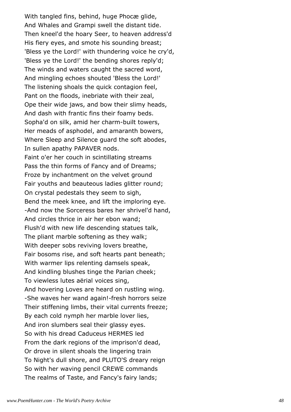With tangled fins, behind, huge Phocæ glide, And Whales and Grampi swell the distant tide. Then kneel'd the hoary Seer, to heaven address'd His fiery eyes, and smote his sounding breast; 'Bless ye the Lord!' with thundering voice he cry'd, 'Bless ye the Lord!' the bending shores reply'd; The winds and waters caught the sacred word, And mingling echoes shouted 'Bless the Lord!' The listening shoals the quick contagion feel, Pant on the floods, inebriate with their zeal, Ope their wide jaws, and bow their slimy heads, And dash with frantic fins their foamy beds. Sopha'd on silk, amid her charm-built towers, Her meads of asphodel, and amaranth bowers, Where Sleep and Silence guard the soft abodes, In sullen apathy PAPAVER nods. Faint o'er her couch in scintillating streams Pass the thin forms of Fancy and of Dreams; Froze by inchantment on the velvet ground Fair youths and beauteous ladies glitter round; On crystal pedestals they seem to sigh, Bend the meek knee, and lift the imploring eye. -And now the Sorceress bares her shrivel'd hand, And circles thrice in air her ebon wand; Flush'd with new life descending statues talk, The pliant marble softening as they walk; With deeper sobs reviving lovers breathe, Fair bosoms rise, and soft hearts pant beneath; With warmer lips relenting damsels speak, And kindling blushes tinge the Parian cheek; To viewless lutes aërial voices sing, And hovering Loves are heard on rustling wing. -She waves her wand again!-fresh horrors seize Their stiffening limbs, their vital currents freeze; By each cold nymph her marble lover lies, And iron slumbers seal their glassy eyes. So with his dread Caduceus HERMES led From the dark regions of the imprison'd dead, Or drove in silent shoals the lingering train To Night's dull shore, and PLUTO'S dreary reign So with her waving pencil CREWE commands The realms of Taste, and Fancy's fairy lands;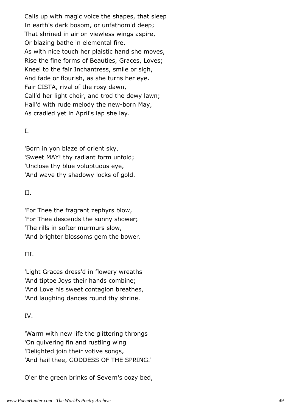Calls up with magic voice the shapes, that sleep In earth's dark bosom, or unfathom'd deep; That shrined in air on viewless wings aspire, Or blazing bathe in elemental fire. As with nice touch her plaistic hand she moves, Rise the fine forms of Beauties, Graces, Loves; Kneel to the fair Inchantress, smile or sigh, And fade or flourish, as she turns her eye. Fair CISTA, rival of the rosy dawn, Call'd her light choir, and trod the dewy lawn; Hail'd with rude melody the new-born May, As cradled yet in April's lap she lay.

## I.

'Born in yon blaze of orient sky, 'Sweet MAY! thy radiant form unfold; 'Unclose thy blue voluptuous eye, 'And wave thy shadowy locks of gold.

## II.

'For Thee the fragrant zephyrs blow, 'For Thee descends the sunny shower; 'The rills in softer murmurs slow, 'And brighter blossoms gem the bower.

# III.

'Light Graces dress'd in flowery wreaths 'And tiptoe Joys their hands combine; 'And Love his sweet contagion breathes, 'And laughing dances round thy shrine.

# IV.

'Warm with new life the glittering throngs 'On quivering fin and rustling wing 'Delighted join their votive songs, 'And hail thee, GODDESS OF THE SPRING.'

O'er the green brinks of Severn's oozy bed,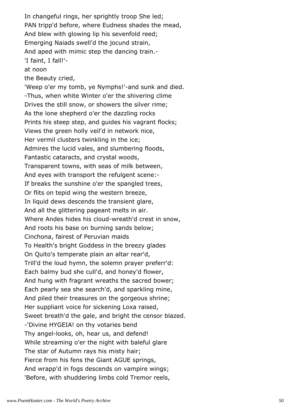In changeful rings, her sprightly troop She led; PAN tripp'd before, where Eudness shades the mead, And blew with glowing lip his sevenfold reed; Emerging Naiads swell'd the jocund strain, And aped with mimic step the dancing train.- 'I faint, I fall!' at noon the Beauty cried, 'Weep o'er my tomb, ye Nymphs!'-and sunk and died. -Thus, when white Winter o'er the shivering clime Drives the still snow, or showers the silver rime; As the lone shepherd o'er the dazzling rocks Prints his steep step, and guides his vagrant flocks; Views the green holly veil'd in network nice, Her vermil clusters twinkling in the ice; Admires the lucid vales, and slumbering floods, Fantastic cataracts, and crystal woods, Transparent towns, with seas of milk between, And eyes with transport the refulgent scene:- If breaks the sunshine o'er the spangled trees, Or flits on tepid wing the western breeze, In liquid dews descends the transient glare, And all the glittering pageant melts in air. Where Andes hides his cloud-wreath'd crest in snow, And roots his base on burning sands below; Cinchona, fairest of Peruvian maids To Health's bright Goddess in the breezy glades On Quito's temperate plain an altar rear'd, Trill'd the loud hymn, the solemn prayer preferr'd: Each balmy bud she cull'd, and honey'd flower,

And hung with fragrant wreaths the sacred bower; Each pearly sea she search'd, and sparkling mine, And piled their treasures on the gorgeous shrine; Her suppliant voice for sickening Loxa raised, Sweet breath'd the gale, and bright the censor blazed. -'Divine HYGEIA! on thy votaries bend Thy angel-looks, oh, hear us, and defend! While streaming o'er the night with baleful glare The star of Autumn rays his misty hair; Fierce from his fens the Giant AGUE springs, And wrapp'd in fogs descends on vampire wings;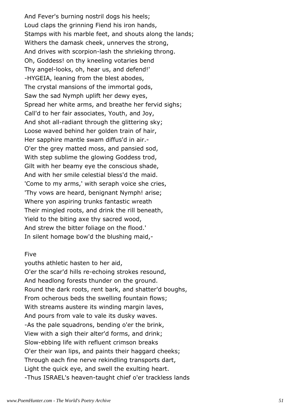And Fever's burning nostril dogs his heels; Loud claps the grinning Fiend his iron hands, Stamps with his marble feet, and shouts along the lands; Withers the damask cheek, unnerves the strong, And drives with scorpion-lash the shrieking throng. Oh, Goddess! on thy kneeling votaries bend Thy angel-looks, oh, hear us, and defend!' -HYGEIA, leaning from the blest abodes, The crystal mansions of the immortal gods, Saw the sad Nymph uplift her dewy eyes, Spread her white arms, and breathe her fervid sighs; Call'd to her fair associates, Youth, and Joy, And shot all-radiant through the glittering sky; Loose waved behind her golden train of hair, Her sapphire mantle swam diffus'd in air.- O'er the grey matted moss, and pansied sod, With step sublime the glowing Goddess trod, Gilt with her beamy eye the conscious shade, And with her smile celestial bless'd the maid. 'Come to my arms,' with seraph voice she cries, 'Thy vows are heard, benignant Nymph! arise; Where yon aspiring trunks fantastic wreath Their mingled roots, and drink the rill beneath, Yield to the biting axe thy sacred wood, And strew the bitter foliage on the flood.' In silent homage bow'd the blushing maid,-

### Five

youths athletic hasten to her aid, O'er the scar'd hills re-echoing strokes resound, And headlong forests thunder on the ground. Round the dark roots, rent bark, and shatter'd boughs, From ocherous beds the swelling fountain flows; With streams austere its winding margin laves, And pours from vale to vale its dusky waves. -As the pale squadrons, bending o'er the brink, View with a sigh their alter'd forms, and drink; Slow-ebbing life with refluent crimson breaks O'er their wan lips, and paints their haggard cheeks; Through each fine nerve rekindling transports dart, Light the quick eye, and swell the exulting heart. -Thus ISRAEL's heaven-taught chief o'er trackless lands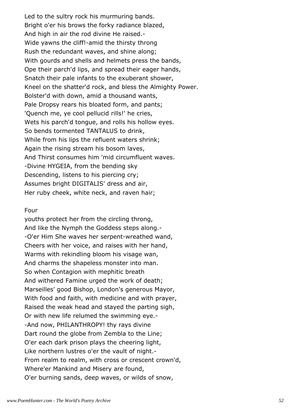Led to the sultry rock his murmuring bands. Bright o'er his brows the forky radiance blazed, And high in air the rod divine He raised.- Wide yawns the cliff!-amid the thirsty throng Rush the redundant waves, and shine along; With gourds and shells and helmets press the bands, Ope their parch'd lips, and spread their eager hands, Snatch their pale infants to the exuberant shower, Kneel on the shatter'd rock, and bless the Almighty Power. Bolster'd with down, amid a thousand wants, Pale Dropsy rears his bloated form, and pants; 'Quench me, ye cool pellucid rills!' he cries, Wets his parch'd tongue, and rolls his hollow eyes. So bends tormented TANTALUS to drink, While from his lips the refluent waters shrink; Again the rising stream his bosom laves, And Thirst consumes him 'mid circumfluent waves. -Divine HYGEIA, from the bending sky Descending, listens to his piercing cry; Assumes bright DIGITALIS' dress and air, Her ruby cheek, white neck, and raven hair;

#### Four

youths protect her from the circling throng, And like the Nymph the Goddess steps along.- -O'er Him She waves her serpent-wreathed wand, Cheers with her voice, and raises with her hand, Warms with rekindling bloom his visage wan, And charms the shapeless monster into man. So when Contagion with mephitic breath And withered Famine urged the work of death; Marseilles' good Bishop, London's generous Mayor, With food and faith, with medicine and with prayer, Raised the weak head and stayed the parting sigh, Or with new life relumed the swimming eye.- -And now, PHILANTHROPY! thy rays divine Dart round the globe from Zembla to the Line; O'er each dark prison plays the cheering light, Like northern lustres o'er the vault of night.- From realm to realm, with cross or crescent crown'd, Where'er Mankind and Misery are found, O'er burning sands, deep waves, or wilds of snow,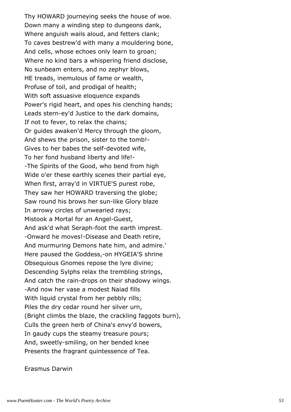Thy HOWARD journeying seeks the house of woe. Down many a winding step to dungeons dank, Where anguish wails aloud, and fetters clank; To caves bestrew'd with many a mouldering bone, And cells, whose echoes only learn to groan; Where no kind bars a whispering friend disclose, No sunbeam enters, and no zephyr blows, HE treads, inemulous of fame or wealth, Profuse of toil, and prodigal of health; With soft assuasive eloquence expands Power's rigid heart, and opes his clenching hands; Leads stern-ey'd Justice to the dark domains, If not to fever, to relax the chains; Or guides awaken'd Mercy through the gloom, And shews the prison, sister to the tomb!- Gives to her babes the self-devoted wife, To her fond husband liberty and life!- -The Spirits of the Good, who bend from high Wide o'er these earthly scenes their partial eye, When first, array'd in VIRTUE'S purest robe, They saw her HOWARD traversing the globe; Saw round his brows her sun-like Glory blaze In arrowy circles of unwearied rays; Mistook a Mortal for an Angel-Guest, And ask'd what Seraph-foot the earth imprest. -Onward he moves!-Disease and Death retire, And murmuring Demons hate him, and admire.' Here paused the Goddess,-on HYGEIA'S shrine Obsequious Gnomes repose the lyre divine; Descending Sylphs relax the trembling strings, And catch the rain-drops on their shadowy wings. -And now her vase a modest Naiad fills With liquid crystal from her pebbly rills; Piles the dry cedar round her silver urn, (Bright climbs the blaze, the crackling faggots burn), Culls the green herb of China's envy'd bowers, In gaudy cups the steamy treasure pours; And, sweetly-smiling, on her bended knee Presents the fragrant quintessence of Tea.

Erasmus Darwin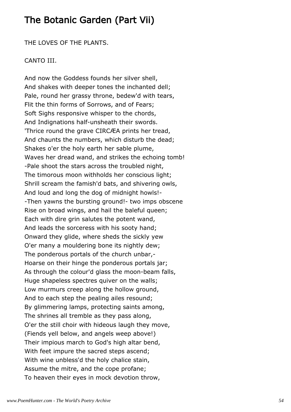# The Botanic Garden (Part Vii)

THE LOVES OF THE PLANTS.

## CANTO III.

And now the Goddess founds her silver shell, And shakes with deeper tones the inchanted dell; Pale, round her grassy throne, bedew'd with tears, Flit the thin forms of Sorrows, and of Fears; Soft Sighs responsive whisper to the chords, And Indignations half-unsheath their swords. 'Thrice round the grave CIRCÆA prints her tread, And chaunts the numbers, which disturb the dead; Shakes o'er the holy earth her sable plume, Waves her dread wand, and strikes the echoing tomb! -Pale shoot the stars across the troubled night, The timorous moon withholds her conscious light; Shrill scream the famish'd bats, and shivering owls, And loud and long the dog of midnight howls!- -Then yawns the bursting ground!- two imps obscene Rise on broad wings, and hail the baleful queen; Each with dire grin salutes the potent wand, And leads the sorceress with his sooty hand; Onward they glide, where sheds the sickly yew O'er many a mouldering bone its nightly dew; The ponderous portals of the church unbar,- Hoarse on their hinge the ponderous portals jar; As through the colour'd glass the moon-beam falls, Huge shapeless spectres quiver on the walls; Low murmurs creep along the hollow ground, And to each step the pealing ailes resound; By glimmering lamps, protecting saints among, The shrines all tremble as they pass along, O'er the still choir with hideous laugh they move, (Fiends yell below, and angels weep above!) Their impious march to God's high altar bend, With feet impure the sacred steps ascend; With wine unbless'd the holy chalice stain, Assume the mitre, and the cope profane; To heaven their eyes in mock devotion throw,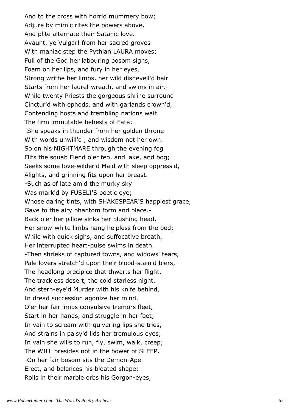And to the cross with horrid mummery bow; Adjure by mimic rites the powers above, And plite alternate their Satanic love. Avaunt, ye Vulgar! from her sacred groves With maniac step the Pythian LAURA moves; Full of the God her labouring bosom sighs, Foam on her lips, and fury in her eyes, Strong writhe her limbs, her wild dishevell'd hair Starts from her laurel-wreath, and swims in air.- While twenty Priests the gorgeous shrine surround Cinctur'd with ephods, and with garlands crown'd, Contending hosts and trembling nations wait The firm immutable behests of Fate; -She speaks in thunder from her golden throne With words unwill'd , and wisdom not her own. So on his NIGHTMARE through the evening fog Flits the squab Fiend o'er fen, and lake, and bog; Seeks some love-wilder'd Maid with sleep oppress'd, Alights, and grinning fits upon her breast. -Such as of late amid the murky sky Was mark'd by FUSELI'S poetic eye; Whose daring tints, with SHAKESPEAR'S happiest grace, Gave to the airy phantom form and place.- Back o'er her pillow sinks her blushing head, Her snow-white limbs hang helpless from the bed; While with quick sighs, and suffocative breath, Her interrupted heart-pulse swims in death. -Then shrieks of captured towns, and widows' tears, Pale lovers stretch'd upon their blood-stain'd biers, The headlong precipice that thwarts her flight, The trackless desert, the cold starless night, And stern-eye'd Murder with his knife behind, In dread succession agonize her mind. O'er her fair limbs convulsive tremors fleet, Start in her hands, and struggle in her feet; In vain to scream with quivering lips she tries, And strains in palsy'd lids her tremulous eyes; In vain she wills to run, fly, swim, walk, creep; The WILL presides not in the bower of SLEEP. -On her fair bosom sits the Demon-Ape Erect, and balances his bloated shape; Rolls in their marble orbs his Gorgon-eyes,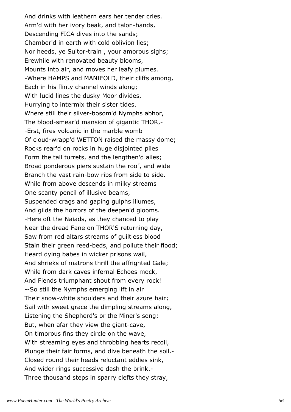And drinks with leathern ears her tender cries. Arm'd with her ivory beak, and talon-hands, Descending FICA dives into the sands; Chamber'd in earth with cold oblivion lies; Nor heeds, ye Suitor-train , your amorous sighs; Erewhile with renovated beauty blooms, Mounts into air, and moves her leafy plumes. -Where HAMPS and MANIFOLD, their cliffs among, Each in his flinty channel winds along; With lucid lines the dusky Moor divides, Hurrying to intermix their sister tides. Where still their silver-bosom'd Nymphs abhor, The blood-smear'd mansion of gigantic THOR,- -Erst, fires volcanic in the marble womb Of cloud-wrapp'd WETTON raised the massy dome; Rocks rear'd on rocks in huge disjointed piles Form the tall turrets, and the lengthen'd ailes; Broad ponderous piers sustain the roof, and wide Branch the vast rain-bow ribs from side to side. While from above descends in milky streams One scanty pencil of illusive beams, Suspended crags and gaping gulphs illumes, And gilds the horrors of the deepen'd glooms. -Here oft the Naiads, as they chanced to play Near the dread Fane on THOR'S returning day, Saw from red altars streams of guiltless blood Stain their green reed-beds, and pollute their flood; Heard dying babes in wicker prisons wail, And shrieks of matrons thrill the affrighted Gale; While from dark caves infernal Echoes mock, And Fiends triumphant shout from every rock! --So still the Nymphs emerging lift in air Their snow-white shoulders and their azure hair; Sail with sweet grace the dimpling streams along, Listening the Shepherd's or the Miner's song; But, when afar they view the giant-cave, On timorous fins they circle on the wave, With streaming eyes and throbbing hearts recoil, Plunge their fair forms, and dive beneath the soil.- Closed round their heads reluctant eddies sink, And wider rings successive dash the brink.- Three thousand steps in sparry clefts they stray,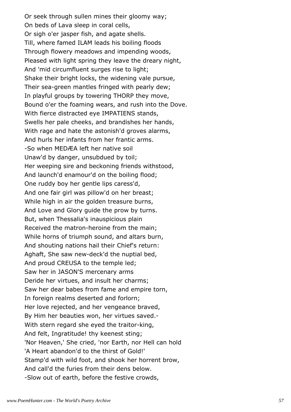Or seek through sullen mines their gloomy way; On beds of Lava sleep in coral cells, Or sigh o'er jasper fish, and agate shells. Till, where famed ILAM leads his boiling floods Through flowery meadows and impending woods, Pleased with light spring they leave the dreary night, And 'mid circumfluent surges rise to light; Shake their bright locks, the widening vale pursue, Their sea-green mantles fringed with pearly dew; In playful groups by towering THORP they move, Bound o'er the foaming wears, and rush into the Dove. With fierce distracted eye IMPATIENS stands, Swells her pale cheeks, and brandishes her hands, With rage and hate the astonish'd groves alarms, And hurls her infants from her frantic arms. -So when MEDÆA left her native soil Unaw'd by danger, unsubdued by toil; Her weeping sire and beckoning friends withstood, And launch'd enamour'd on the boiling flood; One ruddy boy her gentle lips caress'd, And one fair girl was pillow'd on her breast; While high in air the golden treasure burns, And Love and Glory guide the prow by turns. But, when Thessalia's inauspicious plain Received the matron-heroine from the main; While horns of triumph sound, and altars burn, And shouting nations hail their Chief's return: Aghaft, She saw new-deck'd the nuptial bed, And proud CREUSA to the temple led; Saw her in JASON'S mercenary arms Deride her virtues, and insult her charms; Saw her dear babes from fame and empire torn, In foreign realms deserted and forlorn; Her love rejected, and her vengeance braved, By Him her beauties won, her virtues saved.- With stern regard she eyed the traitor-king, And felt, Ingratitude! thy keenest sting; 'Nor Heaven,' She cried, 'nor Earth, nor Hell can hold 'A Heart abandon'd to the thirst of Gold!' Stamp'd with wild foot, and shook her horrent brow, And call'd the furies from their dens below. -Slow out of earth, before the festive crowds,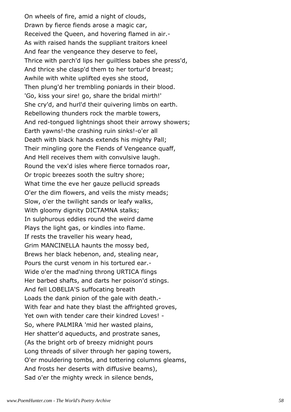On wheels of fire, amid a night of clouds, Drawn by fierce fiends arose a magic car, Received the Queen, and hovering flamed in air.- As with raised hands the suppliant traitors kneel And fear the vengeance they deserve to feel, Thrice with parch'd lips her guiltless babes she press'd, And thrice she clasp'd them to her tortur'd breast; Awhile with white uplifted eyes she stood, Then plung'd her trembling poniards in their blood. 'Go, kiss your sire! go, share the bridal mirth!' She cry'd, and hurl'd their quivering limbs on earth. Rebellowing thunders rock the marble towers, And red-tongued lightnings shoot their arrowy showers; Earth yawns!-the crashing ruin sinks!-o'er all Death with black hands extends his mighty Pall; Their mingling gore the Fiends of Vengeance quaff, And Hell receives them with convulsive laugh. Round the vex'd isles where fierce tornados roar, Or tropic breezes sooth the sultry shore; What time the eve her gauze pellucid spreads O'er the dim flowers, and veils the misty meads; Slow, o'er the twilight sands or leafy walks, With gloomy dignity DICTAMNA stalks; In sulphurous eddies round the weird dame Plays the light gas, or kindles into flame. If rests the traveller his weary head, Grim MANCINELLA haunts the mossy bed, Brews her black hebenon, and, stealing near, Pours the curst venom in his tortured ear.- Wide o'er the mad'ning throng URTICA flings Her barbed shafts, and darts her poison'd stings. And fell LOBELIA'S suffocating breath Loads the dank pinion of the gale with death.- With fear and hate they blast the affrighted groves, Yet own with tender care their kindred Loves! - So, where PALMIRA 'mid her wasted plains, Her shatter'd aqueducts, and prostrate sanes, (As the bright orb of breezy midnight pours Long threads of silver through her gaping towers, O'er mouldering tombs, and tottering columns gleams, And frosts her deserts with diffusive beams), Sad o'er the mighty wreck in silence bends,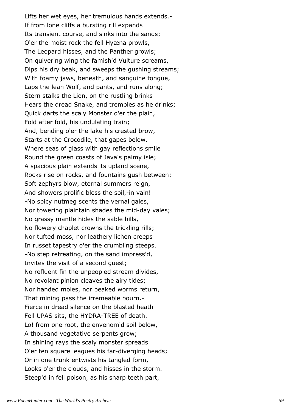Lifts her wet eyes, her tremulous hands extends.- If from lone cliffs a bursting rill expands Its transient course, and sinks into the sands; O'er the moist rock the fell Hyæna prowls, The Leopard hisses, and the Panther growls; On quivering wing the famish'd Vulture screams, Dips his dry beak, and sweeps the gushing streams; With foamy jaws, beneath, and sanguine tongue, Laps the lean Wolf, and pants, and runs along; Stern stalks the Lion, on the rustling brinks Hears the dread Snake, and trembles as he drinks; Quick darts the scaly Monster o'er the plain, Fold after fold, his undulating train; And, bending o'er the lake his crested brow, Starts at the Crocodile, that gapes below. Where seas of glass with gay reflections smile Round the green coasts of Java's palmy isle; A spacious plain extends its upland scene, Rocks rise on rocks, and fountains gush between; Soft zephyrs blow, eternal summers reign, And showers prolific bless the soil,-in vain! -No spicy nutmeg scents the vernal gales, Nor towering plaintain shades the mid-day vales; No grassy mantle hides the sable hills, No flowery chaplet crowns the trickling rills; Nor tufted moss, nor leathery lichen creeps In russet tapestry o'er the crumbling steeps. -No step retreating, on the sand impress'd, Invites the visit of a second guest; No refluent fin the unpeopled stream divides, No revolant pinion cleaves the airy tides; Nor handed moles, nor beaked worms return, That mining pass the irremeable bourn.- Fierce in dread silence on the blasted heath Fell UPAS sits, the HYDRA-TREE of death. Lo! from one root, the envenom'd soil below, A thousand vegetative serpents grow; In shining rays the scaly monster spreads O'er ten square leagues his far-diverging heads; Or in one trunk entwists his tangled form, Looks o'er the clouds, and hisses in the storm. Steep'd in fell poison, as his sharp teeth part,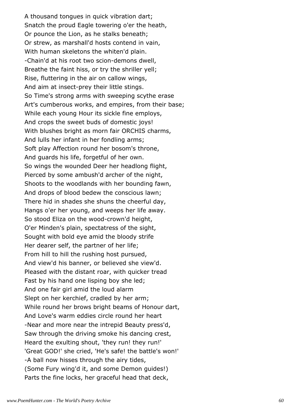A thousand tongues in quick vibration dart; Snatch the proud Eagle towering o'er the heath, Or pounce the Lion, as he stalks beneath; Or strew, as marshall'd hosts contend in vain, With human skeletons the whiten'd plain. -Chain'd at his root two scion-demons dwell, Breathe the faint hiss, or try the shriller yell; Rise, fluttering in the air on callow wings, And aim at insect-prey their little stings. So Time's strong arms with sweeping scythe erase Art's cumberous works, and empires, from their base; While each young Hour its sickle fine employs, And crops the sweet buds of domestic joys! With blushes bright as morn fair ORCHIS charms, And lulls her infant in her fondling arms; Soft play Affection round her bosom's throne, And guards his life, forgetful of her own. So wings the wounded Deer her headlong flight, Pierced by some ambush'd archer of the night, Shoots to the woodlands with her bounding fawn, And drops of blood bedew the conscious lawn; There hid in shades she shuns the cheerful day, Hangs o'er her young, and weeps her life away. So stood Eliza on the wood-crown'd height, O'er Minden's plain, spectatress of the sight, Sought with bold eye amid the bloody strife Her dearer self, the partner of her life; From hill to hill the rushing host pursued, And view'd his banner, or believed she view'd. Pleased with the distant roar, with quicker tread Fast by his hand one lisping boy she led; And one fair girl amid the loud alarm Slept on her kerchief, cradled by her arm; While round her brows bright beams of Honour dart, And Love's warm eddies circle round her heart -Near and more near the intrepid Beauty press'd, Saw through the driving smoke his dancing crest, Heard the exulting shout, 'they run! they run!' 'Great GOD!' she cried, 'He's safe! the battle's won!' -A ball now hisses through the airy tides, (Some Fury wing'd it, and some Demon guides!) Parts the fine locks, her graceful head that deck,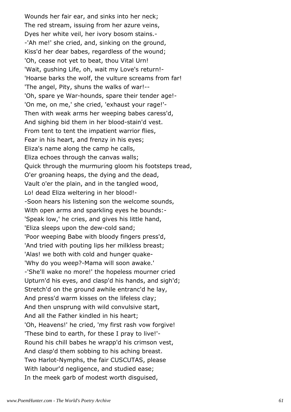Wounds her fair ear, and sinks into her neck; The red stream, issuing from her azure veins, Dyes her white veil, her ivory bosom stains.- -'Ah me!' she cried, and, sinking on the ground, Kiss'd her dear babes, regardless of the wound; 'Oh, cease not yet to beat, thou Vital Urn! 'Wait, gushing Life, oh, wait my Love's return!- 'Hoarse barks the wolf, the vulture screams from far! 'The angel, Pity, shuns the walks of war!-- 'Oh, spare ye War-hounds, spare their tender age!- 'On me, on me,' she cried, 'exhaust your rage!'- Then with weak arms her weeping babes caress'd, And sighing bid them in her blood-stain'd vest. From tent to tent the impatient warrior flies, Fear in his heart, and frenzy in his eyes; Eliza's name along the camp he calls, Eliza echoes through the canvas walls; Quick through the murmuring gloom his footsteps tread, O'er groaning heaps, the dying and the dead, Vault o'er the plain, and in the tangled wood, Lo! dead Eliza weltering in her blood!- -Soon hears his listening son the welcome sounds, With open arms and sparkling eyes he bounds:- 'Speak low,' he cries, and gives his little hand, 'Eliza sleeps upon the dew-cold sand; 'Poor weeping Babe with bloody fingers press'd, 'And tried with pouting lips her milkless breast; 'Alas! we both with cold and hunger quake- 'Why do you weep?-Mama will soon awake.' -'She'll wake no more!' the hopeless mourner cried Upturn'd his eyes, and clasp'd his hands, and sigh'd; Stretch'd on the ground awhile entranc'd he lay, And press'd warm kisses on the lifeless clay; And then unsprung with wild convulsive start, And all the Father kindled in his heart; 'Oh, Heavens!' he cried, 'my first rash vow forgive! 'These bind to earth, for these I pray to live!'- Round his chill babes he wrapp'd his crimson vest, And clasp'd them sobbing to his aching breast. Two Harlot-Nymphs, the fair CUSCUTAS, please With labour'd negligence, and studied ease; In the meek garb of modest worth disguised,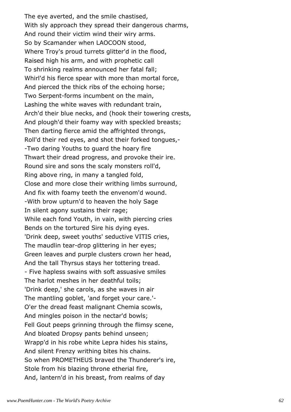The eye averted, and the smile chastised, With sly approach they spread their dangerous charms, And round their victim wind their wiry arms. So by Scamander when LAOCOON stood, Where Troy's proud turrets glitter'd in the flood, Raised high his arm, and with prophetic call To shrinking realms announced her fatal fall; Whirl'd his fierce spear with more than mortal force, And pierced the thick ribs of the echoing horse; Two Serpent-forms incumbent on the main, Lashing the white waves with redundant train, Arch'd their blue necks, and (hook their towering crests, And plough'd their foamy way with speckled breasts; Then darting fierce amid the affrighted throngs, Roll'd their red eyes, and shot their forked tongues,- -Two daring Youths to guard the hoary fire Thwart their dread progress, and provoke their ire. Round sire and sons the scaly monsters roll'd, Ring above ring, in many a tangled fold, Close and more close their writhing limbs surround, And fix with foamy teeth the envenom'd wound. -With brow upturn'd to heaven the holy Sage In silent agony sustains their rage; While each fond Youth, in vain, with piercing cries Bends on the tortured Sire his dying eyes. 'Drink deep, sweet youths' seductive VITIS cries, The maudlin tear-drop glittering in her eyes; Green leaves and purple clusters crown her head, And the tall Thyrsus stays her tottering tread. - Five hapless swains with soft assuasive smiles The harlot meshes in her deathful toils; 'Drink deep,' she carols, as she waves in air The mantling goblet, 'and forget your care.'- O'er the dread feast malignant Chemia scowls, And mingles poison in the nectar'd bowls; Fell Gout peeps grinning through the flimsy scene, And bloated Dropsy pants behind unseen; Wrapp'd in his robe white Lepra hides his stains, And silent Frenzy writhing bites his chains. So when PROMETHEUS braved the Thunderer's ire, Stole from his blazing throne etherial fire, And, lantern'd in his breast, from realms of day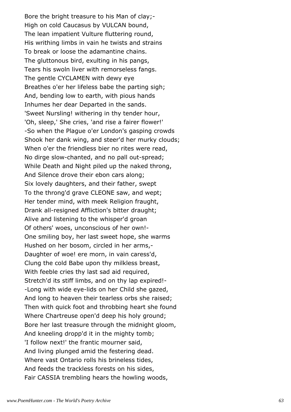Bore the bright treasure to his Man of clay;- High on cold Caucasus by VULCAN bound, The lean impatient Vulture fluttering round, His writhing limbs in vain he twists and strains To break or loose the adamantine chains. The gluttonous bird, exulting in his pangs, Tears his swoln liver with remorseless fangs. The gentle CYCLAMEN with dewy eye Breathes o'er her lifeless babe the parting sigh; And, bending low to earth, with pious hands Inhumes her dear Departed in the sands. 'Sweet Nursling! withering in thy tender hour, 'Oh, sleep,' She cries, 'and rise a fairer flower!' -So when the Plague o'er London's gasping crowds Shook her dank wing, and steer'd her murky clouds; When o'er the friendless bier no rites were read, No dirge slow-chanted, and no pall out-spread; While Death and Night piled up the naked throng, And Silence drove their ebon cars along; Six lovely daughters, and their father, swept To the throng'd grave CLEONE saw, and wept; Her tender mind, with meek Religion fraught, Drank all-resigned Affliction's bitter draught; Alive and listening to the whisper'd groan Of others' woes, unconscious of her own!- One smiling boy, her last sweet hope, she warms Hushed on her bosom, circled in her arms,- Daughter of woe! ere morn, in vain caress'd, Clung the cold Babe upon thy milkless breast, With feeble cries thy last sad aid required, Stretch'd its stiff limbs, and on thy lap expired!- -Long with wide eye-lids on her Child she gazed, And long to heaven their tearless orbs she raised; Then with quick foot and throbbing heart she found Where Chartreuse open'd deep his holy ground; Bore her last treasure through the midnight gloom, And kneeling dropp'd it in the mighty tomb; 'I follow next!' the frantic mourner said, And living plunged amid the festering dead. Where vast Ontario rolls his brineless tides, And feeds the trackless forests on his sides, Fair CASSIA trembling hears the howling woods,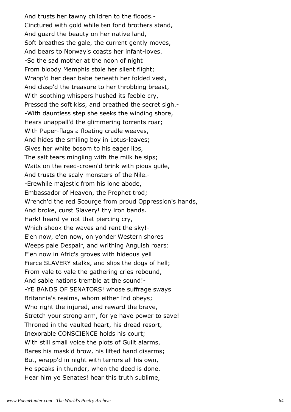And trusts her tawny children to the floods.- Cinctured with gold while ten fond brothers stand, And guard the beauty on her native land, Soft breathes the gale, the current gently moves, And bears to Norway's coasts her infant-loves. -So the sad mother at the noon of night From bloody Memphis stole her silent flight; Wrapp'd her dear babe beneath her folded vest, And clasp'd the treasure to her throbbing breast, With soothing whispers hushed its feeble cry, Pressed the soft kiss, and breathed the secret sigh.- -With dauntless step she seeks the winding shore, Hears unappall'd the glimmering torrents roar; With Paper-flags a floating cradle weaves, And hides the smiling boy in Lotus-leaves; Gives her white bosom to his eager lips, The salt tears mingling with the milk he sips; Waits on the reed-crown'd brink with pious guile, And trusts the scaly monsters of the Nile.- -Erewhile majestic from his lone abode, Embassador of Heaven, the Prophet trod; Wrench'd the red Scourge from proud Oppression's hands, And broke, curst Slavery! thy iron bands. Hark! heard ye not that piercing cry, Which shook the waves and rent the sky!- E'en now, e'en now, on yonder Western shores Weeps pale Despair, and writhing Anguish roars: E'en now in Afric's groves with hideous yell Fierce SLAVERY stalks, and slips the dogs of hell; From vale to vale the gathering cries rebound, And sable nations tremble at the sound!- -YE BANDS OF SENATORS! whose suffrage sways Britannia's realms, whom either Ind obeys; Who right the injured, and reward the brave, Stretch your strong arm, for ye have power to save! Throned in the vaulted heart, his dread resort, Inexorable CONSCIENCE holds his court; With still small voice the plots of Guilt alarms, Bares his mask'd brow, his lifted hand disarms; But, wrapp'd in night with terrors all his own, He speaks in thunder, when the deed is done. Hear him ye Senates! hear this truth sublime,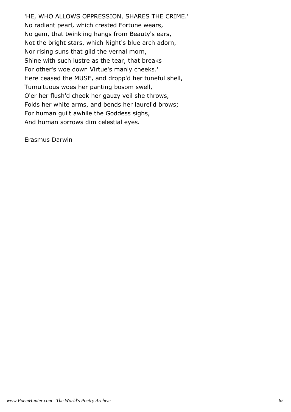'HE, WHO ALLOWS OPPRESSION, SHARES THE CRIME.' No radiant pearl, which crested Fortune wears, No gem, that twinkling hangs from Beauty's ears, Not the bright stars, which Night's blue arch adorn, Nor rising suns that gild the vernal morn, Shine with such lustre as the tear, that breaks For other's woe down Virtue's manly cheeks.' Here ceased the MUSE, and dropp'd her tuneful shell, Tumultuous woes her panting bosom swell, O'er her flush'd cheek her gauzy veil she throws, Folds her white arms, and bends her laurel'd brows; For human guilt awhile the Goddess sighs, And human sorrows dim celestial eyes.

Erasmus Darwin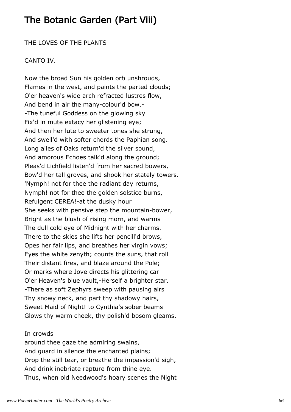# The Botanic Garden (Part Viii)

THE LOVES OF THE PLANTS

### CANTO IV.

Now the broad Sun his golden orb unshrouds, Flames in the west, and paints the parted clouds; O'er heaven's wide arch refracted lustres flow, And bend in air the many-colour'd bow.- -The tuneful Goddess on the glowing sky Fix'd in mute extacy her glistening eye; And then her lute to sweeter tones she strung, And swell'd with softer chords the Paphian song. Long ailes of Oaks return'd the silver sound, And amorous Echoes talk'd along the ground; Pleas'd Lichfield listen'd from her sacred bowers, Bow'd her tall groves, and shook her stately towers. 'Nymph! not for thee the radiant day returns, Nymph! not for thee the golden solstice burns, Refulgent CEREA!-at the dusky hour She seeks with pensive step the mountain-bower, Bright as the blush of rising morn, and warms The dull cold eye of Midnight with her charms. There to the skies she lifts her pencill'd brows, Opes her fair lips, and breathes her virgin vows; Eyes the white zenyth; counts the suns, that roll Their distant fires, and blaze around the Pole; Or marks where Jove directs his glittering car O'er Heaven's blue vault,-Herself a brighter star. -There as soft Zephyrs sweep with pausing airs Thy snowy neck, and part thy shadowy hairs, Sweet Maid of Night! to Cynthia's sober beams Glows thy warm cheek, thy polish'd bosom gleams.

### In crowds

around thee gaze the admiring swains, And guard in silence the enchanted plains; Drop the still tear, or breathe the impassion'd sigh, And drink inebriate rapture from thine eye. Thus, when old Needwood's hoary scenes the Night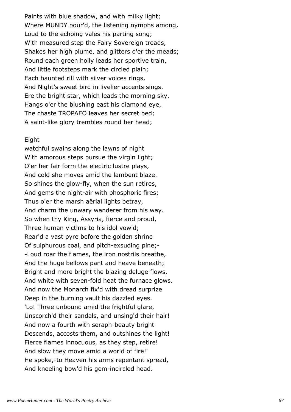Paints with blue shadow, and with milky light; Where MUNDY pour'd, the listening nymphs among, Loud to the echoing vales his parting song; With measured step the Fairy Sovereign treads, Shakes her high plume, and glitters o'er the meads; Round each green holly leads her sportive train, And little footsteps mark the circled plain; Each haunted rill with silver voices rings, And Night's sweet bird in livelier accents sings. Ere the bright star, which leads the morning sky, Hangs o'er the blushing east his diamond eye, The chaste TROPAEO leaves her secret bed; A saint-like glory trembles round her head;

#### Eight

watchful swains along the lawns of night With amorous steps pursue the virgin light; O'er her fair form the electric lustre plays, And cold she moves amid the lambent blaze. So shines the glow-fly, when the sun retires, And gems the night-air with phosphoric fires; Thus o'er the marsh aërial lights betray, And charm the unwary wanderer from his way. So when thy King, Assyria, fierce and proud, Three human victims to his idol vow'd; Rear'd a vast pyre before the golden shrine Of sulphurous coal, and pitch-exsuding pine;- -Loud roar the flames, the iron nostrils breathe, And the huge bellows pant and heave beneath; Bright and more bright the blazing deluge flows, And white with seven-fold heat the furnace glows. And now the Monarch fix'd with dread surprize Deep in the burning vault his dazzled eyes. 'Lo! Three unbound amid the frightful glare, Unscorch'd their sandals, and unsing'd their hair! And now a fourth with seraph-beauty bright Descends, accosts them, and outshines the light! Fierce flames innocuous, as they step, retire! And slow they move amid a world of fire!' He spoke,-to Heaven his arms repentant spread, And kneeling bow'd his gem-incircled head.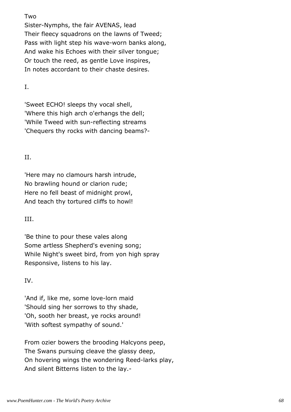# Two

Sister-Nymphs, the fair AVENAS, lead Their fleecy squadrons on the lawns of Tweed; Pass with light step his wave-worn banks along, And wake his Echoes with their silver tongue; Or touch the reed, as gentle Love inspires, In notes accordant to their chaste desires.

I.

'Sweet ECHO! sleeps thy vocal shell, 'Where this high arch o'erhangs the dell; 'While Tweed with sun-reflecting streams 'Chequers thy rocks with dancing beams?-

# II.

'Here may no clamours harsh intrude, No brawling hound or clarion rude; Here no fell beast of midnight prowl, And teach thy tortured cliffs to howl!

III.

'Be thine to pour these vales along Some artless Shepherd's evening song; While Night's sweet bird, from yon high spray Responsive, listens to his lay.

# IV.

'And if, like me, some love-lorn maid 'Should sing her sorrows to thy shade, 'Oh, sooth her breast, ye rocks around! 'With softest sympathy of sound.'

From ozier bowers the brooding Halcyons peep, The Swans pursuing cleave the glassy deep, On hovering wings the wondering Reed-larks play, And silent Bitterns listen to the lay.-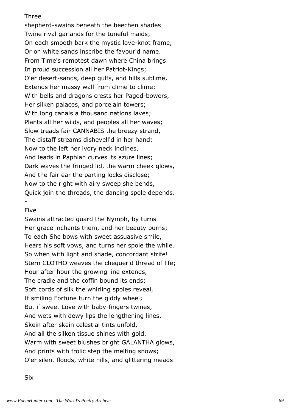## Three

shepherd-swains beneath the beechen shades Twine rival garlands for the tuneful maids; On each smooth bark the mystic love-knot frame, Or on white sands inscribe the favour'd name. From Time's remotest dawn where China brings In proud succession all her Patriot-Kings; O'er desert-sands, deep gulfs, and hills sublime, Extends her massy wall from clime to clime; With bells and dragons crests her Pagod-bowers, Her silken palaces, and porcelain towers; With long canals a thousand nations laves; Plants all her wilds, and peoples all her waves; Slow treads fair CANNABIS the breezy strand, The distaff streams dishevell'd in her hand; Now to the left her ivory neck inclines, And leads in Paphian curves its azure lines; Dark waves the fringed lid, the warm cheek glows, And the fair ear the parting locks disclose; Now to the right with airy sweep she bends, Quick join the threads, the dancing spole depends.

## Five

-

Swains attracted guard the Nymph, by turns Her grace inchants them, and her beauty burns; To each She bows with sweet assuasive smile, Hears his soft vows, and turns her spole the while. So when with light and shade, concordant strife! Stern CLOTHO weaves the chequer'd thread of life; Hour after hour the growing line extends, The cradle and the coffin bound its ends; Soft cords of silk the whirling spoles reveal, If smiling Fortune turn the giddy wheel; But if sweet Love with baby-fingers twines, And wets with dewy lips the lengthening lines, Skein after skein celestial tints unfold, And all the silken tissue shines with gold. Warm with sweet blushes bright GALANTHA glows, And prints with frolic step the melting snows; O'er silent floods, white hills, and glittering meads

Six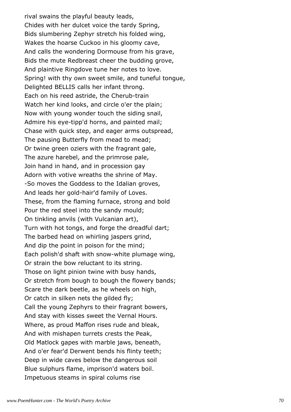rival swains the playful beauty leads, Chides with her dulcet voice the tardy Spring, Bids slumbering Zephyr stretch his folded wing, Wakes the hoarse Cuckoo in his gloomy cave, And calls the wondering Dormouse from his grave, Bids the mute Redbreast cheer the budding grove, And plaintive Ringdove tune her notes to love. Spring! with thy own sweet smile, and tuneful tongue, Delighted BELLIS calls her infant throng. Each on his reed astride, the Cherub-train Watch her kind looks, and circle o'er the plain; Now with young wonder touch the siding snail, Admire his eye-tipp'd horns, and painted mail; Chase with quick step, and eager arms outspread, The pausing Butterfly from mead to mead; Or twine green oziers with the fragrant gale, The azure harebel, and the primrose pale, Join hand in hand, and in procession gay Adorn with votive wreaths the shrine of May. -So moves the Goddess to the Idalian groves, And leads her gold-hair'd family of Loves. These, from the flaming furnace, strong and bold Pour the red steel into the sandy mould; On tinkling anvils (with Vulcanian art), Turn with hot tongs, and forge the dreadful dart; The barbed head on whirling jaspers grind, And dip the point in poison for the mind; Each polish'd shaft with snow-white plumage wing, Or strain the bow reluctant to its string. Those on light pinion twine with busy hands, Or stretch from bough to bough the flowery bands; Scare the dark beetle, as he wheels on high, Or catch in silken nets the gilded fly; Call the young Zephyrs to their fragrant bowers, And stay with kisses sweet the Vernal Hours. Where, as proud Maffon rises rude and bleak, And with mishapen turrets crests the Peak, Old Matlock gapes with marble jaws, beneath, And o'er fear'd Derwent bends his flinty teeth; Deep in wide caves below the dangerous soil Blue sulphurs flame, imprison'd waters boil. Impetuous steams in spiral colums rise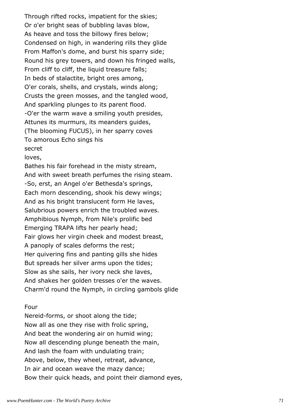Through rifted rocks, impatient for the skies; Or o'er bright seas of bubbling lavas blow, As heave and toss the billowy fires below; Condensed on high, in wandering rills they glide From Maffon's dome, and burst his sparry side; Round his grey towers, and down his fringed walls, From cliff to cliff, the liquid treasure falls; In beds of stalactite, bright ores among, O'er corals, shells, and crystals, winds along; Crusts the green mosses, and the tangled wood, And sparkling plunges to its parent flood. -O'er the warm wave a smiling youth presides, Attunes its murmurs, its meanders guides, (The blooming FUCUS), in her sparry coves To amorous Echo sings his secret

loves,

Bathes his fair forehead in the misty stream, And with sweet breath perfumes the rising steam. -So, erst, an Angel o'er Bethesda's springs, Each morn descending, shook his dewy wings; And as his bright translucent form He laves, Salubrious powers enrich the troubled waves. Amphibious Nymph, from Nile's prolific bed Emerging TRAPA lifts her pearly head; Fair glows her virgin cheek and modest breast, A panoply of scales deforms the rest; Her quivering fins and panting gills she hides But spreads her silver arms upon the tides; Slow as she sails, her ivory neck she laves, And shakes her golden tresses o'er the waves. Charm'd round the Nymph, in circling gambols glide

## Four

Nereid-forms, or shoot along the tide; Now all as one they rise with frolic spring, And beat the wondering air on humid wing; Now all descending plunge beneath the main, And lash the foam with undulating train; Above, below, they wheel, retreat, advance, In air and ocean weave the mazy dance; Bow their quick heads, and point their diamond eyes,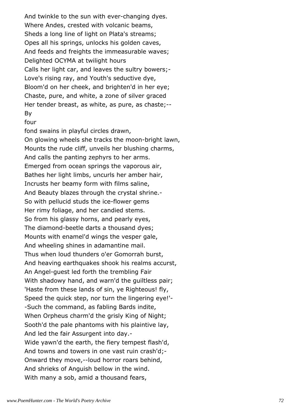And twinkle to the sun with ever-changing dyes. Where Andes, crested with volcanic beams, Sheds a long line of light on Plata's streams; Opes all his springs, unlocks his golden caves, And feeds and freights the immeasurable waves; Delighted OCYMA at twilight hours Calls her light car, and leaves the sultry bowers;- Love's rising ray, and Youth's seductive dye, Bloom'd on her cheek, and brighten'd in her eye; Chaste, pure, and white, a zone of silver graced Her tender breast, as white, as pure, as chaste;-- By

#### four

fond swains in playful circles drawn, On glowing wheels she tracks the moon-bright lawn, Mounts the rude cliff, unveils her blushing charms, And calls the panting zephyrs to her arms. Emerged from ocean springs the vaporous air, Bathes her light limbs, uncurls her amber hair, Incrusts her beamy form with films saline, And Beauty blazes through the crystal shrine.- So with pellucid studs the ice-flower gems Her rimy foliage, and her candied stems. So from his glassy horns, and pearly eyes, The diamond-beetle darts a thousand dyes; Mounts with enamel'd wings the vesper gale, And wheeling shines in adamantine mail. Thus when loud thunders o'er Gomorrah burst, And heaving earthquakes shook his realms accurst, An Angel-guest led forth the trembling Fair With shadowy hand, and warn'd the quiltless pair; 'Haste from these lands of sin, ye Righteous! fly, Speed the quick step, nor turn the lingering eye!'- -Such the command, as fabling Bards indite, When Orpheus charm'd the grisly King of Night; Sooth'd the pale phantoms with his plaintive lay, And led the fair Assurgent into day.- Wide yawn'd the earth, the fiery tempest flash'd, And towns and towers in one vast ruin crash'd;- Onward they move,--loud horror roars behind, And shrieks of Anguish bellow in the wind. With many a sob, amid a thousand fears,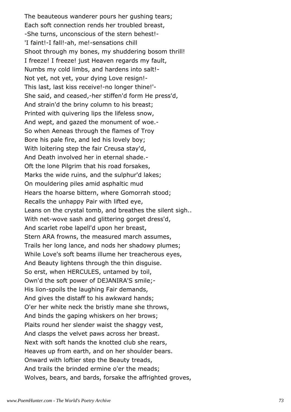The beauteous wanderer pours her gushing tears; Each soft connection rends her troubled breast, -She turns, unconscious of the stern behest!- 'I faint!-I fall!-ah, me!-sensations chill Shoot through my bones, my shuddering bosom thrill! I freeze! I freeze! just Heaven regards my fault, Numbs my cold limbs, and hardens into salt!- Not yet, not yet, your dying Love resign!- This last, last kiss receive!-no longer thine!'- She said, and ceased,-her stiffen'd form He press'd, And strain'd the briny column to his breast; Printed with quivering lips the lifeless snow, And wept, and gazed the monument of woe.- So when Aeneas through the flames of Troy Bore his pale fire, and led his lovely boy; With loitering step the fair Creusa stay'd, And Death involved her in eternal shade.- Oft the lone Pilgrim that his road forsakes, Marks the wide ruins, and the sulphur'd lakes; On mouldering piles amid asphaltic mud Hears the hoarse bittern, where Gomorrah stood; Recalls the unhappy Pair with lifted eye, Leans on the crystal tomb, and breathes the silent sigh.. With net-wove sash and glittering gorget dress'd, And scarlet robe lapell'd upon her breast, Stern ARA frowns, the measured march assumes, Trails her long lance, and nods her shadowy plumes; While Love's soft beams illume her treacherous eyes, And Beauty lightens through the thin disguise. So erst, when HERCULES, untamed by toil, Own'd the soft power of DEJANIRA'S smile;- His lion-spoils the laughing Fair demands, And gives the distaff to his awkward hands; O'er her white neck the bristly mane she throws, And binds the gaping whiskers on her brows; Plaits round her slender waist the shaggy vest, And clasps the velvet paws across her breast. Next with soft hands the knotted club she rears, Heaves up from earth, and on her shoulder bears. Onward with loftier step the Beauty treads, And trails the brinded ermine o'er the meads; Wolves, bears, and bards, forsake the affrighted groves,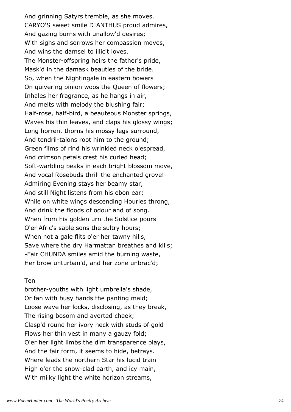And grinning Satyrs tremble, as she moves. CARYO'S sweet smile DIANTHUS proud admires, And gazing burns with unallow'd desires; With sighs and sorrows her compassion moves, And wins the damsel to illicit loves. The Monster-offspring heirs the father's pride, Mask'd in the damask beauties of the bride. So, when the Nightingale in eastern bowers On quivering pinion woos the Queen of flowers; Inhales her fragrance, as he hangs in air, And melts with melody the blushing fair; Half-rose, half-bird, a beauteous Monster springs, Waves his thin leaves, and claps his glossy wings; Long horrent thorns his mossy legs surround, And tendril-talons root him to the ground; Green films of rind his wrinkled neck o'espread, And crimson petals crest his curled head; Soft-warbling beaks in each bright blossom move, And vocal Rosebuds thrill the enchanted grove!- Admiring Evening stays her beamy star, And still Night listens from his ebon ear; While on white wings descending Houries throng, And drink the floods of odour and of song. When from his golden urn the Solstice pours O'er Afric's sable sons the sultry hours; When not a gale flits o'er her tawny hills, Save where the dry Harmattan breathes and kills; -Fair CHUNDA smiles amid the burning waste, Her brow unturban'd, and her zone unbrac'd;

#### Ten

brother-youths with light umbrella's shade, Or fan with busy hands the panting maid; Loose wave her locks, disclosing, as they break, The rising bosom and averted cheek; Clasp'd round her ivory neck with studs of gold Flows her thin vest in many a gauzy fold; O'er her light limbs the dim transparence plays, And the fair form, it seems to hide, betrays. Where leads the northern Star his lucid train High o'er the snow-clad earth, and icy main, With milky light the white horizon streams,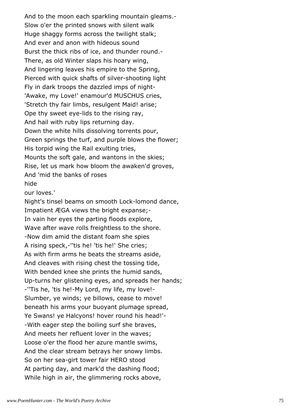And to the moon each sparkling mountain gleams.- Slow o'er the printed snows with silent walk Huge shaggy forms across the twilight stalk; And ever and anon with hideous sound Burst the thick ribs of ice, and thunder round.- There, as old Winter slaps his hoary wing, And lingering leaves his empire to the Spring, Pierced with quick shafts of silver-shooting light Fly in dark troops the dazzled imps of night- 'Awake, my Love!' enamour'd MUSCHUS cries, 'Stretch thy fair limbs, resulgent Maid! arise; Ope thy sweet eye-lids to the rising ray, And hail with ruby lips returning day. Down the white hills dissolving torrents pour, Green springs the turf, and purple blows the flower; His torpid wing the Rail exulting tries, Mounts the soft gale, and wantons in the skies; Rise, let us mark how bloom the awaken'd groves, And 'mid the banks of roses hide our loves.'

Night's tinsel beams on smooth Lock-lomond dance, Impatient ÆGA views the bright expanse;- In vain her eyes the parting floods explore, Wave after wave rolls freightless to the shore. -Now dim amid the distant foam she spies A rising speck,-''tis he! 'tis he!' She cries; As with firm arms he beats the streams aside, And cleaves with rising chest the tossing tide, With bended knee she prints the humid sands, Up-turns her glistening eyes, and spreads her hands; -''Tis he, 'tis he!-My Lord, my life, my love!- Slumber, ye winds; ye billows, cease to move! beneath his arms your buoyant plumage spread, Ye Swans! ye Halcyons! hover round his head!'- -With eager step the boiling surf she braves, And meets her refluent lover in the waves; Loose o'er the flood her azure mantle swims, And the clear stream betrays her snowy limbs. So on her sea-girt tower fair HERO stood At parting day, and mark'd the dashing flood; While high in air, the glimmering rocks above,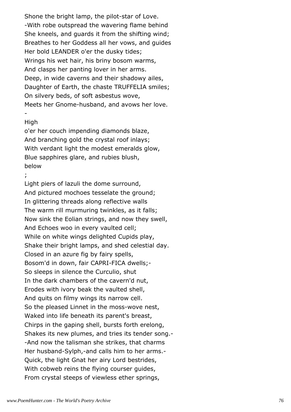Shone the bright lamp, the pilot-star of Love. -With robe outspread the wavering flame behind She kneels, and guards it from the shifting wind; Breathes to her Goddess all her vows, and guides Her bold LEANDER o'er the dusky tides; Wrings his wet hair, his briny bosom warms, And clasps her panting lover in her arms. Deep, in wide caverns and their shadowy ailes, Daughter of Earth, the chaste TRUFFELIA smiles; On silvery beds, of soft asbestus wove, Meets her Gnome-husband, and avows her love.

### High

-

o'er her couch impending diamonds blaze, And branching gold the crystal roof inlays; With verdant light the modest emeralds glow, Blue sapphires glare, and rubies blush, below

;

Light piers of lazuli the dome surround, And pictured mochoes tesselate the ground; In glittering threads along reflective walls The warm rill murmuring twinkles, as it falls; Now sink the Eolian strings, and now they swell, And Echoes woo in every vaulted cell; While on white wings delighted Cupids play, Shake their bright lamps, and shed celestial day. Closed in an azure fig by fairy spells, Bosom'd in down, fair CAPRI-FICA dwells;- So sleeps in silence the Curculio, shut In the dark chambers of the cavern'd nut, Erodes with ivory beak the vaulted shell, And quits on filmy wings its narrow cell. So the pleased Linnet in the moss-wove nest, Waked into life beneath its parent's breast, Chirps in the gaping shell, bursts forth erelong, Shakes its new plumes, and tries its tender song.- -And now the talisman she strikes, that charms Her husband-Sylph,-and calls him to her arms.- Quick, the light Gnat her airy Lord bestrides, With cobweb reins the flying courser guides, From crystal steeps of viewless ether springs,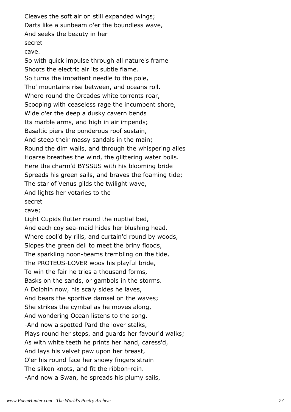Cleaves the soft air on still expanded wings; Darts like a sunbeam o'er the boundless wave, And seeks the beauty in her secret

cave.

So with quick impulse through all nature's frame Shoots the electric air its subtle flame. So turns the impatient needle to the pole, Tho' mountains rise between, and oceans roll. Where round the Orcades white torrents roar, Scooping with ceaseless rage the incumbent shore, Wide o'er the deep a dusky cavern bends Its marble arms, and high in air impends; Basaltic piers the ponderous roof sustain, And steep their massy sandals in the main; Round the dim walls, and through the whispering ailes Hoarse breathes the wind, the glittering water boils. Here the charm'd BYSSUS with his blooming bride Spreads his green sails, and braves the foaming tide; The star of Venus gilds the twilight wave, And lights her votaries to the secret

cave;

Light Cupids flutter round the nuptial bed, And each coy sea-maid hides her blushing head. Where cool'd by rills, and curtain'd round by woods, Slopes the green dell to meet the briny floods, The sparkling noon-beams trembling on the tide, The PROTEUS-LOVER woos his playful bride, To win the fair he tries a thousand forms, Basks on the sands, or gambols in the storms. A Dolphin now, his scaly sides he laves, And bears the sportive damsel on the waves; She strikes the cymbal as he moves along, And wondering Ocean listens to the song. -And now a spotted Pard the lover stalks, Plays round her steps, and guards her favour'd walks; As with white teeth he prints her hand, caress'd, And lays his velvet paw upon her breast, O'er his round face her snowy fingers strain The silken knots, and fit the ribbon-rein. -And now a Swan, he spreads his plumy sails,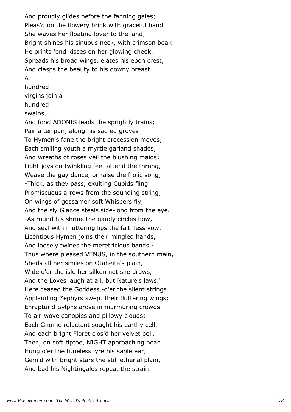And proudly glides before the fanning gales; Pleas'd on the flowery brink with graceful hand She waves her floating lover to the land; Bright shines his sinuous neck, with crimson beak He prints fond kisses on her glowing cheek, Spreads his broad wings, elates his ebon crest, And clasps the beauty to his downy breast.

# A

hundred virgins join a

hundred

# swains,

And fond ADONIS leads the sprightly trains; Pair after pair, along his sacred groves To Hymen's fane the bright procession moves; Each smiling youth a myrtle garland shades, And wreaths of roses veil the blushing maids; Light joys on twinkling feet attend the throng, Weave the gay dance, or raise the frolic song; -Thick, as they pass, exulting Cupids fling Promiscuous arrows from the sounding string; On wings of gossamer soft Whispers fly, And the sly Glance steals side-long from the eye. -As round his shrine the gaudy circles bow, And seal with muttering lips the faithless vow, Licentious Hymen joins their mingled hands, And loosely twines the meretricious bands.- Thus where pleased VENUS, in the southern main, Sheds all her smiles on Otaheite's plain, Wide o'er the isle her silken net she draws, And the Loves laugh at all, but Nature's laws.' Here ceased the Goddess,-o'er the silent strings Applauding Zephyrs swept their fluttering wings; Enraptur'd Sylphs arose in murmuring crowds To air-wove canopies and pillowy clouds; Each Gnome reluctant sought his earthy cell, And each bright Floret clos'd her velvet bell. Then, on soft tiptoe, NIGHT approaching near Hung o'er the tuneless lyre his sable ear; Gem'd with bright stars the still etherial plain, And bad his Nightingales repeat the strain.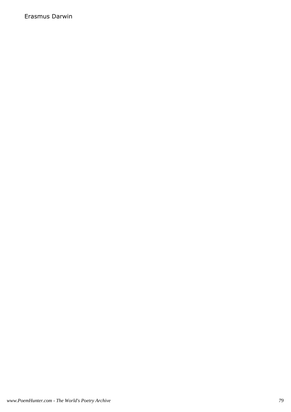Erasmus Darwin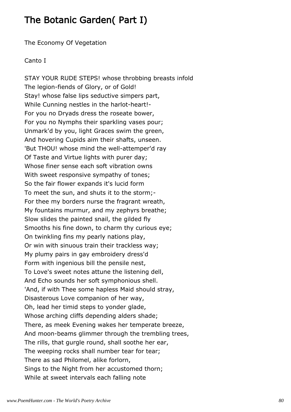# The Botanic Garden( Part I)

The Economy Of Vegetation

# Canto I

STAY YOUR RUDE STEPS! whose throbbing breasts infold The legion-fiends of Glory, or of Gold! Stay! whose false lips seductive simpers part, While Cunning nestles in the harlot-heart!- For you no Dryads dress the roseate bower, For you no Nymphs their sparkling vases pour; Unmark'd by you, light Graces swim the green, And hovering Cupids aim their shafts, unseen. 'But THOU! whose mind the well-attemper'd ray Of Taste and Virtue lights with purer day; Whose finer sense each soft vibration owns With sweet responsive sympathy of tones; So the fair flower expands it's lucid form To meet the sun, and shuts it to the storm;- For thee my borders nurse the fragrant wreath, My fountains murmur, and my zephyrs breathe; Slow slides the painted snail, the gilded fly Smooths his fine down, to charm thy curious eye; On twinkling fins my pearly nations play, Or win with sinuous train their trackless way; My plumy pairs in gay embroidery dress'd Form with ingenious bill the pensile nest, To Love's sweet notes attune the listening dell, And Echo sounds her soft symphonious shell. 'And, if with Thee some hapless Maid should stray, Disasterous Love companion of her way, Oh, lead her timid steps to yonder glade, Whose arching cliffs depending alders shade; There, as meek Evening wakes her temperate breeze, And moon-beams glimmer through the trembling trees, The rills, that gurgle round, shall soothe her ear, The weeping rocks shall number tear for tear; There as sad Philomel, alike forlorn, Sings to the Night from her accustomed thorn; While at sweet intervals each falling note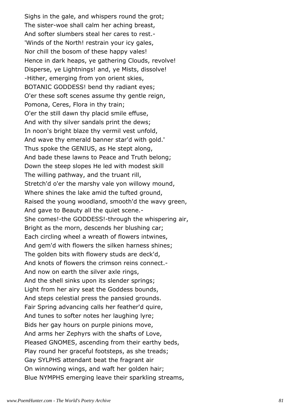Sighs in the gale, and whispers round the grot; The sister-woe shall calm her aching breast, And softer slumbers steal her cares to rest.- 'Winds of the North! restrain your icy gales, Nor chill the bosom of these happy vales! Hence in dark heaps, ye gathering Clouds, revolve! Disperse, ye Lightnings! and, ye Mists, dissolve! -Hither, emerging from yon orient skies, BOTANIC GODDESS! bend thy radiant eyes; O'er these soft scenes assume thy gentle reign, Pomona, Ceres, Flora in thy train; O'er the still dawn thy placid smile effuse, And with thy silver sandals print the dews; In noon's bright blaze thy vermil vest unfold, And wave thy emerald banner star'd with gold.' Thus spoke the GENIUS, as He stept along, And bade these lawns to Peace and Truth belong; Down the steep slopes He led with modest skill The willing pathway, and the truant rill, Stretch'd o'er the marshy vale yon willowy mound, Where shines the lake amid the tufted ground, Raised the young woodland, smooth'd the wavy green, And gave to Beauty all the quiet scene.- She comes!-the GODDESS!-through the whispering air, Bright as the morn, descends her blushing car; Each circling wheel a wreath of flowers intwines, And gem'd with flowers the silken harness shines; The golden bits with flowery studs are deck'd, And knots of flowers the crimson reins connect.- And now on earth the silver axle rings, And the shell sinks upon its slender springs; Light from her airy seat the Goddess bounds, And steps celestial press the pansied grounds. Fair Spring advancing calls her feather'd quire, And tunes to softer notes her laughing lyre; Bids her gay hours on purple pinions move, And arms her Zephyrs with the shafts of Love, Pleased GNOMES, ascending from their earthy beds, Play round her graceful footsteps, as she treads; Gay SYLPHS attendant beat the fragrant air On winnowing wings, and waft her golden hair; Blue NYMPHS emerging leave their sparkling streams,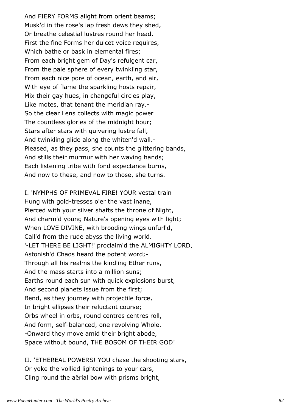And FIERY FORMS alight from orient beams; Musk'd in the rose's lap fresh dews they shed, Or breathe celestial lustres round her head. First the fine Forms her dulcet voice requires, Which bathe or bask in elemental fires; From each bright gem of Day's refulgent car, From the pale sphere of every twinkling star, From each nice pore of ocean, earth, and air, With eye of flame the sparkling hosts repair, Mix their gay hues, in changeful circles play, Like motes, that tenant the meridian ray.- So the clear Lens collects with magic power The countless glories of the midnight hour; Stars after stars with quivering lustre fall, And twinkling glide along the whiten'd wall.- Pleased, as they pass, she counts the glittering bands, And stills their murmur with her waving hands; Each listening tribe with fond expectance burns, And now to these, and now to those, she turns.

I. 'NYMPHS OF PRIMEVAL FIRE! YOUR vestal train Hung with gold-tresses o'er the vast inane, Pierced with your silver shafts the throne of Night, And charm'd young Nature's opening eyes with light; When LOVE DIVINE, with brooding wings unfurl'd, Call'd from the rude abyss the living world. '-LET THERE BE LIGHT!' proclaim'd the ALMIGHTY LORD, Astonish'd Chaos heard the potent word;- Through all his realms the kindling Ether runs, And the mass starts into a million suns; Earths round each sun with quick explosions burst, And second planets issue from the first; Bend, as they journey with projectile force, In bright ellipses their reluctant course; Orbs wheel in orbs, round centres centres roll, And form, self-balanced, one revolving Whole. -Onward they move amid their bright abode, Space without bound, THE BOSOM OF THEIR GOD!

II. 'ETHEREAL POWERS! YOU chase the shooting stars, Or yoke the vollied lightenings to your cars, Cling round the aërial bow with prisms bright,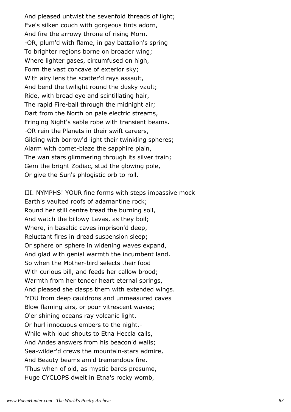And pleased untwist the sevenfold threads of light; Eve's silken couch with gorgeous tints adorn, And fire the arrowy throne of rising Morn. -OR, plum'd with flame, in gay battalion's spring To brighter regions borne on broader wing; Where lighter gases, circumfused on high, Form the vast concave of exterior sky; With airy lens the scatter'd rays assault, And bend the twilight round the dusky vault; Ride, with broad eye and scintillating hair, The rapid Fire-ball through the midnight air; Dart from the North on pale electric streams, Fringing Night's sable robe with transient beams. -OR rein the Planets in their swift careers, Gilding with borrow'd light their twinkling spheres; Alarm with comet-blaze the sapphire plain, The wan stars glimmering through its silver train; Gem the bright Zodiac, stud the glowing pole, Or give the Sun's phlogistic orb to roll.

III. NYMPHS! YOUR fine forms with steps impassive mock Earth's vaulted roofs of adamantine rock; Round her still centre tread the burning soil, And watch the billowy Lavas, as they boil; Where, in basaltic caves imprison'd deep, Reluctant fires in dread suspension sleep; Or sphere on sphere in widening waves expand, And glad with genial warmth the incumbent land. So when the Mother-bird selects their food With curious bill, and feeds her callow brood; Warmth from her tender heart eternal springs, And pleased she clasps them with extended wings. 'YOU from deep cauldrons and unmeasured caves Blow flaming airs, or pour vitrescent waves; O'er shining oceans ray volcanic light, Or hurl innocuous embers to the night.- While with loud shouts to Etna Heccla calls, And Andes answers from his beacon'd walls; Sea-wilder'd crews the mountain-stars admire, And Beauty beams amid tremendous fire. 'Thus when of old, as mystic bards presume, Huge CYCLOPS dwelt in Etna's rocky womb,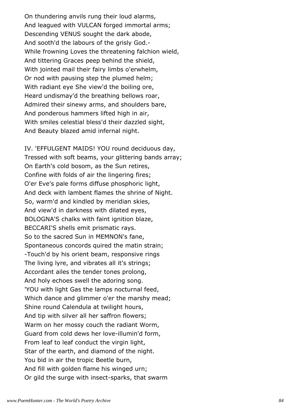On thundering anvils rung their loud alarms, And leagued with VULCAN forged immortal arms; Descending VENUS sought the dark abode, And sooth'd the labours of the grisly God.- While frowning Loves the threatening falchion wield, And tittering Graces peep behind the shield, With jointed mail their fairy limbs o'erwhelm, Or nod with pausing step the plumed helm; With radiant eye She view'd the boiling ore, Heard undismay'd the breathing bellows roar, Admired their sinewy arms, and shoulders bare, And ponderous hammers lifted high in air, With smiles celestial bless'd their dazzled sight, And Beauty blazed amid infernal night.

IV. 'EFFULGENT MAIDS! YOU round deciduous day, Tressed with soft beams, your glittering bands array; On Earth's cold bosom, as the Sun retires, Confine with folds of air the lingering fires; O'er Eve's pale forms diffuse phosphoric light, And deck with lambent flames the shrine of Night. So, warm'd and kindled by meridian skies, And view'd in darkness with dilated eyes, BOLOGNA'S chalks with faint ignition blaze, BECCARI'S shells emit prismatic rays. So to the sacred Sun in MEMNON's fane, Spontaneous concords quired the matin strain; -Touch'd by his orient beam, responsive rings The living lyre, and vibrates all it's strings; Accordant ailes the tender tones prolong, And holy echoes swell the adoring song. 'YOU with light Gas the lamps nocturnal feed, Which dance and glimmer o'er the marshy mead; Shine round Calendula at twilight hours, And tip with silver all her saffron flowers; Warm on her mossy couch the radiant Worm, Guard from cold dews her love-illumin'd form, From leaf to leaf conduct the virgin light, Star of the earth, and diamond of the night. You bid in air the tropic Beetle burn, And fill with golden flame his winged urn; Or gild the surge with insect-sparks, that swarm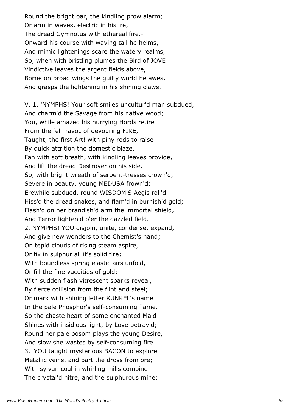Round the bright oar, the kindling prow alarm; Or arm in waves, electric in his ire, The dread Gymnotus with ethereal fire.- Onward his course with waving tail he helms, And mimic lightenings scare the watery realms, So, when with bristling plumes the Bird of JOVE Vindictive leaves the argent fields above, Borne on broad wings the guilty world he awes, And grasps the lightening in his shining claws.

V. 1. 'NYMPHS! Your soft smiles uncultur'd man subdued, And charm'd the Savage from his native wood; You, while amazed his hurrying Hords retire From the fell havoc of devouring FIRE, Taught, the first Art! with piny rods to raise By quick attrition the domestic blaze, Fan with soft breath, with kindling leaves provide, And lift the dread Destroyer on his side. So, with bright wreath of serpent-tresses crown'd, Severe in beauty, young MEDUSA frown'd; Erewhile subdued, round WISDOM'S Aegis roll'd Hiss'd the dread snakes, and flam'd in burnish'd gold; Flash'd on her brandish'd arm the immortal shield, And Terror lighten'd o'er the dazzled field. 2. NYMPHS! YOU disjoin, unite, condense, expand, And give new wonders to the Chemist's hand; On tepid clouds of rising steam aspire, Or fix in sulphur all it's solid fire; With boundless spring elastic airs unfold, Or fill the fine vacuities of gold; With sudden flash vitrescent sparks reveal, By fierce collision from the flint and steel; Or mark with shining letter KUNKEL's name In the pale Phosphor's self-consuming flame. So the chaste heart of some enchanted Maid Shines with insidious light, by Love betray'd; Round her pale bosom plays the young Desire, And slow she wastes by self-consuming fire. 3. 'YOU taught mysterious BACON to explore Metallic veins, and part the dross from ore; With sylvan coal in whirling mills combine The crystal'd nitre, and the sulphurous mine;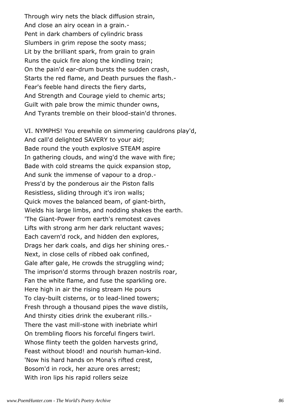Through wiry nets the black diffusion strain, And close an airy ocean in a grain.- Pent in dark chambers of cylindric brass Slumbers in grim repose the sooty mass; Lit by the brilliant spark, from grain to grain Runs the quick fire along the kindling train; On the pain'd ear-drum bursts the sudden crash, Starts the red flame, and Death pursues the flash.- Fear's feeble hand directs the fiery darts, And Strength and Courage yield to chemic arts; Guilt with pale brow the mimic thunder owns, And Tyrants tremble on their blood-stain'd thrones.

VI. NYMPHS! You erewhile on simmering cauldrons play'd, And call'd delighted SAVERY to your aid; Bade round the youth explosive STEAM aspire In gathering clouds, and wing'd the wave with fire; Bade with cold streams the quick expansion stop, And sunk the immense of vapour to a drop.- Press'd by the ponderous air the Piston falls Resistless, sliding through it's iron walls; Quick moves the balanced beam, of giant-birth, Wields his large limbs, and nodding shakes the earth. 'The Giant-Power from earth's remotest caves Lifts with strong arm her dark reluctant waves; Each cavern'd rock, and hidden den explores, Drags her dark coals, and digs her shining ores.- Next, in close cells of ribbed oak confined, Gale after gale, He crowds the struggling wind; The imprison'd storms through brazen nostrils roar, Fan the white flame, and fuse the sparkling ore. Here high in air the rising stream He pours To clay-built cisterns, or to lead-lined towers; Fresh through a thousand pipes the wave distils, And thirsty cities drink the exuberant rills.- There the vast mill-stone with inebriate whirl On trembling floors his forceful fingers twirl. Whose flinty teeth the golden harvests grind, Feast without blood! and nourish human-kind. 'Now his hard hands on Mona's rifted crest, Bosom'd in rock, her azure ores arrest; With iron lips his rapid rollers seize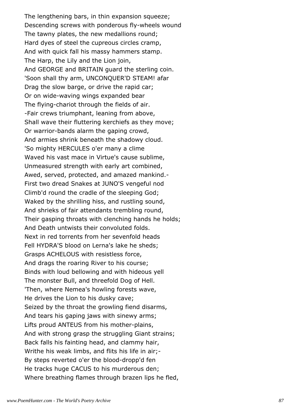The lengthening bars, in thin expansion squeeze; Descending screws with ponderous fly-wheels wound The tawny plates, the new medallions round; Hard dyes of steel the cupreous circles cramp, And with quick fall his massy hammers stamp. The Harp, the Lily and the Lion join, And GEORGE and BRITAIN guard the sterling coin. 'Soon shall thy arm, UNCONQUER'D STEAM! afar Drag the slow barge, or drive the rapid car; Or on wide-waving wings expanded bear The flying-chariot through the fields of air. -Fair crews triumphant, leaning from above, Shall wave their fluttering kerchiefs as they move; Or warrior-bands alarm the gaping crowd, And armies shrink beneath the shadowy cloud. 'So mighty HERCULES o'er many a clime Waved his vast mace in Virtue's cause sublime, Unmeasured strength with early art combined, Awed, served, protected, and amazed mankind.- First two dread Snakes at JUNO'S vengeful nod Climb'd round the cradle of the sleeping God; Waked by the shrilling hiss, and rustling sound, And shrieks of fair attendants trembling round, Their gasping throats with clenching hands he holds; And Death untwists their convoluted folds. Next in red torrents from her sevenfold heads Fell HYDRA'S blood on Lerna's lake he sheds; Grasps ACHELOUS with resistless force, And drags the roaring River to his course; Binds with loud bellowing and with hideous yell The monster Bull, and threefold Dog of Hell. 'Then, where Nemea's howling forests wave, He drives the Lion to his dusky cave; Seized by the throat the growling fiend disarms, And tears his gaping jaws with sinewy arms; Lifts proud ANTEUS from his mother-plains, And with strong grasp the struggling Giant strains; Back falls his fainting head, and clammy hair, Writhe his weak limbs, and flits his life in air;- By steps reverted o'er the blood-dropp'd fen He tracks huge CACUS to his murderous den; Where breathing flames through brazen lips he fled,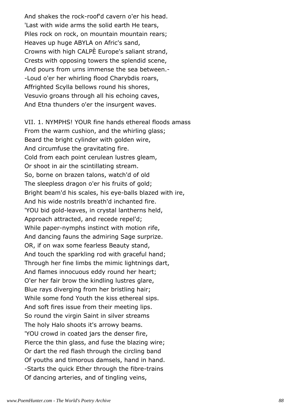And shakes the rock-roof'd cavern o'er his head. 'Last with wide arms the solid earth He tears, Piles rock on rock, on mountain mountain rears; Heaves up huge ABYLA on Afric's sand, Crowns with high CALPÈ Europe's saliant strand, Crests with opposing towers the splendid scene, And pours from urns immense the sea between.- -Loud o'er her whirling flood Charybdis roars, Affrighted Scylla bellows round his shores, Vesuvio groans through all his echoing caves, And Etna thunders o'er the insurgent waves.

VII. 1. NYMPHS! YOUR fine hands ethereal floods amass From the warm cushion, and the whirling glass; Beard the bright cylinder with golden wire, And circumfuse the gravitating fire. Cold from each point cerulean lustres gleam, Or shoot in air the scintillating stream. So, borne on brazen talons, watch'd of old The sleepless dragon o'er his fruits of gold; Bright beam'd his scales, his eye-balls blazed with ire, And his wide nostrils breath'd inchanted fire. 'YOU bid gold-leaves, in crystal lantherns held, Approach attracted, and recede repel'd; While paper-nymphs instinct with motion rife, And dancing fauns the admiring Sage surprize. OR, if on wax some fearless Beauty stand, And touch the sparkling rod with graceful hand; Through her fine limbs the mimic lightnings dart, And flames innocuous eddy round her heart; O'er her fair brow the kindling lustres glare, Blue rays diverging from her bristling hair; While some fond Youth the kiss ethereal sips. And soft fires issue from their meeting lips. So round the virgin Saint in silver streams The holy Halo shoots it's arrowy beams. 'YOU crowd in coated jars the denser fire, Pierce the thin glass, and fuse the blazing wire; Or dart the red flash through the circling band Of youths and timorous damsels, hand in hand. -Starts the quick Ether through the fibre-trains Of dancing arteries, and of tingling veins,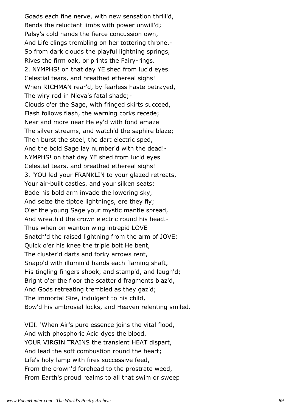Goads each fine nerve, with new sensation thrill'd, Bends the reluctant limbs with power unwill'd; Palsy's cold hands the fierce concussion own, And Life clings trembling on her tottering throne.- So from dark clouds the playful lightning springs, Rives the firm oak, or prints the Fairy-rings. 2. NYMPHS! on that day YE shed from lucid eyes. Celestial tears, and breathed ethereal sighs! When RICHMAN rear'd, by fearless haste betrayed, The wiry rod in Nieva's fatal shade;- Clouds o'er the Sage, with fringed skirts succeed, Flash follows flash, the warning corks recede; Near and more near He ey'd with fond amaze The silver streams, and watch'd the saphire blaze; Then burst the steel, the dart electric sped, And the bold Sage lay number'd with the dead!- NYMPHS! on that day YE shed from lucid eyes Celestial tears, and breathed ethereal sighs! 3. 'YOU led your FRANKLIN to your glazed retreats, Your air-built castles, and your silken seats; Bade his bold arm invade the lowering sky, And seize the tiptoe lightnings, ere they fly; O'er the young Sage your mystic mantle spread, And wreath'd the crown electric round his head.- Thus when on wanton wing intrepid LOVE Snatch'd the raised lightning from the arm of JOVE; Quick o'er his knee the triple bolt He bent, The cluster'd darts and forky arrows rent, Snapp'd with illumin'd hands each flaming shaft, His tingling fingers shook, and stamp'd, and laugh'd; Bright o'er the floor the scatter'd fragments blaz'd, And Gods retreating trembled as they gaz'd; The immortal Sire, indulgent to his child, Bow'd his ambrosial locks, and Heaven relenting smiled.

VIII. 'When Air's pure essence joins the vital flood, And with phosphoric Acid dyes the blood, YOUR VIRGIN TRAINS the transient HEAT dispart, And lead the soft combustion round the heart; Life's holy lamp with fires successive feed, From the crown'd forehead to the prostrate weed, From Earth's proud realms to all that swim or sweep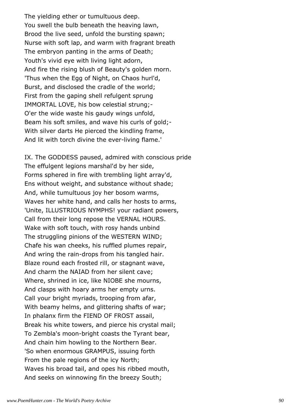The yielding ether or tumultuous deep. You swell the bulb beneath the heaving lawn, Brood the live seed, unfold the bursting spawn; Nurse with soft lap, and warm with fragrant breath The embryon panting in the arms of Death; Youth's vivid eye with living light adorn, And fire the rising blush of Beauty's golden morn. 'Thus when the Egg of Night, on Chaos hurl'd, Burst, and disclosed the cradle of the world; First from the gaping shell refulgent sprung IMMORTAL LOVE, his bow celestial strung;- O'er the wide waste his gaudy wings unfold, Beam his soft smiles, and wave his curls of gold;- With silver darts He pierced the kindling frame, And lit with torch divine the ever-living flame.'

IX. The GODDESS paused, admired with conscious pride The effulgent legions marshal'd by her side, Forms sphered in fire with trembling light array'd, Ens without weight, and substance without shade; And, while tumultuous joy her bosom warms, Waves her white hand, and calls her hosts to arms, 'Unite, ILLUSTRIOUS NYMPHS! your radiant powers, Call from their long repose the VERNAL HOURS. Wake with soft touch, with rosy hands unbind The struggling pinions of the WESTERN WIND; Chafe his wan cheeks, his ruffled plumes repair, And wring the rain-drops from his tangled hair. Blaze round each frosted rill, or stagnant wave, And charm the NAIAD from her silent cave; Where, shrined in ice, like NIOBE she mourns, And clasps with hoary arms her empty urns. Call your bright myriads, trooping from afar, With beamy helms, and glittering shafts of war; In phalanx firm the FIEND OF FROST assail, Break his white towers, and pierce his crystal mail; To Zembla's moon-bright coasts the Tyrant bear, And chain him howling to the Northern Bear. 'So when enormous GRAMPUS, issuing forth From the pale regions of the icy North; Waves his broad tail, and opes his ribbed mouth, And seeks on winnowing fin the breezy South;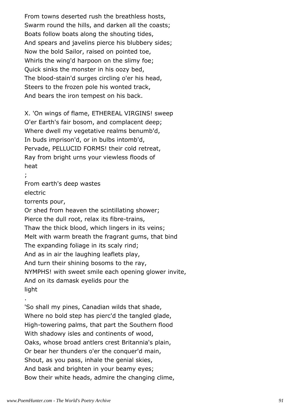From towns deserted rush the breathless hosts, Swarm round the hills, and darken all the coasts; Boats follow boats along the shouting tides, And spears and javelins pierce his blubbery sides; Now the bold Sailor, raised on pointed toe, Whirls the wing'd harpoon on the slimy foe; Quick sinks the monster in his oozy bed, The blood-stain'd surges circling o'er his head, Steers to the frozen pole his wonted track, And bears the iron tempest on his back.

X. 'On wings of flame, ETHEREAL VIRGINS! sweep O'er Earth's fair bosom, and complacent deep; Where dwell my vegetative realms benumb'd, In buds imprison'd, or in bulbs intomb'd, Pervade, PELLUCID FORMS! their cold retreat, Ray from bright urns your viewless floods of heat

;

.

From earth's deep wastes electric torrents pour, Or shed from heaven the scintillating shower; Pierce the dull root, relax its fibre-trains, Thaw the thick blood, which lingers in its veins; Melt with warm breath the fragrant gums, that bind The expanding foliage in its scaly rind; And as in air the laughing leaflets play, And turn their shining bosoms to the ray, NYMPHS! with sweet smile each opening glower invite, And on its damask eyelids pour the light

'So shall my pines, Canadian wilds that shade, Where no bold step has pierc'd the tangled glade, High-towering palms, that part the Southern flood With shadowy isles and continents of wood, Oaks, whose broad antlers crest Britannia's plain, Or bear her thunders o'er the conquer'd main, Shout, as you pass, inhale the genial skies, And bask and brighten in your beamy eyes; Bow their white heads, admire the changing clime,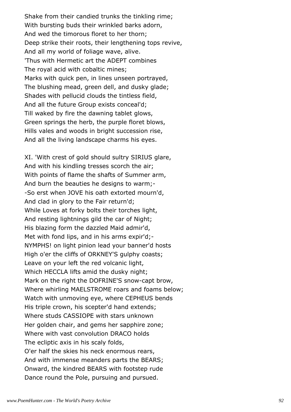Shake from their candied trunks the tinkling rime; With bursting buds their wrinkled barks adorn, And wed the timorous floret to her thorn; Deep strike their roots, their lengthening tops revive, And all my world of foliage wave, alive. 'Thus with Hermetic art the ADEPT combines The royal acid with cobaltic mines; Marks with quick pen, in lines unseen portrayed, The blushing mead, green dell, and dusky glade; Shades with pellucid clouds the tintless field, And all the future Group exists conceal'd; Till waked by fire the dawning tablet glows, Green springs the herb, the purple floret blows, Hills vales and woods in bright succession rise, And all the living landscape charms his eyes.

XI. 'With crest of gold should sultry SIRIUS glare, And with his kindling tresses scorch the air; With points of flame the shafts of Summer arm, And burn the beauties he designs to warm;- -So erst when JOVE his oath extorted mourn'd, And clad in glory to the Fair return'd; While Loves at forky bolts their torches light, And resting lightnings gild the car of Night; His blazing form the dazzled Maid admir'd, Met with fond lips, and in his arms expir'd;-NYMPHS! on light pinion lead your banner'd hosts High o'er the cliffs of ORKNEY'S gulphy coasts; Leave on your left the red volcanic light, Which HECCLA lifts amid the dusky night; Mark on the right the DOFRINE'S snow-capt brow, Where whirling MAELSTROME roars and foams below; Watch with unmoving eye, where CEPHEUS bends His triple crown, his scepter'd hand extends; Where studs CASSIOPE with stars unknown Her golden chair, and gems her sapphire zone; Where with vast convolution DRACO holds The ecliptic axis in his scaly folds, O'er half the skies his neck enormous rears, And with immense meanders parts the BEARS; Onward, the kindred BEARS with footstep rude Dance round the Pole, pursuing and pursued.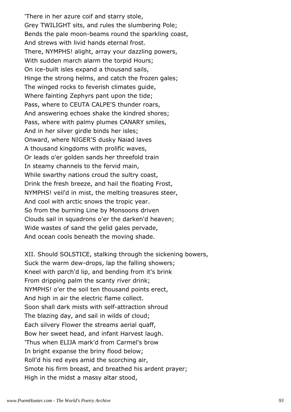'There in her azure coif and starry stole, Grey TWILIGHT sits, and rules the slumbering Pole; Bends the pale moon-beams round the sparkling coast, And strews with livid hands eternal frost. There, NYMPHS! alight, array your dazzling powers, With sudden march alarm the torpid Hours; On ice-built isles expand a thousand sails, Hinge the strong helms, and catch the frozen gales; The winged rocks to feverish climates guide, Where fainting Zephyrs pant upon the tide; Pass, where to CEUTA CALPE'S thunder roars, And answering echoes shake the kindred shores; Pass, where with palmy plumes CANARY smiles, And in her silver girdle binds her isles; Onward, where NIGER'S dusky Naiad laves A thousand kingdoms with prolific waves, Or leads o'er golden sands her threefold train In steamy channels to the fervid main, While swarthy nations croud the sultry coast, Drink the fresh breeze, and hail the floating Frost, NYMPHS! veil'd in mist, the melting treasures steer, And cool with arctic snows the tropic year. So from the burning Line by Monsoons driven Clouds sail in squadrons o'er the darken'd heaven; Wide wastes of sand the gelid gales pervade, And ocean cools beneath the moving shade.

XII. Should SOLSTICE, stalking through the sickening bowers, Suck the warm dew-drops, lap the falling showers; Kneel with parch'd lip, and bending from it's brink From dripping palm the scanty river drink; NYMPHS! o'er the soil ten thousand points erect, And high in air the electric flame collect. Soon shall dark mists with self-attraction shroud The blazing day, and sail in wilds of cloud; Each silvery Flower the streams aerial quaff, Bow her sweet head, and infant Harvest laugh. 'Thus when ELIJA mark'd from Carmel's brow In bright expanse the briny flood below; Roll'd his red eyes amid the scorching air, Smote his firm breast, and breathed his ardent prayer; High in the midst a massy altar stood,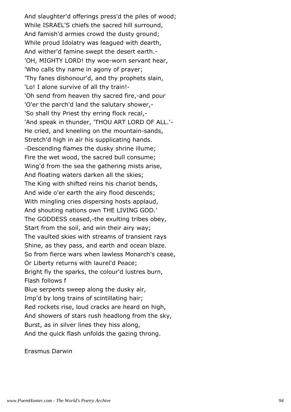And slaughter'd offerings press'd the piles of wood; While ISRAEL'S chiefs the sacred hill surround, And famish'd armies crowd the dusty ground; While proud Idolatry was leagued with dearth, And wither'd famine swept the desert earth.- 'OH, MIGHTY LORD! thy woe-worn servant hear, 'Who calls thy name in agony of prayer; 'Thy fanes dishonour'd, and thy prophets slain, 'Lo! I alone survive of all thy train!- 'Oh send from heaven thy sacred fire,-and pour 'O'er the parch'd land the salutary shower,- 'So shall thy Priest thy erring flock recal,- 'And speak in thunder, 'THOU ART LORD OF ALL.'- He cried, and kneeling on the mountain-sands, Stretch'd high in air his supplicating hands. -Descending flames the dusky shrine illume; Fire the wet wood, the sacred bull consume; Wing'd from the sea the gathering mists arise, And floating waters darken all the skies; The King with shifted reins his chariot bends, And wide o'er earth the airy flood descends; With mingling cries dispersing hosts applaud, And shouting nations own THE LIVING GOD.' The GODDESS ceased,-the exulting tribes obey, Start from the soil, and win their airy way; The vaulted skies with streams of transient rays Shine, as they pass, and earth and ocean blaze. So from fierce wars when lawless Monarch's cease, Or Liberty returns with laurel'd Peace; Bright fly the sparks, the colour'd lustres burn, Flash follows f Blue serpents sweep along the dusky air, Imp'd by long trains of scintillating hair; Red rockets rise, loud cracks are heard on high, And showers of stars rush headlong from the sky, Burst, as in silver lines they hiss along, And the quick flash unfolds the gazing throng.

Erasmus Darwin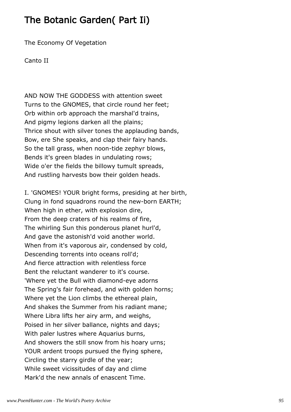# The Botanic Garden( Part Ii)

The Economy Of Vegetation

Canto II

AND NOW THE GODDESS with attention sweet Turns to the GNOMES, that circle round her feet; Orb within orb approach the marshal'd trains, And pigmy legions darken all the plains; Thrice shout with silver tones the applauding bands, Bow, ere She speaks, and clap their fairy hands. So the tall grass, when noon-tide zephyr blows, Bends it's green blades in undulating rows; Wide o'er the fields the billowy tumult spreads, And rustling harvests bow their golden heads.

I. 'GNOMES! YOUR bright forms, presiding at her birth, Clung in fond squadrons round the new-born EARTH; When high in ether, with explosion dire, From the deep craters of his realms of fire, The whirling Sun this ponderous planet hurl'd, And gave the astonish'd void another world. When from it's vaporous air, condensed by cold, Descending torrents into oceans roll'd; And fierce attraction with relentless force Bent the reluctant wanderer to it's course. 'Where yet the Bull with diamond-eye adorns The Spring's fair forehead, and with golden horns; Where yet the Lion climbs the ethereal plain, And shakes the Summer from his radiant mane; Where Libra lifts her airy arm, and weighs, Poised in her silver ballance, nights and days; With paler lustres where Aquarius burns, And showers the still snow from his hoary urns; YOUR ardent troops pursued the flying sphere, Circling the starry girdle of the year; While sweet vicissitudes of day and clime Mark'd the new annals of enascent Time.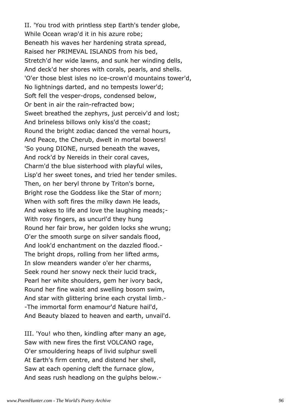II. 'You trod with printless step Earth's tender globe, While Ocean wrap'd it in his azure robe; Beneath his waves her hardening strata spread, Raised her PRIMEVAL ISLANDS from his bed, Stretch'd her wide lawns, and sunk her winding dells, And deck'd her shores with corals, pearls, and shells. 'O'er those blest isles no ice-crown'd mountains tower'd, No lightnings darted, and no tempests lower'd; Soft fell the vesper-drops, condensed below, Or bent in air the rain-refracted bow; Sweet breathed the zephyrs, just perceiv'd and lost; And brineless billows only kiss'd the coast; Round the bright zodiac danced the vernal hours, And Peace, the Cherub, dwelt in mortal bowers! 'So young DIONE, nursed beneath the waves, And rock'd by Nereids in their coral caves, Charm'd the blue sisterhood with playful wiles, Lisp'd her sweet tones, and tried her tender smiles. Then, on her beryl throne by Triton's borne, Bright rose the Goddess like the Star of morn; When with soft fires the milky dawn He leads, And wakes to life and love the laughing meads;- With rosy fingers, as uncurl'd they hung Round her fair brow, her golden locks she wrung; O'er the smooth surge on silver sandals flood, And look'd enchantment on the dazzled flood.- The bright drops, rolling from her lifted arms, In slow meanders wander o'er her charms, Seek round her snowy neck their lucid track, Pearl her white shoulders, gem her ivory back, Round her fine waist and swelling bosom swim, And star with glittering brine each crystal limb.- -The immortal form enamour'd Nature hail'd, And Beauty blazed to heaven and earth, unvail'd.

III. 'You! who then, kindling after many an age, Saw with new fires the first VOLCANO rage, O'er smouldering heaps of livid sulphur swell At Earth's firm centre, and distend her shell, Saw at each opening cleft the furnace glow, And seas rush headlong on the gulphs below.-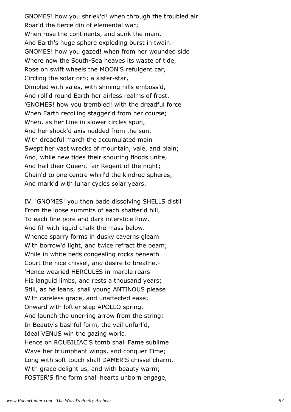GNOMES! how you shriek'd! when through the troubled air Roar'd the fierce din of elemental war; When rose the continents, and sunk the main, And Earth's huge sphere exploding burst in twain.- GNOMES! how you gazed! when from her wounded side Where now the South-Sea heaves its waste of tide, Rose on swift wheels the MOON'S refulgent car, Circling the solar orb; a sister-star, Dimpled with vales, with shining hills emboss'd, And roll'd round Earth her airless realms of frost. 'GNOMES! how you trembled! with the dreadful force When Earth recoiling stagger'd from her course; When, as her Line in slower circles spun, And her shock'd axis nodded from the sun, With dreadful march the accumulated main Swept her vast wrecks of mountain, vale, and plain; And, while new tides their shouting floods unite, And hail their Queen, fair Regent of the night; Chain'd to one centre whirl'd the kindred spheres, And mark'd with lunar cycles solar years.

IV. 'GNOMES! you then bade dissolving SHELLS distil From the loose summits of each shatter'd hill, To each fine pore and dark interstice flow, And fill with liquid chalk the mass below. Whence sparry forms in dusky caverns gleam With borrow'd light, and twice refract the beam; While in white beds congealing rocks beneath Court the nice chissel, and desire to breathe.- 'Hence wearied HERCULES in marble rears His languid limbs, and rests a thousand years; Still, as he leans, shall young ANTINOUS please With careless grace, and unaffected ease; Onward with loftier step APOLLO spring, And launch the unerring arrow from the string; In Beauty's bashful form, the veil unfurl'd, Ideal VENUS win the gazing world. Hence on ROUBILIAC'S tomb shall Fame sublime Wave her triumphant wings, and conquer Time; Long with soft touch shall DAMER'S chissel charm, With grace delight us, and with beauty warm; FOSTER'S fine form shall hearts unborn engage,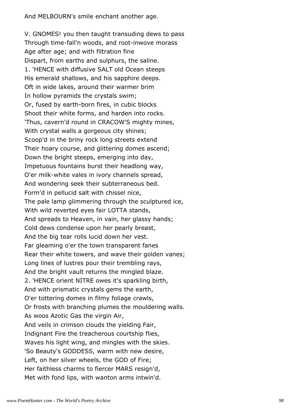And MELBOURN's smile enchant another age.

V. GNOMES! you then taught transuding dews to pass Through time-fall'n woods, and root-inwove morass Age after age; and with filtration fine Dispart, from earths and sulphurs, the saline. 1. 'HENCE with diffusive SALT old Ocean steeps His emerald shallows, and his sapphire deeps. Oft in wide lakes, around their warmer brim In hollow pyramids the crystals swim; Or, fused by earth-born fires, in cubic blocks Shoot their white forms, and harden into rocks. 'Thus, cavern'd round in CRACOW'S mighty mines, With crystal walls a gorgeous city shines; Scoop'd in the briny rock long streets extend Their hoary course, and glittering domes ascend; Down the bright steeps, emerging into day, Impetuous fountains burst their headlong way, O'er milk-white vales in ivory channels spread, And wondering seek their subterraneous bed. Form'd in pellucid salt with chissel nice, The pale lamp glimmering through the sculptured ice, With wild reverted eyes fair LOTTA stands, And spreads to Heaven, in vain, her glassy hands; Cold dews condense upon her pearly breast, And the big tear rolls lucid down her vest. Far gleaming o'er the town transparent fanes Rear their white towers, and wave their golden vanes; Long lines of lustres pour their trembling rays, And the bright vault returns the mingled blaze. 2. 'HENCE orient NITRE owes it's sparkling birth, And with prismatic crystals gems the earth, O'er tottering domes in filmy foliage crawls, Or frosts with branching plumes the mouldering walls. As woos Azotic Gas the virgin Air, And veils in crimson clouds the yielding Fair, Indignant Fire the treacherous courtship flies, Waves his light wing, and mingles with the skies. 'So Beauty's GODDESS, warm with new desire, Left, on her silver wheels, the GOD of Fire; Her faithless charms to fiercer MARS resign'd, Met with fond lips, with wanton arms intwin'd.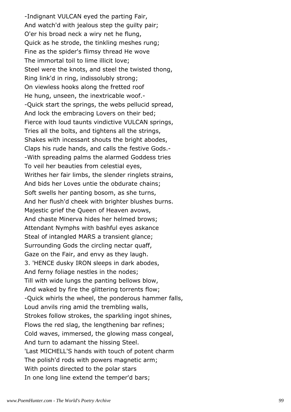-Indignant VULCAN eyed the parting Fair, And watch'd with jealous step the guilty pair; O'er his broad neck a wiry net he flung, Quick as he strode, the tinkling meshes rung; Fine as the spider's flimsy thread He wove The immortal toil to lime illicit love; Steel were the knots, and steel the twisted thong, Ring link'd in ring, indissolubly strong; On viewless hooks along the fretted roof He hung, unseen, the inextricable woof.- -Quick start the springs, the webs pellucid spread, And lock the embracing Lovers on their bed; Fierce with loud taunts vindictive VULCAN springs, Tries all the bolts, and tightens all the strings, Shakes with incessant shouts the bright abodes, Claps his rude hands, and calls the festive Gods.- -With spreading palms the alarmed Goddess tries To veil her beauties from celestial eyes, Writhes her fair limbs, the slender ringlets strains, And bids her Loves untie the obdurate chains; Soft swells her panting bosom, as she turns, And her flush'd cheek with brighter blushes burns. Majestic grief the Queen of Heaven avows, And chaste Minerva hides her helmed brows; Attendant Nymphs with bashful eyes askance Steal of intangled MARS a transient glance; Surrounding Gods the circling nectar quaff, Gaze on the Fair, and envy as they laugh. 3. 'HENCE dusky IRON sleeps in dark abodes, And ferny foliage nestles in the nodes; Till with wide lungs the panting bellows blow, And waked by fire the glittering torrents flow; -Quick whirls the wheel, the ponderous hammer falls, Loud anvils ring amid the trembling walls, Strokes follow strokes, the sparkling ingot shines, Flows the red slag, the lengthening bar refines; Cold waves, immersed, the glowing mass congeal, And turn to adamant the hissing Steel. 'Last MICHELL'S hands with touch of potent charm The polish'd rods with powers magnetic arm; With points directed to the polar stars In one long line extend the temper'd bars;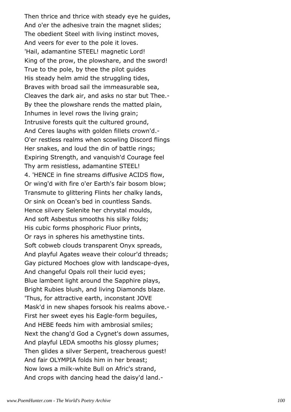Then thrice and thrice with steady eye he guides, And o'er the adhesive train the magnet slides; The obedient Steel with living instinct moves, And veers for ever to the pole it loves. 'Hail, adamantine STEEL! magnetic Lord! King of the prow, the plowshare, and the sword! True to the pole, by thee the pilot guides His steady helm amid the struggling tides, Braves with broad sail the immeasurable sea, Cleaves the dark air, and asks no star but Thee.- By thee the plowshare rends the matted plain, Inhumes in level rows the living grain; Intrusive forests quit the cultured ground, And Ceres laughs with golden fillets crown'd.- O'er restless realms when scowling Discord flings Her snakes, and loud the din of battle rings; Expiring Strength, and vanquish'd Courage feel Thy arm resistless, adamantine STEEL! 4. 'HENCE in fine streams diffusive ACIDS flow, Or wing'd with fire o'er Earth's fair bosom blow; Transmute to glittering Flints her chalky lands, Or sink on Ocean's bed in countless Sands. Hence silvery Selenite her chrystal moulds, And soft Asbestus smooths his silky folds; His cubic forms phosphoric Fluor prints, Or rays in spheres his amethystine tints. Soft cobweb clouds transparent Onyx spreads, And playful Agates weave their colour'd threads; Gay pictured Mochoes glow with landscape-dyes, And changeful Opals roll their lucid eyes; Blue lambent light around the Sapphire plays, Bright Rubies blush, and living Diamonds blaze. 'Thus, for attractive earth, inconstant JOVE Mask'd in new shapes forsook his realms above.- First her sweet eyes his Eagle-form beguiles, And HEBE feeds him with ambrosial smiles; Next the chang'd God a Cygnet's down assumes, And playful LEDA smooths his glossy plumes; Then glides a silver Serpent, treacherous guest! And fair OLYMPIA folds him in her breast; Now lows a milk-white Bull on Afric's strand, And crops with dancing head the daisy'd land.-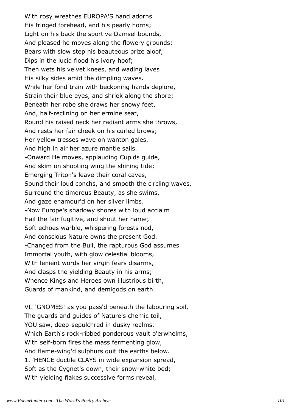With rosy wreathes EUROPA'S hand adorns His fringed forehead, and his pearly horns; Light on his back the sportive Damsel bounds, And pleased he moves along the flowery grounds; Bears with slow step his beauteous prize aloof, Dips in the lucid flood his ivory hoof; Then wets his velvet knees, and wading laves His silky sides amid the dimpling waves. While her fond train with beckoning hands deplore, Strain their blue eyes, and shriek along the shore; Beneath her robe she draws her snowy feet, And, half-reclining on her ermine seat, Round his raised neck her radiant arms she throws, And rests her fair cheek on his curled brows; Her yellow tresses wave on wanton gales, And high in air her azure mantle sails. -Onward He moves, applauding Cupids guide, And skim on shooting wing the shining tide; Emerging Triton's leave their coral caves, Sound their loud conchs, and smooth the circling waves, Surround the timorous Beauty, as she swims, And gaze enamour'd on her silver limbs. -Now Europe's shadowy shores with loud acclaim Hail the fair fugitive, and shout her name; Soft echoes warble, whispering forests nod, And conscious Nature owns the present God. -Changed from the Bull, the rapturous God assumes Immortal youth, with glow celestial blooms, With lenient words her virgin fears disarms, And clasps the yielding Beauty in his arms; Whence Kings and Heroes own illustrious birth, Guards of mankind, and demigods on earth.

VI. 'GNOMES! as you pass'd beneath the labouring soil, The guards and guides of Nature's chemic toil, YOU saw, deep-sepulchred in dusky realms, Which Earth's rock-ribbed ponderous vault o'erwhelms, With self-born fires the mass fermenting glow, And flame-wing'd sulphurs quit the earths below. 1. 'HENCE ductile CLAYS in wide expansion spread, Soft as the Cygnet's down, their snow-white bed; With yielding flakes successive forms reveal,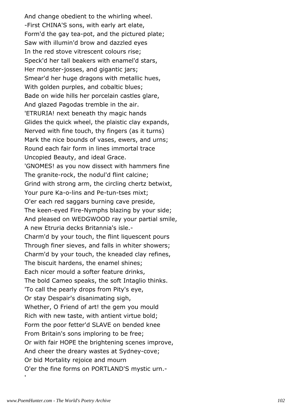And change obedient to the whirling wheel. -First CHINA'S sons, with early art elate, Form'd the gay tea-pot, and the pictured plate; Saw with illumin'd brow and dazzled eyes In the red stove vitrescent colours rise; Speck'd her tall beakers with enamel'd stars, Her monster-josses, and gigantic jars; Smear'd her huge dragons with metallic hues, With golden purples, and cobaltic blues; Bade on wide hills her porcelain castles glare, And glazed Pagodas tremble in the air. 'ETRURIA! next beneath thy magic hands Glides the quick wheel, the plaistic clay expands, Nerved with fine touch, thy fingers (as it turns) Mark the nice bounds of vases, ewers, and urns; Round each fair form in lines immortal trace Uncopied Beauty, and ideal Grace. 'GNOMES! as you now dissect with hammers fine The granite-rock, the nodul'd flint calcine; Grind with strong arm, the circling chertz betwixt, Your pure Ka-o-lins and Pe-tun-tses mixt; O'er each red saggars burning cave preside, The keen-eyed Fire-Nymphs blazing by your side; And pleased on WEDGWOOD ray your partial smile, A new Etruria decks Britannia's isle.- Charm'd by your touch, the flint liquescent pours Through finer sieves, and falls in whiter showers; Charm'd by your touch, the kneaded clay refines, The biscuit hardens, the enamel shines; Each nicer mould a softer feature drinks, The bold Cameo speaks, the soft Intaglio thinks. 'To call the pearly drops from Pity's eye, Or stay Despair's disanimating sigh, Whether, O Friend of art! the gem you mould Rich with new taste, with antient virtue bold; Form the poor fetter'd SLAVE on bended knee From Britain's sons imploring to be free; Or with fair HOPE the brightening scenes improve, And cheer the dreary wastes at Sydney-cove; Or bid Mortality rejoice and mourn O'er the fine forms on PORTLAND'S mystic urn.-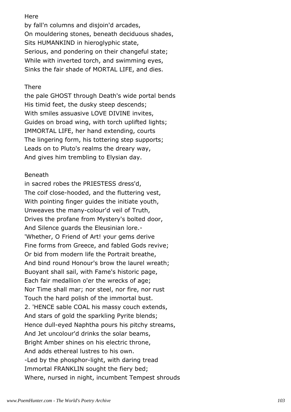# **Here**

by fall'n columns and disjoin'd arcades, On mouldering stones, beneath deciduous shades, Sits HUMANKIND in hieroglyphic state, Serious, and pondering on their changeful state; While with inverted torch, and swimming eyes, Sinks the fair shade of MORTAL LIFE, and dies.

## There

the pale GHOST through Death's wide portal bends His timid feet, the dusky steep descends; With smiles assuasive LOVE DIVINE invites, Guides on broad wing, with torch uplifted lights; IMMORTAL LIFE, her hand extending, courts The lingering form, his tottering step supports; Leads on to Pluto's realms the dreary way, And gives him trembling to Elysian day.

# Beneath

in sacred robes the PRIESTESS dress'd, The coif close-hooded, and the fluttering vest, With pointing finger guides the initiate youth, Unweaves the many-colour'd veil of Truth, Drives the profane from Mystery's bolted door, And Silence guards the Eleusinian lore.- 'Whether, O Friend of Art! your gems derive Fine forms from Greece, and fabled Gods revive; Or bid from modern life the Portrait breathe, And bind round Honour's brow the laurel wreath; Buoyant shall sail, with Fame's historic page, Each fair medallion o'er the wrecks of age; Nor Time shall mar; nor steel, nor fire, nor rust Touch the hard polish of the immortal bust. 2. 'HENCE sable COAL his massy couch extends, And stars of gold the sparkling Pyrite blends; Hence dull-eyed Naphtha pours his pitchy streams, And Jet uncolour'd drinks the solar beams, Bright Amber shines on his electric throne, And adds ethereal lustres to his own. -Led by the phosphor-light, with daring tread Immortal FRANKLIN sought the fiery bed; Where, nursed in night, incumbent Tempest shrouds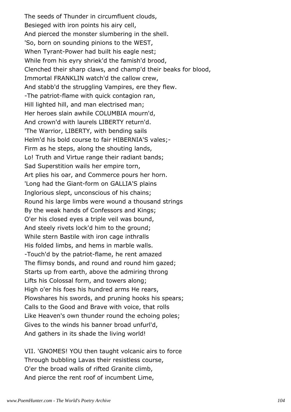The seeds of Thunder in circumfluent clouds, Besieged with iron points his airy cell, And pierced the monster slumbering in the shell. 'So, born on sounding pinions to the WEST, When Tyrant-Power had built his eagle nest; While from his eyry shriek'd the famish'd brood, Clenched their sharp claws, and champ'd their beaks for blood, Immortal FRANKLIN watch'd the callow crew, And stabb'd the struggling Vampires, ere they flew. -The patriot-flame with quick contagion ran, Hill lighted hill, and man electrised man; Her heroes slain awhile COLUMBIA mourn'd, And crown'd with laurels LIBERTY return'd. 'The Warrior, LIBERTY, with bending sails Helm'd his bold course to fair HIBERNIA'S vales;- Firm as he steps, along the shouting lands, Lo! Truth and Virtue range their radiant bands; Sad Superstition wails her empire torn, Art plies his oar, and Commerce pours her horn. 'Long had the Giant-form on GALLIA'S plains Inglorious slept, unconscious of his chains; Round his large limbs were wound a thousand strings By the weak hands of Confessors and Kings; O'er his closed eyes a triple veil was bound, And steely rivets lock'd him to the ground; While stern Bastile with iron cage inthralls His folded limbs, and hems in marble walls. -Touch'd by the patriot-flame, he rent amazed The flimsy bonds, and round and round him gazed; Starts up from earth, above the admiring throng Lifts his Colossal form, and towers along; High o'er his foes his hundred arms He rears, Plowshares his swords, and pruning hooks his spears; Calls to the Good and Brave with voice, that rolls Like Heaven's own thunder round the echoing poles; Gives to the winds his banner broad unfurl'd, And gathers in its shade the living world!

VII. 'GNOMES! YOU then taught volcanic airs to force Through bubbling Lavas their resistless course, O'er the broad walls of rifted Granite climb, And pierce the rent roof of incumbent Lime,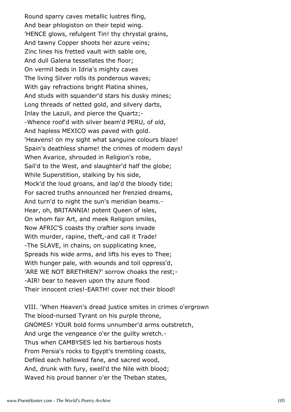Round sparry caves metallic lustres fling, And bear phlogiston on their tepid wing. 'HENCE glows, refulgent Tin! thy chrystal grains, And tawny Copper shoots her azure veins; Zinc lines his fretted vault with sable ore, And dull Galena tessellates the floor; On vermil beds in Idria's mighty caves The living Silver rolls its ponderous waves; With gay refractions bright Platina shines, And studs with squander'd stars his dusky mines; Long threads of netted gold, and silvery darts, Inlay the Lazuli, and pierce the Quartz;- -Whence roof'd with silver beam'd PERU, of old, And hapless MEXICO was paved with gold. 'Heavens! on my sight what sanguine colours blaze! Spain's deathless shame! the crimes of modern days! When Avarice, shrouded in Religion's robe, Sail'd to the West, and slaughter'd half the globe; While Superstition, stalking by his side, Mock'd the loud groans, and lap'd the bloody tide; For sacred truths announced her frenzied dreams, And turn'd to night the sun's meridian beams.- Hear, oh, BRITANNIA! potent Queen of isles, On whom fair Art, and meek Religion smiles, Now AFRIC'S coasts thy craftier sons invade With murder, rapine, theft,-and call it Trade! -The SLAVE, in chains, on supplicating knee, Spreads his wide arms, and lifts his eyes to Thee; With hunger pale, with wounds and toil oppress'd, 'ARE WE NOT BRETHREN?' sorrow choaks the rest;- -AIR! bear to heaven upon thy azure flood Their innocent cries!-EARTH! cover not their blood!

VIII. 'When Heaven's dread justice smites in crimes o'ergrown The blood-nursed Tyrant on his purple throne, GNOMES! YOUR bold forms unnumber'd arms outstretch, And urge the vengeance o'er the guilty wretch.- Thus when CAMBYSES led his barbarous hosts From Persia's rocks to Egypt's trembling coasts, Defiled each hallowed fane, and sacred wood, And, drunk with fury, swell'd the Nile with blood; Waved his proud banner o'er the Theban states,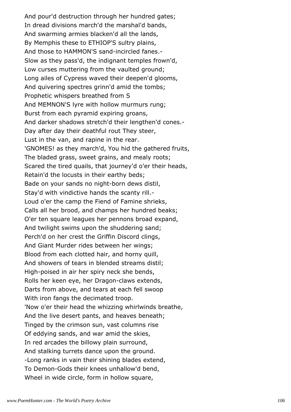And pour'd destruction through her hundred gates; In dread divisions march'd the marshal'd bands, And swarming armies blacken'd all the lands, By Memphis these to ETHIOP'S sultry plains, And those to HAMMON'S sand-incircled fanes.- Slow as they pass'd, the indignant temples frown'd, Low curses muttering from the vaulted ground; Long ailes of Cypress waved their deepen'd glooms, And quivering spectres grinn'd amid the tombs; Prophetic whispers breathed from S And MEMNON'S lyre with hollow murmurs rung; Burst from each pyramid expiring groans, And darker shadows stretch'd their lengthen'd cones.- Day after day their deathful rout They steer, Lust in the van, and rapine in the rear. 'GNOMES! as they march'd, You hid the gathered fruits, The bladed grass, sweet grains, and mealy roots; Scared the tired quails, that journey'd o'er their heads, Retain'd the locusts in their earthy beds; Bade on your sands no night-born dews distil, Stay'd with vindictive hands the scanty rill.- Loud o'er the camp the Fiend of Famine shrieks, Calls all her brood, and champs her hundred beaks; O'er ten square leagues her pennons broad expand, And twilight swims upon the shuddering sand; Perch'd on her crest the Griffin Discord clings, And Giant Murder rides between her wings; Blood from each clotted hair, and horny quill, And showers of tears in blended streams distil; High-poised in air her spiry neck she bends, Rolls her keen eye, her Dragon-claws extends, Darts from above, and tears at each fell swoop With iron fangs the decimated troop. 'Now o'er their head the whizzing whirlwinds breathe, And the live desert pants, and heaves beneath; Tinged by the crimson sun, vast columns rise Of eddying sands, and war amid the skies, In red arcades the billowy plain surround, And stalking turrets dance upon the ground. -Long ranks in vain their shining blades extend, To Demon-Gods their knees unhallow'd bend, Wheel in wide circle, form in hollow square,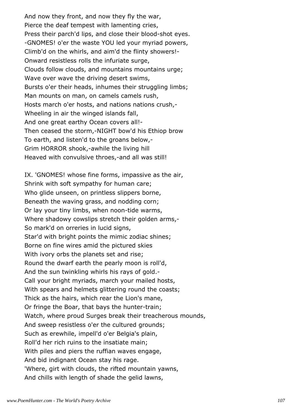And now they front, and now they fly the war, Pierce the deaf tempest with lamenting cries, Press their parch'd lips, and close their blood-shot eyes. -GNOMES! o'er the waste YOU led your myriad powers, Climb'd on the whirls, and aim'd the flinty showers!- Onward resistless rolls the infuriate surge, Clouds follow clouds, and mountains mountains urge; Wave over wave the driving desert swims, Bursts o'er their heads, inhumes their struggling limbs; Man mounts on man, on camels camels rush, Hosts march o'er hosts, and nations nations crush,- Wheeling in air the winged islands fall, And one great earthy Ocean covers all!- Then ceased the storm,-NIGHT bow'd his Ethiop brow To earth, and listen'd to the groans below,- Grim HORROR shook,-awhile the living hill Heaved with convulsive throes,-and all was still!

IX. 'GNOMES! whose fine forms, impassive as the air, Shrink with soft sympathy for human care; Who glide unseen, on printless slippers borne, Beneath the waving grass, and nodding corn; Or lay your tiny limbs, when noon-tide warms, Where shadowy cowslips stretch their golden arms,- So mark'd on orreries in lucid signs, Star'd with bright points the mimic zodiac shines; Borne on fine wires amid the pictured skies With ivory orbs the planets set and rise; Round the dwarf earth the pearly moon is roll'd, And the sun twinkling whirls his rays of gold.- Call your bright myriads, march your mailed hosts, With spears and helmets glittering round the coasts; Thick as the hairs, which rear the Lion's mane, Or fringe the Boar, that bays the hunter-train; Watch, where proud Surges break their treacherous mounds, And sweep resistless o'er the cultured grounds; Such as erewhile, impell'd o'er Belgia's plain, Roll'd her rich ruins to the insatiate main; With piles and piers the ruffian waves engage, And bid indignant Ocean stay his rage. 'Where, girt with clouds, the rifted mountain yawns, And chills with length of shade the gelid lawns,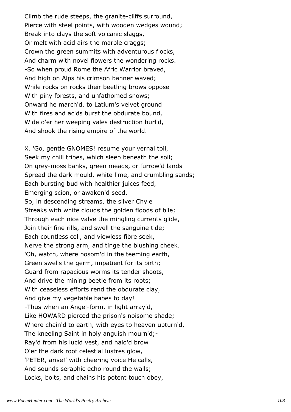Climb the rude steeps, the granite-cliffs surround, Pierce with steel points, with wooden wedges wound; Break into clays the soft volcanic slaggs, Or melt with acid airs the marble craggs; Crown the green summits with adventurous flocks, And charm with novel flowers the wondering rocks. -So when proud Rome the Afric Warrior braved, And high on Alps his crimson banner waved; While rocks on rocks their beetling brows oppose With piny forests, and unfathomed snows; Onward he march'd, to Latium's velvet ground With fires and acids burst the obdurate bound, Wide o'er her weeping vales destruction hurl'd, And shook the rising empire of the world.

X. 'Go, gentle GNOMES! resume your vernal toil, Seek my chill tribes, which sleep beneath the soil; On grey-moss banks, green meads, or furrow'd lands Spread the dark mould, white lime, and crumbling sands; Each bursting bud with healthier juices feed, Emerging scion, or awaken'd seed. So, in descending streams, the silver Chyle Streaks with white clouds the golden floods of bile; Through each nice valve the mingling currents glide, Join their fine rills, and swell the sanguine tide; Each countless cell, and viewless fibre seek, Nerve the strong arm, and tinge the blushing cheek. 'Oh, watch, where bosom'd in the teeming earth, Green swells the germ, impatient for its birth; Guard from rapacious worms its tender shoots, And drive the mining beetle from its roots; With ceaseless efforts rend the obdurate clay, And give my vegetable babes to day! -Thus when an Angel-form, in light array'd, Like HOWARD pierced the prison's noisome shade; Where chain'd to earth, with eyes to heaven upturn'd, The kneeling Saint in holy anguish mourn'd;- Ray'd from his lucid vest, and halo'd brow O'er the dark roof celestial lustres glow, 'PETER, arise!' with cheering voice He calls, And sounds seraphic echo round the walls; Locks, bolts, and chains his potent touch obey,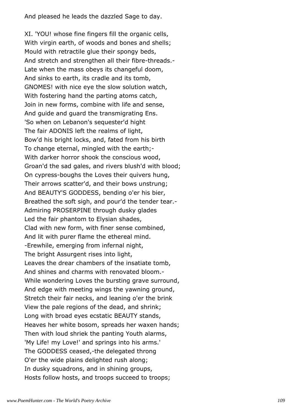And pleased he leads the dazzled Sage to day.

XI. 'YOU! whose fine fingers fill the organic cells, With virgin earth, of woods and bones and shells; Mould with retractile glue their spongy beds, And stretch and strengthen all their fibre-threads.- Late when the mass obeys its changeful doom, And sinks to earth, its cradle and its tomb, GNOMES! with nice eye the slow solution watch, With fostering hand the parting atoms catch, Join in new forms, combine with life and sense, And guide and guard the transmigrating Ens. 'So when on Lebanon's sequester'd hight The fair ADONIS left the realms of light, Bow'd his bright locks, and, fated from his birth To change eternal, mingled with the earth;- With darker horror shook the conscious wood, Groan'd the sad gales, and rivers blush'd with blood; On cypress-boughs the Loves their quivers hung, Their arrows scatter'd, and their bows unstrung; And BEAUTY'S GODDESS, bending o'er his bier, Breathed the soft sigh, and pour'd the tender tear.- Admiring PROSERPINE through dusky glades Led the fair phantom to Elysian shades, Clad with new form, with finer sense combined, And lit with purer flame the ethereal mind. -Erewhile, emerging from infernal night, The bright Assurgent rises into light, Leaves the drear chambers of the insatiate tomb, And shines and charms with renovated bloom.- While wondering Loves the bursting grave surround, And edge with meeting wings the yawning ground, Stretch their fair necks, and leaning o'er the brink View the pale regions of the dead, and shrink; Long with broad eyes ecstatic BEAUTY stands, Heaves her white bosom, spreads her waxen hands; Then with loud shriek the panting Youth alarms, 'My Life! my Love!' and springs into his arms.' The GODDESS ceased,-the delegated throng O'er the wide plains delighted rush along; In dusky squadrons, and in shining groups, Hosts follow hosts, and troops succeed to troops;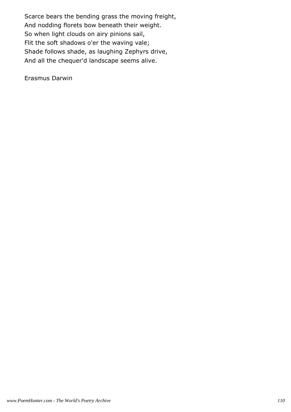Scarce bears the bending grass the moving freight, And nodding florets bow beneath their weight. So when light clouds on airy pinions sail, Flit the soft shadows o'er the waving vale; Shade follows shade, as laughing Zephyrs drive, And all the chequer'd landscape seems alive.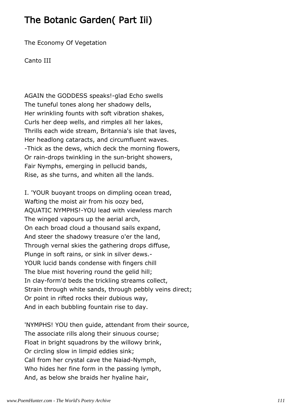## The Botanic Garden( Part Iii)

The Economy Of Vegetation

Canto III

AGAIN the GODDESS speaks!-glad Echo swells The tuneful tones along her shadowy dells, Her wrinkling founts with soft vibration shakes, Curls her deep wells, and rimples all her lakes, Thrills each wide stream, Britannia's isle that laves, Her headlong cataracts, and circumfluent waves. -Thick as the dews, which deck the morning flowers, Or rain-drops twinkling in the sun-bright showers, Fair Nymphs, emerging in pellucid bands, Rise, as she turns, and whiten all the lands.

I. 'YOUR buoyant troops on dimpling ocean tread, Wafting the moist air from his oozy bed, AQUATIC NYMPHS!-YOU lead with viewless march The winged vapours up the aerial arch, On each broad cloud a thousand sails expand, And steer the shadowy treasure o'er the land, Through vernal skies the gathering drops diffuse, Plunge in soft rains, or sink in silver dews.- YOUR lucid bands condense with fingers chill The blue mist hovering round the gelid hill; In clay-form'd beds the trickling streams collect, Strain through white sands, through pebbly veins direct; Or point in rifted rocks their dubious way, And in each bubbling fountain rise to day.

'NYMPHS! YOU then guide, attendant from their source, The associate rills along their sinuous course; Float in bright squadrons by the willowy brink, Or circling slow in limpid eddies sink; Call from her crystal cave the Naiad-Nymph, Who hides her fine form in the passing lymph, And, as below she braids her hyaline hair,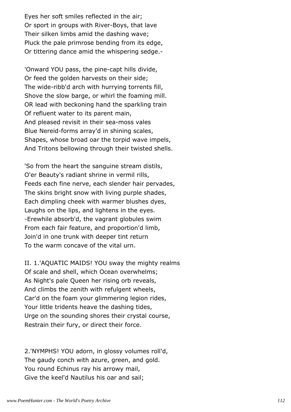Eyes her soft smiles reflected in the air; Or sport in groups with River-Boys, that lave Their silken limbs amid the dashing wave; Pluck the pale primrose bending from its edge, Or tittering dance amid the whispering sedge.-

'Onward YOU pass, the pine-capt hills divide, Or feed the golden harvests on their side; The wide-ribb'd arch with hurrying torrents fill, Shove the slow barge, or whirl the foaming mill. OR lead with beckoning hand the sparkling train Of refluent water to its parent main, And pleased revisit in their sea-moss vales Blue Nereid-forms array'd in shining scales, Shapes, whose broad oar the torpid wave impels, And Tritons bellowing through their twisted shells.

'So from the heart the sanguine stream distils, O'er Beauty's radiant shrine in vermil rills, Feeds each fine nerve, each slender hair pervades, The skins bright snow with living purple shades, Each dimpling cheek with warmer blushes dyes, Laughs on the lips, and lightens in the eyes. -Erewhile absorb'd, the vagrant globules swim From each fair feature, and proportion'd limb, Join'd in one trunk with deeper tint return To the warm concave of the vital urn.

II. 1.'AQUATIC MAIDS! YOU sway the mighty realms Of scale and shell, which Ocean overwhelms; As Night's pale Queen her rising orb reveals, And climbs the zenith with refulgent wheels, Car'd on the foam your glimmering legion rides, Your little tridents heave the dashing tides, Urge on the sounding shores their crystal course, Restrain their fury, or direct their force.

2.'NYMPHS! YOU adorn, in glossy volumes roll'd, The gaudy conch with azure, green, and gold. You round Echinus ray his arrowy mail, Give the keel'd Nautilus his oar and sail;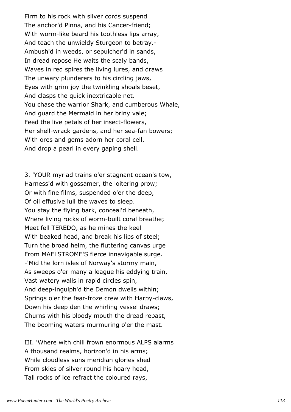Firm to his rock with silver cords suspend The anchor'd Pinna, and his Cancer-friend; With worm-like beard his toothless lips array, And teach the unwieldy Sturgeon to betray.- Ambush'd in weeds, or sepulcher'd in sands, In dread repose He waits the scaly bands, Waves in red spires the living lures, and draws The unwary plunderers to his circling jaws, Eyes with grim joy the twinkling shoals beset, And clasps the quick inextricable net. You chase the warrior Shark, and cumberous Whale, And guard the Mermaid in her briny vale; Feed the live petals of her insect-flowers, Her shell-wrack gardens, and her sea-fan bowers; With ores and gems adorn her coral cell, And drop a pearl in every gaping shell.

3. 'YOUR myriad trains o'er stagnant ocean's tow, Harness'd with gossamer, the loitering prow; Or with fine films, suspended o'er the deep, Of oil effusive lull the waves to sleep. You stay the flying bark, conceal'd beneath, Where living rocks of worm-built coral breathe; Meet fell TEREDO, as he mines the keel With beaked head, and break his lips of steel; Turn the broad helm, the fluttering canvas urge From MAELSTROME'S fierce innavigable surge. -'Mid the lorn isles of Norway's stormy main, As sweeps o'er many a league his eddying train, Vast watery walls in rapid circles spin, And deep-ingulph'd the Demon dwells within; Springs o'er the fear-froze crew with Harpy-claws, Down his deep den the whirling vessel draws; Churns with his bloody mouth the dread repast, The booming waters murmuring o'er the mast.

III. 'Where with chill frown enormous ALPS alarms A thousand realms, horizon'd in his arms; While cloudless suns meridian glories shed From skies of silver round his hoary head, Tall rocks of ice refract the coloured rays,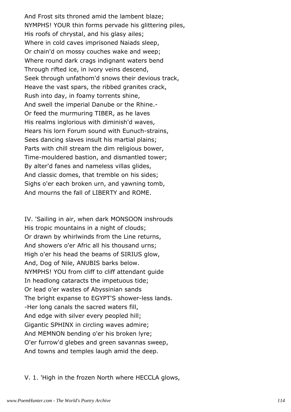And Frost sits throned amid the lambent blaze; NYMPHS! YOUR thin forms pervade his glittering piles, His roofs of chrystal, and his glasy ailes; Where in cold caves imprisoned Naiads sleep, Or chain'd on mossy couches wake and weep; Where round dark crags indignant waters bend Through rifted ice, in ivory veins descend, Seek through unfathom'd snows their devious track, Heave the vast spars, the ribbed granites crack, Rush into day, in foamy torrents shine, And swell the imperial Danube or the Rhine.- Or feed the murmuring TIBER, as he laves His realms inglorious with diminish'd waves, Hears his lorn Forum sound with Eunuch-strains, Sees dancing slaves insult his martial plains; Parts with chill stream the dim religious bower, Time-mouldered bastion, and dismantled tower; By alter'd fanes and nameless villas glides, And classic domes, that tremble on his sides; Sighs o'er each broken urn, and yawning tomb, And mourns the fall of LIBERTY and ROME.

IV. 'Sailing in air, when dark MONSOON inshrouds His tropic mountains in a night of clouds; Or drawn by whirlwinds from the Line returns, And showers o'er Afric all his thousand urns; High o'er his head the beams of SIRIUS glow, And, Dog of Nile, ANUBIS barks below. NYMPHS! YOU from cliff to cliff attendant guide In headlong cataracts the impetuous tide; Or lead o'er wastes of Abyssinian sands The bright expanse to EGYPT'S shower-less lands. -Her long canals the sacred waters fill, And edge with silver every peopled hill; Gigantic SPHINX in circling waves admire; And MEMNON bending o'er his broken lyre; O'er furrow'd glebes and green savannas sweep, And towns and temples laugh amid the deep.

V. 1. 'High in the frozen North where HECCLA glows,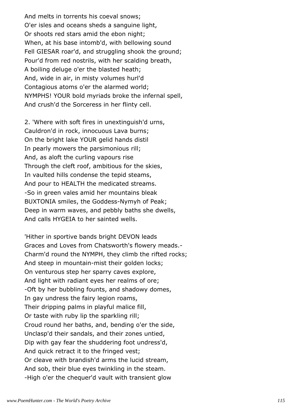And melts in torrents his coeval snows; O'er isles and oceans sheds a sanguine light, Or shoots red stars amid the ebon night; When, at his base intomb'd, with bellowing sound Fell GIESAR roar'd, and struggling shook the ground; Pour'd from red nostrils, with her scalding breath, A boiling deluge o'er the blasted heath; And, wide in air, in misty volumes hurl'd Contagious atoms o'er the alarmed world; NYMPHS! YOUR bold myriads broke the infernal spell, And crush'd the Sorceress in her flinty cell.

2. 'Where with soft fires in unextinguish'd urns, Cauldron'd in rock, innocuous Lava burns; On the bright lake YOUR gelid hands distil In pearly mowers the parsimonious rill; And, as aloft the curling vapours rise Through the cleft roof, ambitious for the skies, In vaulted hills condense the tepid steams, And pour to HEALTH the medicated streams. -So in green vales amid her mountains bleak BUXTONIA smiles, the Goddess-Nymyh of Peak; Deep in warm waves, and pebbly baths she dwells, And calls HYGEIA to her sainted wells.

'Hither in sportive bands bright DEVON leads Graces and Loves from Chatsworth's flowery meads.- Charm'd round the NYMPH, they climb the rifted rocks; And steep in mountain-mist their golden locks; On venturous step her sparry caves explore, And light with radiant eyes her realms of ore; -Oft by her bubbling founts, and shadowy domes, In gay undress the fairy legion roams, Their dripping palms in playful malice fill, Or taste with ruby lip the sparkling rill; Croud round her baths, and, bending o'er the side, Unclasp'd their sandals, and their zones untied, Dip with gay fear the shuddering foot undress'd, And quick retract it to the fringed vest; Or cleave with brandish'd arms the lucid stream, And sob, their blue eyes twinkling in the steam. -High o'er the chequer'd vault with transient glow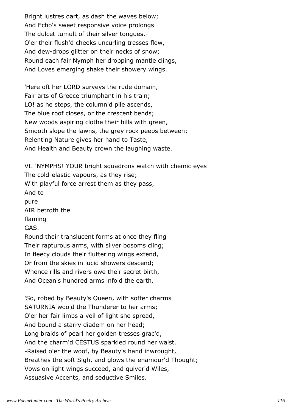Bright lustres dart, as dash the waves below; And Echo's sweet responsive voice prolongs The dulcet tumult of their silver tongues.- O'er their flush'd cheeks uncurling tresses flow, And dew-drops glitter on their necks of snow; Round each fair Nymph her dropping mantle clings, And Loves emerging shake their showery wings.

'Here oft her LORD surveys the rude domain, Fair arts of Greece triumphant in his train; LO! as he steps, the column'd pile ascends, The blue roof closes, or the crescent bends; New woods aspiring clothe their hills with green, Smooth slope the lawns, the grey rock peeps between; Relenting Nature gives her hand to Taste, And Health and Beauty crown the laughing waste.

VI. 'NYMPHS! YOUR bright squadrons watch with chemic eyes The cold-elastic vapours, as they rise; With playful force arrest them as they pass, And to pure AIR betroth the flaming GAS. Round their translucent forms at once they fling Their rapturous arms, with silver bosoms cling; In fleecy clouds their fluttering wings extend, Or from the skies in lucid showers descend; Whence rills and rivers owe their secret birth, And Ocean's hundred arms infold the earth.

'So, robed by Beauty's Queen, with softer charms SATURNIA woo'd the Thunderer to her arms; O'er her fair limbs a veil of light she spread, And bound a starry diadem on her head; Long braids of pearl her golden tresses grac'd, And the charm'd CESTUS sparkled round her waist. -Raised o'er the woof, by Beauty's hand inwrought, Breathes the soft Sigh, and glows the enamour'd Thought; Vows on light wings succeed, and quiver'd Wiles, Assuasive Accents, and seductive Smiles.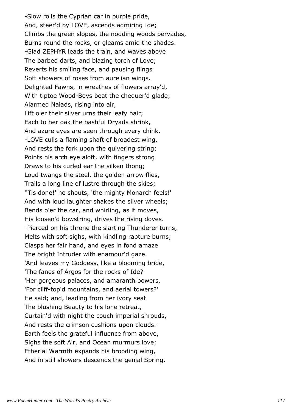-Slow rolls the Cyprian car in purple pride, And, steer'd by LOVE, ascends admiring Ide; Climbs the green slopes, the nodding woods pervades, Burns round the rocks, or gleams amid the shades. -Glad ZEPHYR leads the train, and waves above The barbed darts, and blazing torch of Love; Reverts his smiling face, and pausing flings Soft showers of roses from aurelian wings. Delighted Fawns, in wreathes of flowers array'd, With tiptoe Wood-Boys beat the chequer'd glade; Alarmed Naiads, rising into air, Lift o'er their silver urns their leafy hair; Each to her oak the bashful Dryads shrink, And azure eyes are seen through every chink. -LOVE culls a flaming shaft of broadest wing, And rests the fork upon the quivering string; Points his arch eye aloft, with fingers strong Draws to his curled ear the silken thong; Loud twangs the steel, the golden arrow flies, Trails a long line of lustre through the skies; ''Tis done!' he shouts, 'the mighty Monarch feels!' And with loud laughter shakes the silver wheels; Bends o'er the car, and whirling, as it moves, His loosen'd bowstring, drives the rising doves. -Pierced on his throne the slarting Thunderer turns, Melts with soft sighs, with kindling rapture burns; Clasps her fair hand, and eyes in fond amaze The bright Intruder with enamour'd gaze. 'And leaves my Goddess, like a blooming bride, 'The fanes of Argos for the rocks of Ide? 'Her gorgeous palaces, and amaranth bowers, 'For cliff-top'd mountains, and aerial towers?' He said; and, leading from her ivory seat The blushing Beauty to his lone retreat, Curtain'd with night the couch imperial shrouds, And rests the crimson cushions upon clouds.- Earth feels the grateful influence from above, Sighs the soft Air, and Ocean murmurs love; Etherial Warmth expands his brooding wing, And in still showers descends the genial Spring.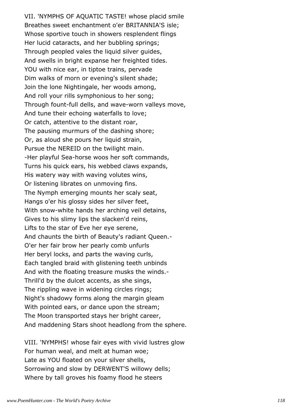VII. 'NYMPHS OF AQUATIC TASTE! whose placid smile Breathes sweet enchantment o'er BRITANNIA'S isle; Whose sportive touch in showers resplendent flings Her lucid cataracts, and her bubbling springs; Through peopled vales the liquid silver guides, And swells in bright expanse her freighted tides. YOU with nice ear, in tiptoe trains, pervade Dim walks of morn or evening's silent shade; Join the lone Nightingale, her woods among, And roll your rills symphonious to her song; Through fount-full dells, and wave-worn valleys move, And tune their echoing waterfalls to love; Or catch, attentive to the distant roar, The pausing murmurs of the dashing shore; Or, as aloud she pours her liquid strain, Pursue the NEREID on the twilight main. -Her playful Sea-horse woos her soft commands, Turns his quick ears, his webbed claws expands, His watery way with waving volutes wins, Or listening librates on unmoving fins. The Nymph emerging mounts her scaly seat, Hangs o'er his glossy sides her silver feet, With snow-white hands her arching veil detains, Gives to his slimy lips the slacken'd reins, Lifts to the star of Eve her eye serene, And chaunts the birth of Beauty's radiant Queen.- O'er her fair brow her pearly comb unfurls Her beryl locks, and parts the waving curls, Each tangled braid with glistening teeth unbinds And with the floating treasure musks the winds.- Thrill'd by the dulcet accents, as she sings, The rippling wave in widening circles rings; Night's shadowy forms along the margin gleam With pointed ears, or dance upon the stream; The Moon transported stays her bright career, And maddening Stars shoot headlong from the sphere.

VIII. 'NYMPHS! whose fair eyes with vivid lustres glow For human weal, and melt at human woe; Late as YOU floated on your silver shells, Sorrowing and slow by DERWENT'S willowy dells; Where by tall groves his foamy flood he steers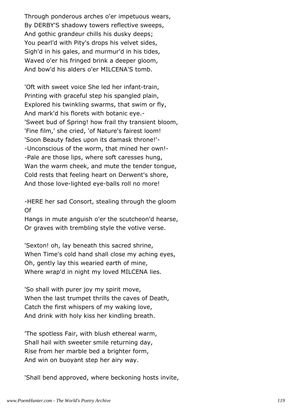Through ponderous arches o'er impetuous wears, By DERBY'S shadowy towers reflective sweeps, And gothic grandeur chills his dusky deeps; You pearl'd with Pity's drops his velvet sides, Sigh'd in his gales, and murmur'd in his tides, Waved o'er his fringed brink a deeper gloom, And bow'd his alders o'er MILCENA'S tomb.

'Oft with sweet voice She led her infant-train, Printing with graceful step his spangled plain, Explored his twinkling swarms, that swim or fly, And mark'd his florets with botanic eye.- 'Sweet bud of Spring! how frail thy transient bloom, 'Fine film,' she cried, 'of Nature's fairest loom! 'Soon Beauty fades upon its damask throne!'- -Unconscious of the worm, that mined her own!- -Pale are those lips, where soft caresses hung, Wan the warm cheek, and mute the tender tongue, Cold rests that feeling heart on Derwent's shore, And those love-lighted eye-balls roll no more!

-HERE her sad Consort, stealing through the gloom Of

Hangs in mute anguish o'er the scutcheon'd hearse, Or graves with trembling style the votive verse.

'Sexton! oh, lay beneath this sacred shrine, When Time's cold hand shall close my aching eyes, Oh, gently lay this wearied earth of mine, Where wrap'd in night my loved MILCENA lies.

'So shall with purer joy my spirit move, When the last trumpet thrills the caves of Death, Catch the first whispers of my waking love, And drink with holy kiss her kindling breath.

'The spotless Fair, with blush ethereal warm, Shall hail with sweeter smile returning day, Rise from her marble bed a brighter form, And win on buoyant step her airy way.

'Shall bend approved, where beckoning hosts invite,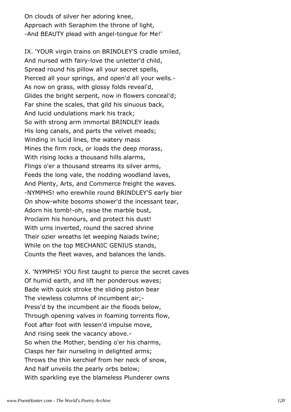On clouds of silver her adoring knee, Approach with Seraphim the throne of light, -And BEAUTY plead with angel-tongue for Me!'

IX. 'YOUR virgin trains on BRINDLEY'S cradle smiled, And nursed with fairy-love the unletter'd child, Spread round his pillow all your secret spells, Pierced all your springs, and open'd all your wells.- As now on grass, with glossy folds reveal'd, Glides the bright serpent, now in flowers conceal'd; Far shine the scales, that gild his sinuous back, And lucid undulations mark his track; So with strong arm immortal BRINDLEY leads His long canals, and parts the velvet meads; Winding in lucid lines, the watery mass Mines the firm rock, or loads the deep morass, With rising locks a thousand hills alarms, Flings o'er a thousand streams its silver arms, Feeds the long vale, the nodding woodland laves, And Plenty, Arts, and Commerce freight the waves. -NYMPHS! who erewhile round BRINDLEY'S early bier On show-white bosoms shower'd the incessant tear, Adorn his tomb!-oh, raise the marble bust, Proclaim his honours, and protect his dust! With urns inverted, round the sacred shrine Their ozier wreaths let weeping Naiads twine; While on the top MECHANIC GENIUS stands, Counts the fleet waves, and balances the lands.

X. 'NYMPHS! YOU first taught to pierce the secret caves Of humid earth, and lift her ponderous waves; Bade with quick stroke the sliding piston bear The viewless columns of incumbent air;- Press'd by the incumbent air the floods below, Through opening valves in foaming torrents flow, Foot after foot with lessen'd impulse move, And rising seek the vacancy above.- So when the Mother, bending o'er his charms, Clasps her fair nurseling in delighted arms; Throws the thin kerchief from her neck of snow, And half unveils the pearly orbs below; With sparkling eye the blameless Plunderer owns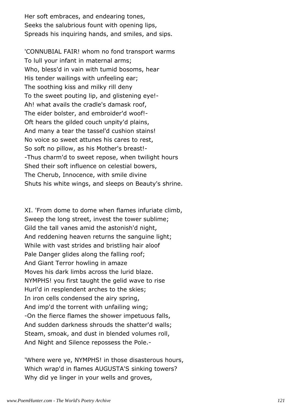Her soft embraces, and endearing tones, Seeks the salubrious fount with opening lips, Spreads his inquiring hands, and smiles, and sips.

'CONNUBIAL FAIR! whom no fond transport warms To lull your infant in maternal arms; Who, bless'd in vain with tumid bosoms, hear His tender wailings with unfeeling ear; The soothing kiss and milky rill deny To the sweet pouting lip, and glistening eye!- Ah! what avails the cradle's damask roof, The eider bolster, and embroider'd woof!- Oft hears the gilded couch unpity'd plains, And many a tear the tassel'd cushion stains! No voice so sweet attunes his cares to rest, So soft no pillow, as his Mother's breast!- -Thus charm'd to sweet repose, when twilight hours Shed their soft influence on celestial bowers, The Cherub, Innocence, with smile divine Shuts his white wings, and sleeps on Beauty's shrine.

XI. 'From dome to dome when flames infuriate climb, Sweep the long street, invest the tower sublime; Gild the tall vanes amid the astonish'd night, And reddening heaven returns the sanguine light; While with vast strides and bristling hair aloof Pale Danger glides along the falling roof; And Giant Terror howling in amaze Moves his dark limbs across the lurid blaze. NYMPHS! you first taught the gelid wave to rise Hurl'd in resplendent arches to the skies; In iron cells condensed the airy spring, And imp'd the torrent with unfailing wing; -On the fierce flames the shower impetuous falls, And sudden darkness shrouds the shatter'd walls; Steam, smoak, and dust in blended volumes roll, And Night and Silence repossess the Pole.-

'Where were ye, NYMPHS! in those disasterous hours, Which wrap'd in flames AUGUSTA'S sinking towers? Why did ye linger in your wells and groves,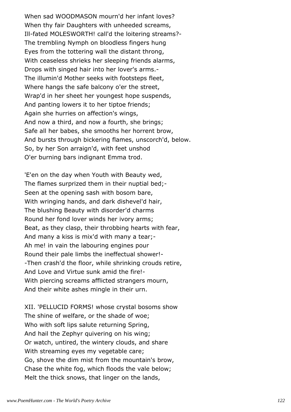When sad WOODMASON mourn'd her infant loves? When thy fair Daughters with unheeded screams, Ill-fated MOLESWORTH! call'd the loitering streams?- The trembling Nymph on bloodless fingers hung Eyes from the tottering wall the distant throng, With ceaseless shrieks her sleeping friends alarms, Drops with singed hair into her lover's arms.- The illumin'd Mother seeks with footsteps fleet, Where hangs the safe balcony o'er the street, Wrap'd in her sheet her youngest hope suspends, And panting lowers it to her tiptoe friends; Again she hurries on affection's wings, And now a third, and now a fourth, she brings; Safe all her babes, she smooths her horrent brow, And bursts through bickering flames, unscorch'd, below. So, by her Son arraign'd, with feet unshod O'er burning bars indignant Emma trod.

'E'en on the day when Youth with Beauty wed, The flames surprized them in their nuptial bed;- Seen at the opening sash with bosom bare, With wringing hands, and dark dishevel'd hair, The blushing Beauty with disorder'd charms Round her fond lover winds her ivory arms; Beat, as they clasp, their throbbing hearts with fear, And many a kiss is mix'd with many a tear;- Ah me! in vain the labouring engines pour Round their pale limbs the ineffectual shower!- -Then crash'd the floor, while shrinking crouds retire, And Love and Virtue sunk amid the fire!- With piercing screams afflicted strangers mourn, And their white ashes mingle in their urn.

XII. 'PELLUCID FORMS! whose crystal bosoms show The shine of welfare, or the shade of woe; Who with soft lips salute returning Spring, And hail the Zephyr quivering on his wing; Or watch, untired, the wintery clouds, and share With streaming eyes my vegetable care; Go, shove the dim mist from the mountain's brow, Chase the white fog, which floods the vale below; Melt the thick snows, that linger on the lands,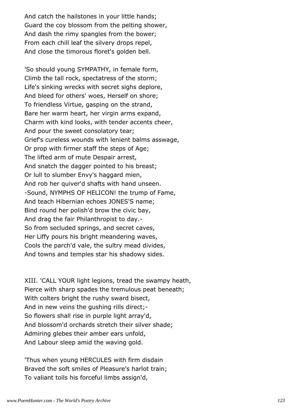And catch the hailstones in your little hands; Guard the coy blossom from the pelting shower, And dash the rimy spangles from the bower; From each chill leaf the silvery drops repel, And close the timorous floret's golden bell.

'So should young SYMPATHY, in female form, Climb the tall rock, spectatress of the storm; Life's sinking wrecks with secret sighs deplore, And bleed for others' woes, Herself on shore; To friendless Virtue, gasping on the strand, Bare her warm heart, her virgin arms expand, Charm with kind looks, with tender accents cheer, And pour the sweet consolatory tear; Grief's cureless wounds with lenient balms asswage, Or prop with firmer staff the steps of Age; The lifted arm of mute Despair arrest, And snatch the dagger pointed to his breast; Or lull to slumber Envy's haggard mien, And rob her quiver'd shafts with hand unseen. -Sound, NYMPHS OF HELICON! the trump of Fame, And teach Hibernian echoes JONES'S name; Bind round her polish'd brow the civic bay, And drag the fair Philanthropist to day.- So from secluded springs, and secret caves, Her Liffy pours his bright meandering waves, Cools the parch'd vale, the sultry mead divides, And towns and temples star his shadowy sides.

XIII. 'CALL YOUR light legions, tread the swampy heath, Pierce with sharp spades the tremulous peat beneath; With colters bright the rushy sward bisect, And in new veins the gushing rills direct;- So flowers shall rise in purple light array'd, And blossom'd orchards stretch their silver shade; Admiring glebes their amber ears unfold, And Labour sleep amid the waving gold.

'Thus when young HERCULES with firm disdain Braved the soft smiles of Pleasure's harlot train; To valiant toils his forceful limbs assign'd,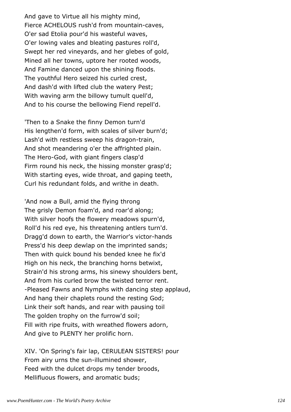And gave to Virtue all his mighty mind, Fierce ACHELOUS rush'd from mountain-caves, O'er sad Etolia pour'd his wasteful waves, O'er lowing vales and bleating pastures roll'd, Swept her red vineyards, and her glebes of gold, Mined all her towns, uptore her rooted woods, And Famine danced upon the shining floods. The youthful Hero seized his curled crest, And dash'd with lifted club the watery Pest; With waving arm the billowy tumult quell'd, And to his course the bellowing Fiend repell'd.

'Then to a Snake the finny Demon turn'd His lengthen'd form, with scales of silver burn'd; Lash'd with restless sweep his dragon-train, And shot meandering o'er the affrighted plain. The Hero-God, with giant fingers clasp'd Firm round his neck, the hissing monster grasp'd; With starting eyes, wide throat, and gaping teeth, Curl his redundant folds, and writhe in death.

'And now a Bull, amid the flying throng The grisly Demon foam'd, and roar'd along; With silver hoofs the flowery meadows spurn'd, Roll'd his red eye, his threatening antlers turn'd. Dragg'd down to earth, the Warrior's victor-hands Press'd his deep dewlap on the imprinted sands; Then with quick bound his bended knee he fix'd High on his neck, the branching horns betwixt, Strain'd his strong arms, his sinewy shoulders bent, And from his curled brow the twisted terror rent. -Pleased Fawns and Nymphs with dancing step applaud, And hang their chaplets round the resting God; Link their soft hands, and rear with pausing toil The golden trophy on the furrow'd soil; Fill with ripe fruits, with wreathed flowers adorn, And give to PLENTY her prolific horn.

XIV. 'On Spring's fair lap, CERULEAN SISTERS! pour From airy urns the sun-illumined shower, Feed with the dulcet drops my tender broods, Mellifluous flowers, and aromatic buds;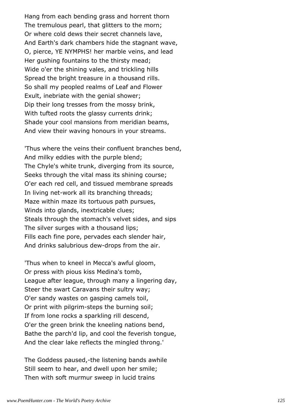Hang from each bending grass and horrent thorn The tremulous pearl, that glitters to the morn; Or where cold dews their secret channels lave, And Earth's dark chambers hide the stagnant wave, O, pierce, YE NYMPHS! her marble veins, and lead Her gushing fountains to the thirsty mead; Wide o'er the shining vales, and trickling hills Spread the bright treasure in a thousand rills. So shall my peopled realms of Leaf and Flower Exult, inebriate with the genial shower; Dip their long tresses from the mossy brink, With tufted roots the glassy currents drink; Shade your cool mansions from meridian beams, And view their waving honours in your streams.

'Thus where the veins their confluent branches bend, And milky eddies with the purple blend; The Chyle's white trunk, diverging from its source, Seeks through the vital mass its shining course; O'er each red cell, and tissued membrane spreads In living net-work all its branching threads; Maze within maze its tortuous path pursues, Winds into glands, inextricable clues; Steals through the stomach's velvet sides, and sips The silver surges with a thousand lips; Fills each fine pore, pervades each slender hair, And drinks salubrious dew-drops from the air.

'Thus when to kneel in Mecca's awful gloom, Or press with pious kiss Medina's tomb, League after league, through many a lingering day, Steer the swart Caravans their sultry way; O'er sandy wastes on gasping camels toil, Or print with pilgrim-steps the burning soil; If from lone rocks a sparkling rill descend, O'er the green brink the kneeling nations bend, Bathe the parch'd lip, and cool the feverish tongue, And the clear lake reflects the mingled throng.'

The Goddess paused,-the listening bands awhile Still seem to hear, and dwell upon her smile; Then with soft murmur sweep in lucid trains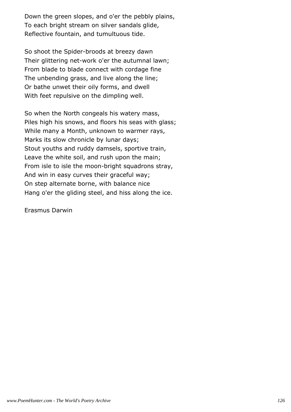Down the green slopes, and o'er the pebbly plains, To each bright stream on silver sandals glide, Reflective fountain, and tumultuous tide.

So shoot the Spider-broods at breezy dawn Their glittering net-work o'er the autumnal lawn; From blade to blade connect with cordage fine The unbending grass, and live along the line; Or bathe unwet their oily forms, and dwell With feet repulsive on the dimpling well.

So when the North congeals his watery mass, Piles high his snows, and floors his seas with glass; While many a Month, unknown to warmer rays, Marks its slow chronicle by lunar days; Stout youths and ruddy damsels, sportive train, Leave the white soil, and rush upon the main; From isle to isle the moon-bright squadrons stray, And win in easy curves their graceful way; On step alternate borne, with balance nice Hang o'er the gliding steel, and hiss along the ice.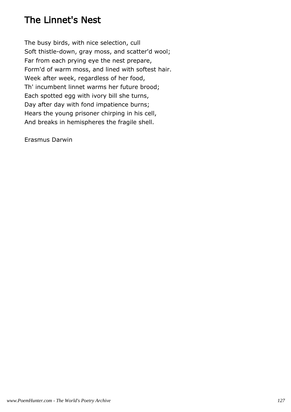## The Linnet's Nest

The busy birds, with nice selection, cull Soft thistle-down, gray moss, and scatter'd wool; Far from each prying eye the nest prepare, Form'd of warm moss, and lined with softest hair. Week after week, regardless of her food, Th' incumbent linnet warms her future brood; Each spotted egg with ivory bill she turns, Day after day with fond impatience burns; Hears the young prisoner chirping in his cell, And breaks in hemispheres the fragile shell.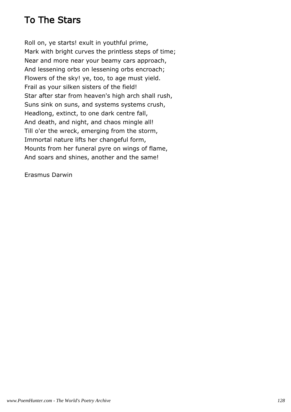## To The Stars

Roll on, ye starts! exult in youthful prime, Mark with bright curves the printless steps of time; Near and more near your beamy cars approach, And lessening orbs on lessening orbs encroach; Flowers of the sky! ye, too, to age must yield. Frail as your silken sisters of the field! Star after star from heaven's high arch shall rush, Suns sink on suns, and systems systems crush, Headlong, extinct, to one dark centre fall, And death, and night, and chaos mingle all! Till o'er the wreck, emerging from the storm, Immortal nature lifts her changeful form, Mounts from her funeral pyre on wings of flame, And soars and shines, another and the same!